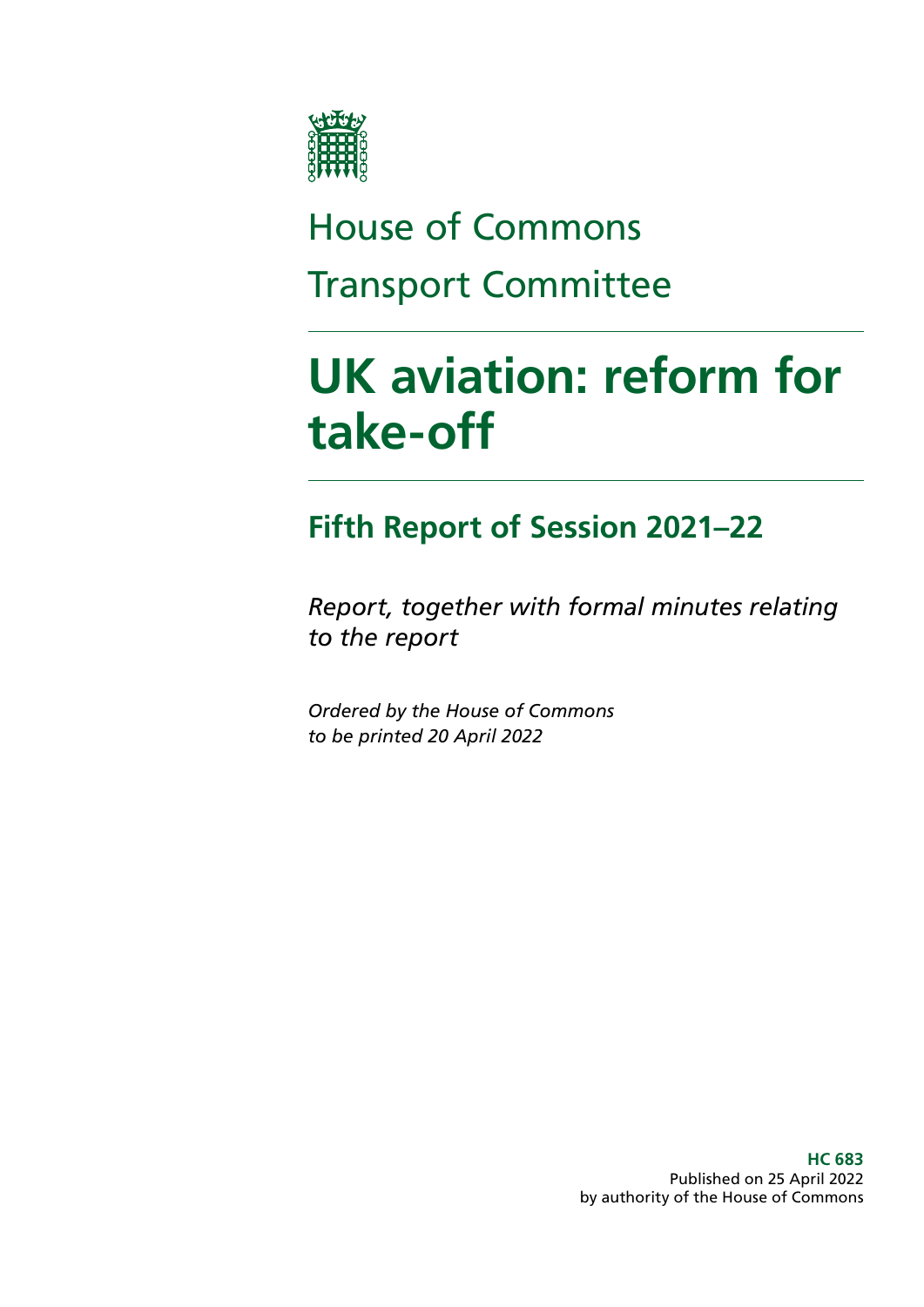

# House of Commons Transport Committee

# **UK aviation: reform for take-off**

### **Fifth Report of Session 2021–22**

*Report, together with formal minutes relating to the report*

*Ordered by the House of Commons to be printed 20 April 2022*

> **HC 683** Published on 25 April 2022 by authority of the House of Commons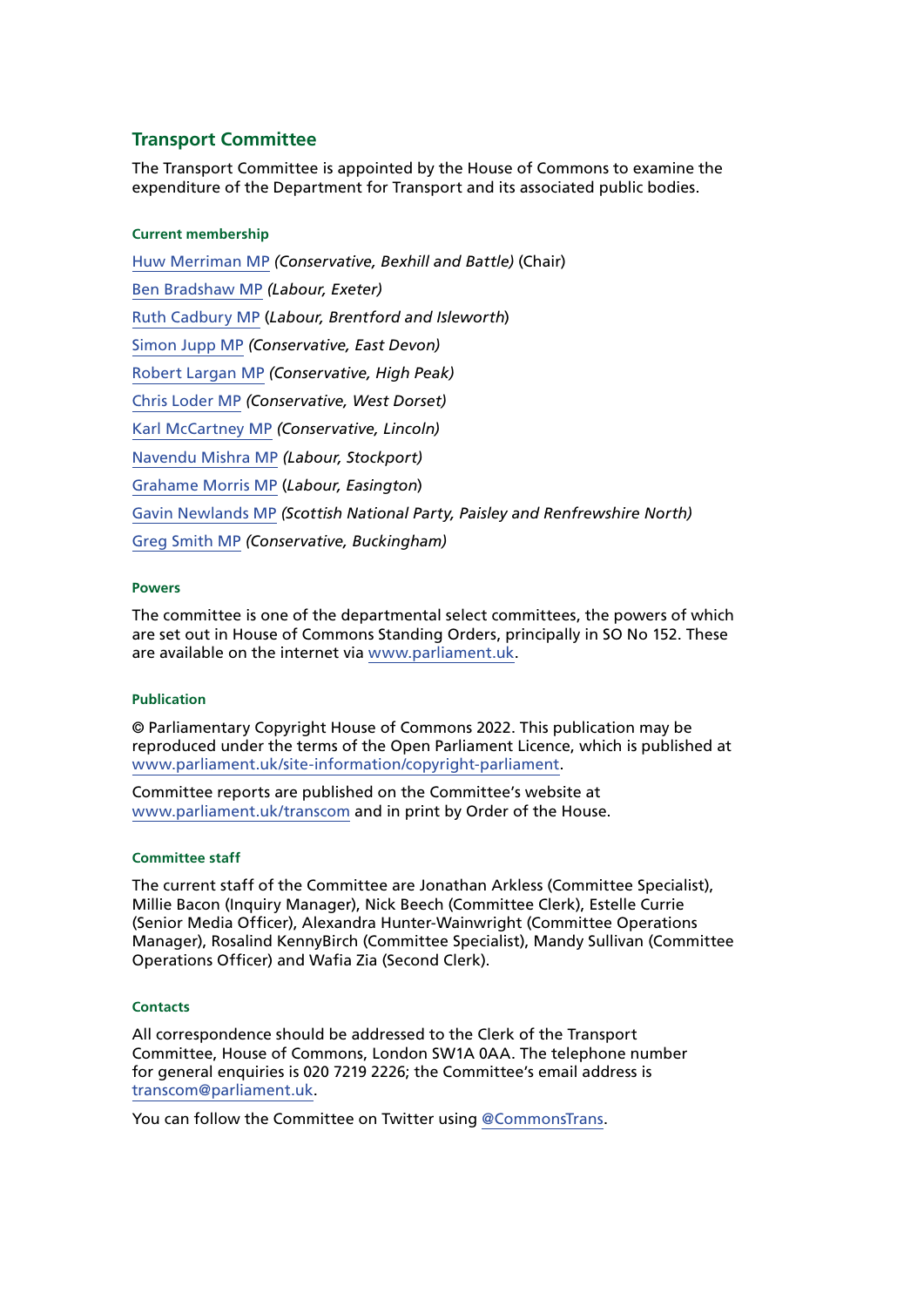### **Transport Committee**

The Transport Committee is appointed by the House of Commons to examine the expenditure of the Department for Transport and its associated public bodies.

#### **Current membership**

[Huw Merriman MP](https://members.parliament.uk/member/4442/contact) *(Conservative, Bexhill and Battle)* (Chair) [Ben Bradshaw MP](https://members.parliament.uk/member/230/contact) *(Labour, Exeter)* [Ruth Cadbury MP](https://members.parliament.uk/member/4389/contact) (*Labour, Brentford and Isleworth*) [Simon Jupp MP](https://members.parliament.uk/member/4862/contact) *(Conservative, East Devon)* [Robert Largan MP](https://members.parliament.uk/member/4852/contact) *(Conservative, High Peak)* [Chris Loder MP](https://members.parliament.uk/member/4751/contact) *(Conservative, West Dorset)* [Karl McCartney MP](https://members.parliament.uk/member/4028/contact) *(Conservative, Lincoln)* [Navendu Mishra MP](https://members.parliament.uk/member/4811/contact) *(Labour, Stockport)* [Grahame Morris MP](https://www.parliament.uk/biographies/commons/grahame-morris/3973) (*Labour, Easington*) [Gavin Newlands MP](https://members.parliament.uk/member/4420/contact) *(Scottish National Party, Paisley and Renfrewshire North)* [Greg Smith MP](https://members.parliament.uk/member/4778/contact) *(Conservative, Buckingham)*

#### **Powers**

The committee is one of the departmental select committees, the powers of which are set out in House of Commons Standing Orders, principally in SO No 152. These are available on the internet via [www.parliament.uk.](http://www.parliament.uk/)

#### **Publication**

© Parliamentary Copyright House of Commons 2022. This publication may be reproduced under the terms of the Open Parliament Licence, which is published at [www.parliament.uk/site-information/copyright-parliament.](http://www.parliament.uk/site-information/copyright-parliament)

Committee reports are published on the Committee's website at [www.parliament.uk/transcom](http://www.parliament.uk/transcom) and in print by Order of the House.

#### **Committee staff**

The current staff of the Committee are Jonathan Arkless (Committee Specialist), Millie Bacon (Inquiry Manager), Nick Beech (Committee Clerk), Estelle Currie (Senior Media Officer), Alexandra Hunter-Wainwright (Committee Operations Manager), Rosalind KennyBirch (Committee Specialist), Mandy Sullivan (Committee Operations Officer) and Wafia Zia (Second Clerk).

#### **Contacts**

All correspondence should be addressed to the Clerk of the Transport Committee, House of Commons, London SW1A 0AA. The telephone number for general enquiries is 020 7219 2226; the Committee's email address is [transcom@parliament.uk.](mailto:transcom%40parliament.uk?subject=)

You can follow the Committee on Twitter using [@CommonsTrans](https://twitter.com/CommonsTrans).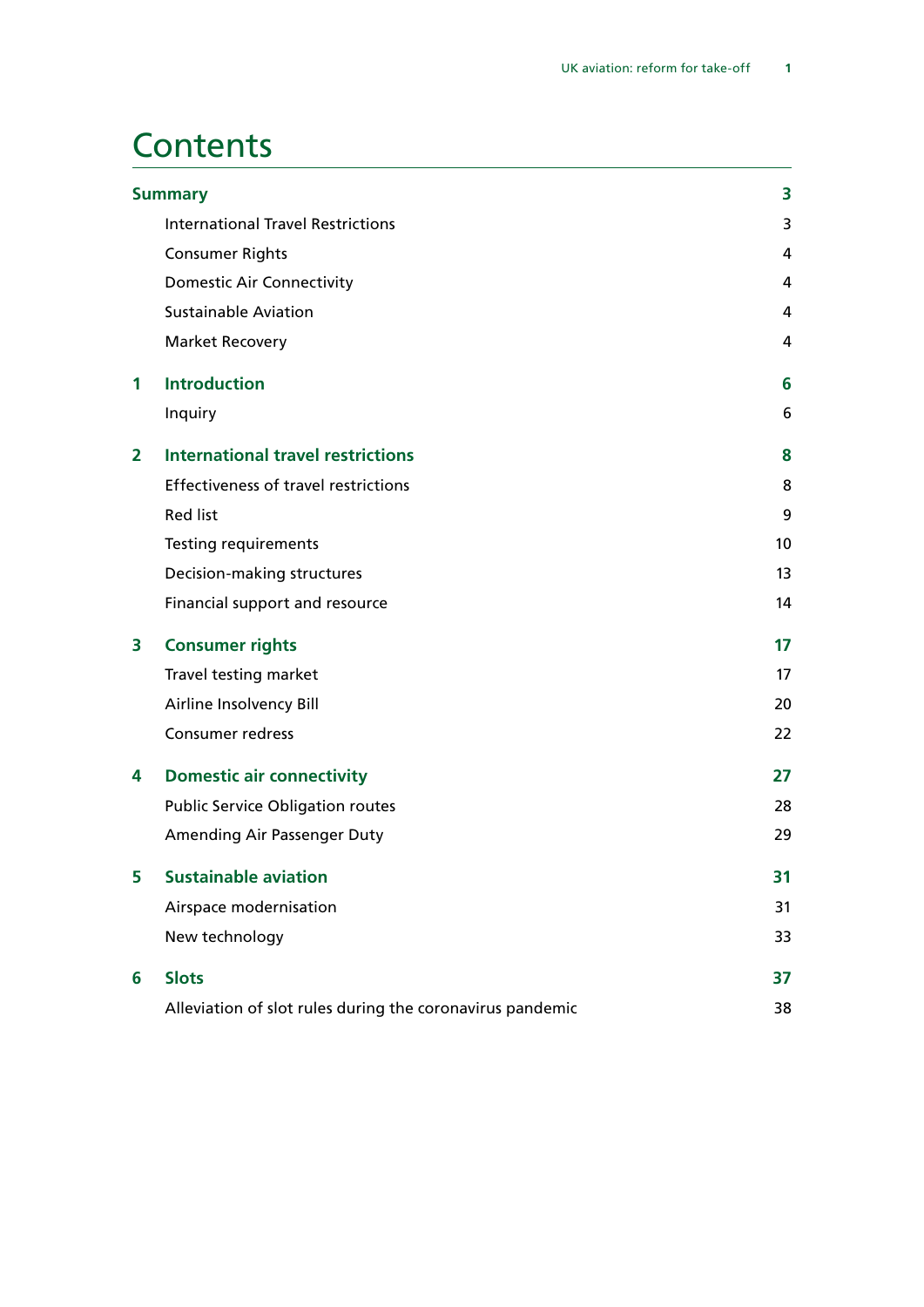### **Contents**

|    | <b>Summary</b>                                            | 3  |
|----|-----------------------------------------------------------|----|
|    | <b>International Travel Restrictions</b>                  | 3  |
|    | <b>Consumer Rights</b>                                    | 4  |
|    | <b>Domestic Air Connectivity</b>                          | 4  |
|    | <b>Sustainable Aviation</b>                               | 4  |
|    | <b>Market Recovery</b>                                    | 4  |
| 1  | <b>Introduction</b>                                       | 6  |
|    | Inquiry                                                   | 6  |
| 2  | <b>International travel restrictions</b>                  | 8  |
|    | <b>Effectiveness of travel restrictions</b>               | 8  |
|    | <b>Red list</b>                                           | 9  |
|    | <b>Testing requirements</b>                               | 10 |
|    | Decision-making structures                                | 13 |
|    | Financial support and resource                            | 14 |
| 3  | <b>Consumer rights</b>                                    | 17 |
|    | Travel testing market                                     | 17 |
|    | Airline Insolvency Bill                                   | 20 |
|    | <b>Consumer redress</b>                                   | 22 |
| 4  | <b>Domestic air connectivity</b>                          | 27 |
|    | <b>Public Service Obligation routes</b>                   | 28 |
|    | Amending Air Passenger Duty                               | 29 |
| 5. | <b>Sustainable aviation</b>                               | 31 |
|    | Airspace modernisation                                    | 31 |
|    | New technology                                            | 33 |
| 6  | <b>Slots</b>                                              | 37 |
|    | Alleviation of slot rules during the coronavirus pandemic | 38 |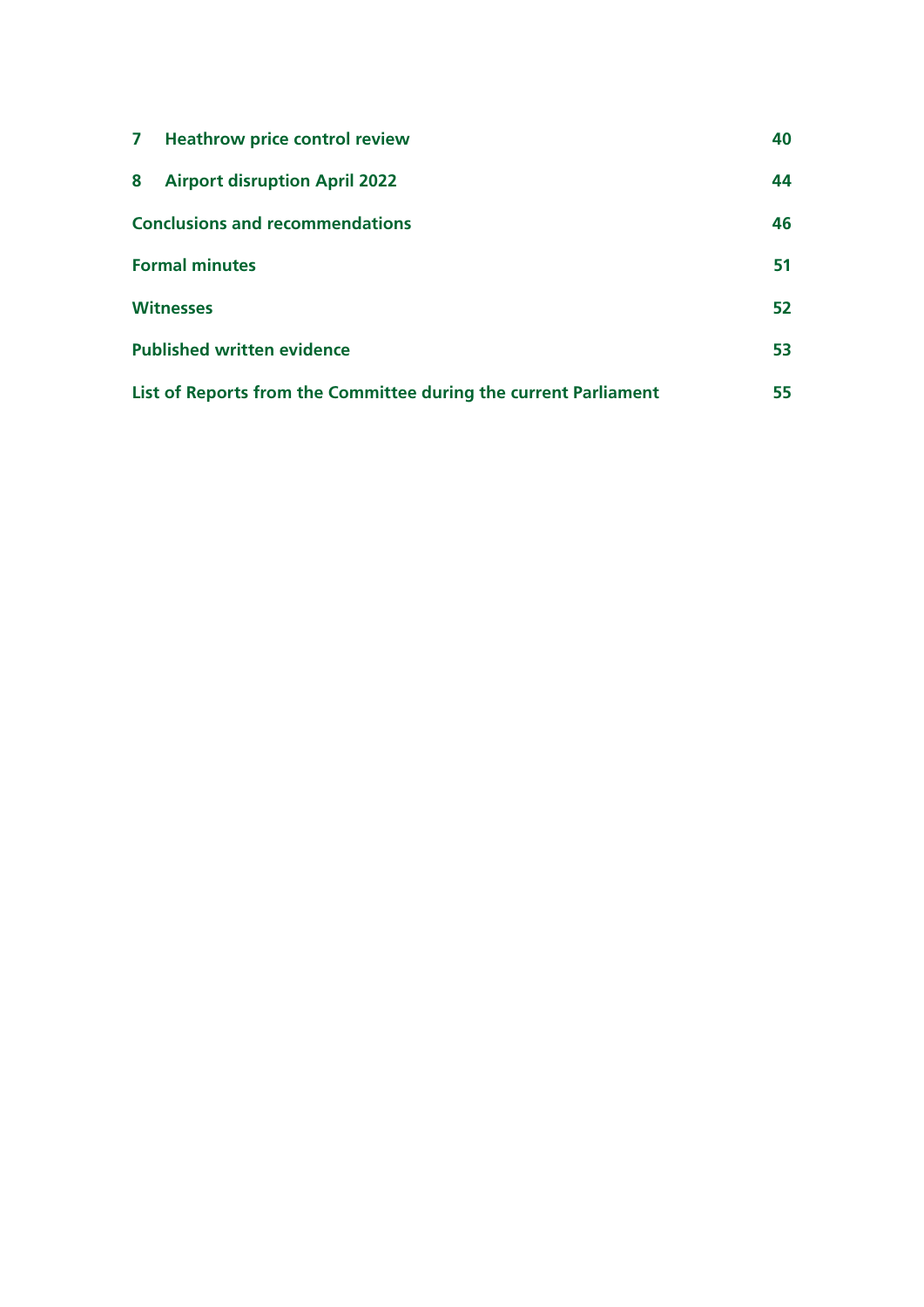| $\mathbf{7}$                                                     | <b>Heathrow price control review</b> | 40 |
|------------------------------------------------------------------|--------------------------------------|----|
| 8                                                                | <b>Airport disruption April 2022</b> | 44 |
| <b>Conclusions and recommendations</b>                           |                                      | 46 |
| <b>Formal minutes</b>                                            |                                      | 51 |
| <b>Witnesses</b>                                                 |                                      | 52 |
| <b>Published written evidence</b>                                |                                      | 53 |
| List of Reports from the Committee during the current Parliament |                                      | 55 |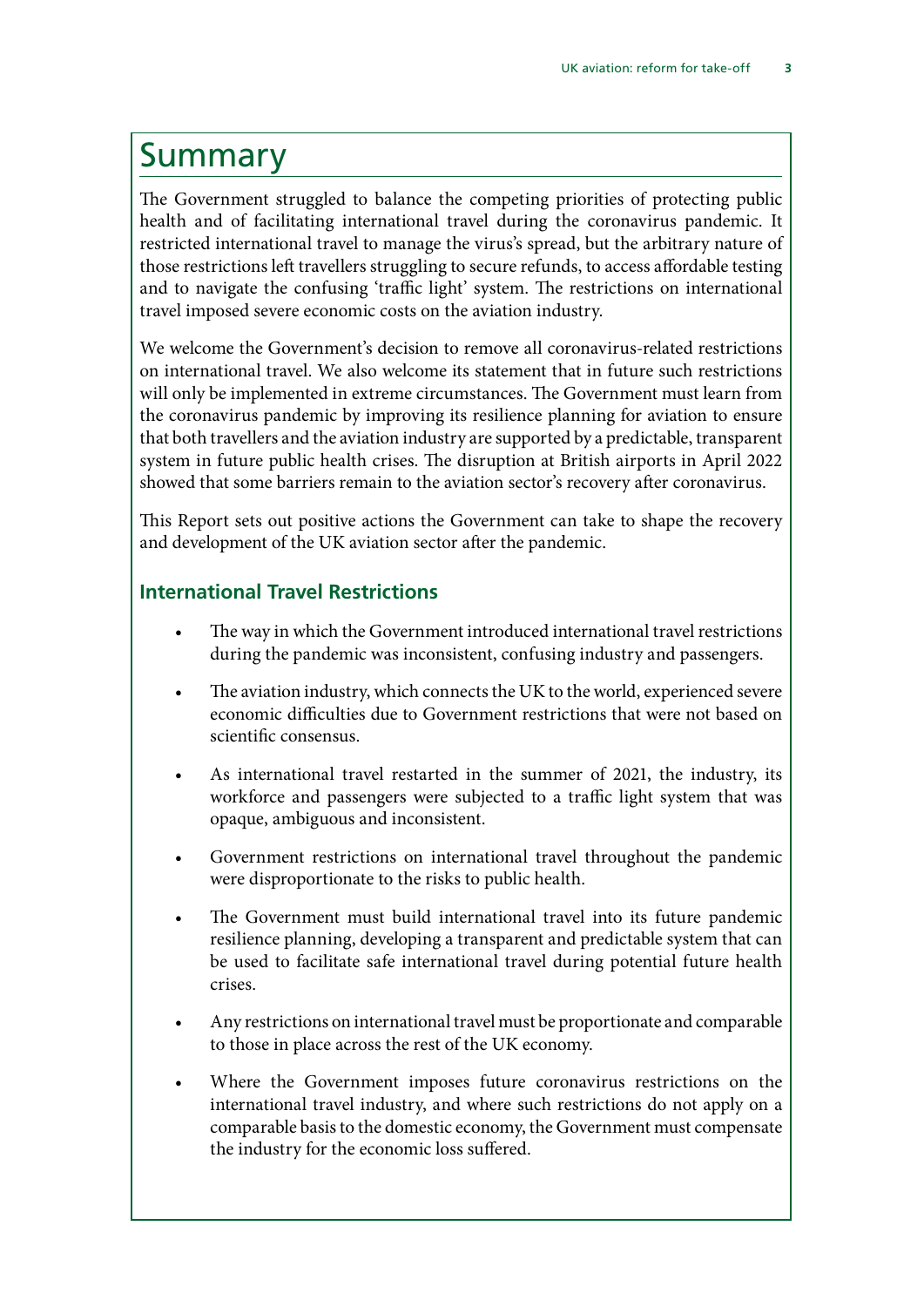### <span id="page-4-0"></span>Summary

The Government struggled to balance the competing priorities of protecting public health and of facilitating international travel during the coronavirus pandemic. It restricted international travel to manage the virus's spread, but the arbitrary nature of those restrictions left travellers struggling to secure refunds, to access affordable testing and to navigate the confusing 'traffic light' system. The restrictions on international travel imposed severe economic costs on the aviation industry.

We welcome the Government's decision to remove all coronavirus-related restrictions on international travel. We also welcome its statement that in future such restrictions will only be implemented in extreme circumstances. The Government must learn from the coronavirus pandemic by improving its resilience planning for aviation to ensure that both travellers and the aviation industry are supported by a predictable, transparent system in future public health crises. The disruption at British airports in April 2022 showed that some barriers remain to the aviation sector's recovery after coronavirus.

This Report sets out positive actions the Government can take to shape the recovery and development of the UK aviation sector after the pandemic.

### **International Travel Restrictions**

- The way in which the Government introduced international travel restrictions during the pandemic was inconsistent, confusing industry and passengers.
- The aviation industry, which connects the UK to the world, experienced severe economic difficulties due to Government restrictions that were not based on scientific consensus.
- As international travel restarted in the summer of 2021, the industry, its workforce and passengers were subjected to a traffic light system that was opaque, ambiguous and inconsistent.
- Government restrictions on international travel throughout the pandemic were disproportionate to the risks to public health.
- The Government must build international travel into its future pandemic resilience planning, developing a transparent and predictable system that can be used to facilitate safe international travel during potential future health crises.
- Any restrictions on international travel must be proportionate and comparable to those in place across the rest of the UK economy.
- Where the Government imposes future coronavirus restrictions on the international travel industry, and where such restrictions do not apply on a comparable basis to the domestic economy, the Government must compensate the industry for the economic loss suffered.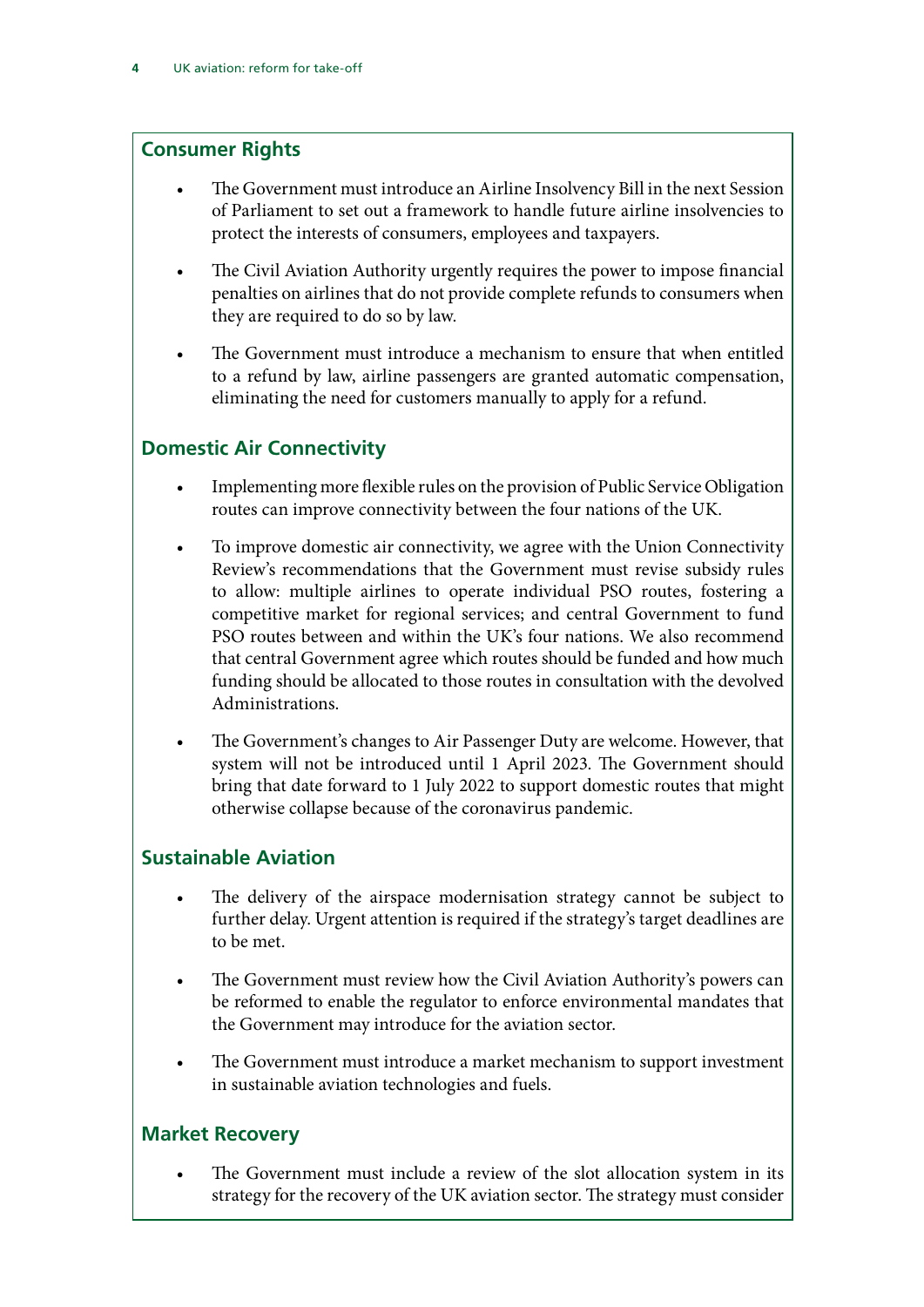### <span id="page-5-0"></span>**Consumer Rights**

- The Government must introduce an Airline Insolvency Bill in the next Session of Parliament to set out a framework to handle future airline insolvencies to protect the interests of consumers, employees and taxpayers.
- The Civil Aviation Authority urgently requires the power to impose financial penalties on airlines that do not provide complete refunds to consumers when they are required to do so by law.
- The Government must introduce a mechanism to ensure that when entitled to a refund by law, airline passengers are granted automatic compensation, eliminating the need for customers manually to apply for a refund.

### **Domestic Air Connectivity**

- Implementing more flexible rules on the provision of Public Service Obligation routes can improve connectivity between the four nations of the UK.
- To improve domestic air connectivity, we agree with the Union Connectivity Review's recommendations that the Government must revise subsidy rules to allow: multiple airlines to operate individual PSO routes, fostering a competitive market for regional services; and central Government to fund PSO routes between and within the UK's four nations. We also recommend that central Government agree which routes should be funded and how much funding should be allocated to those routes in consultation with the devolved Administrations.
- The Government's changes to Air Passenger Duty are welcome. However, that system will not be introduced until 1 April 2023. The Government should bring that date forward to 1 July 2022 to support domestic routes that might otherwise collapse because of the coronavirus pandemic.

### **Sustainable Aviation**

- The delivery of the airspace modernisation strategy cannot be subject to further delay. Urgent attention is required if the strategy's target deadlines are to be met.
- The Government must review how the Civil Aviation Authority's powers can be reformed to enable the regulator to enforce environmental mandates that the Government may introduce for the aviation sector.
- The Government must introduce a market mechanism to support investment in sustainable aviation technologies and fuels.

### **Market Recovery**

The Government must include a review of the slot allocation system in its strategy for the recovery of the UK aviation sector. The strategy must consider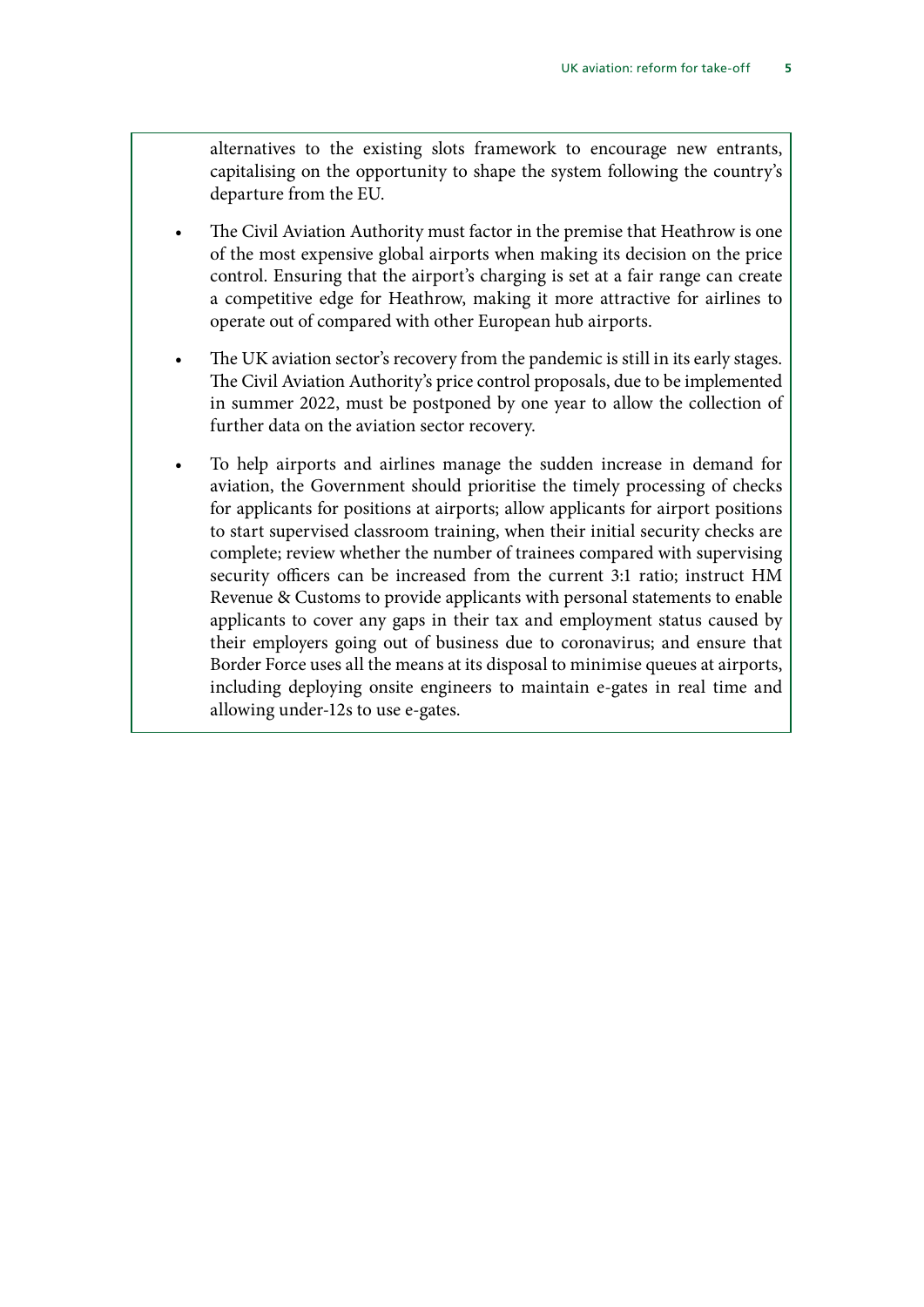alternatives to the existing slots framework to encourage new entrants, capitalising on the opportunity to shape the system following the country's departure from the EU.

- The Civil Aviation Authority must factor in the premise that Heathrow is one of the most expensive global airports when making its decision on the price control. Ensuring that the airport's charging is set at a fair range can create a competitive edge for Heathrow, making it more attractive for airlines to operate out of compared with other European hub airports.
- The UK aviation sector's recovery from the pandemic is still in its early stages. The Civil Aviation Authority's price control proposals, due to be implemented in summer 2022, must be postponed by one year to allow the collection of further data on the aviation sector recovery.
- To help airports and airlines manage the sudden increase in demand for aviation, the Government should prioritise the timely processing of checks for applicants for positions at airports; allow applicants for airport positions to start supervised classroom training, when their initial security checks are complete; review whether the number of trainees compared with supervising security officers can be increased from the current 3:1 ratio; instruct HM Revenue & Customs to provide applicants with personal statements to enable applicants to cover any gaps in their tax and employment status caused by their employers going out of business due to coronavirus; and ensure that Border Force uses all the means at its disposal to minimise queues at airports, including deploying onsite engineers to maintain e-gates in real time and allowing under-12s to use e-gates.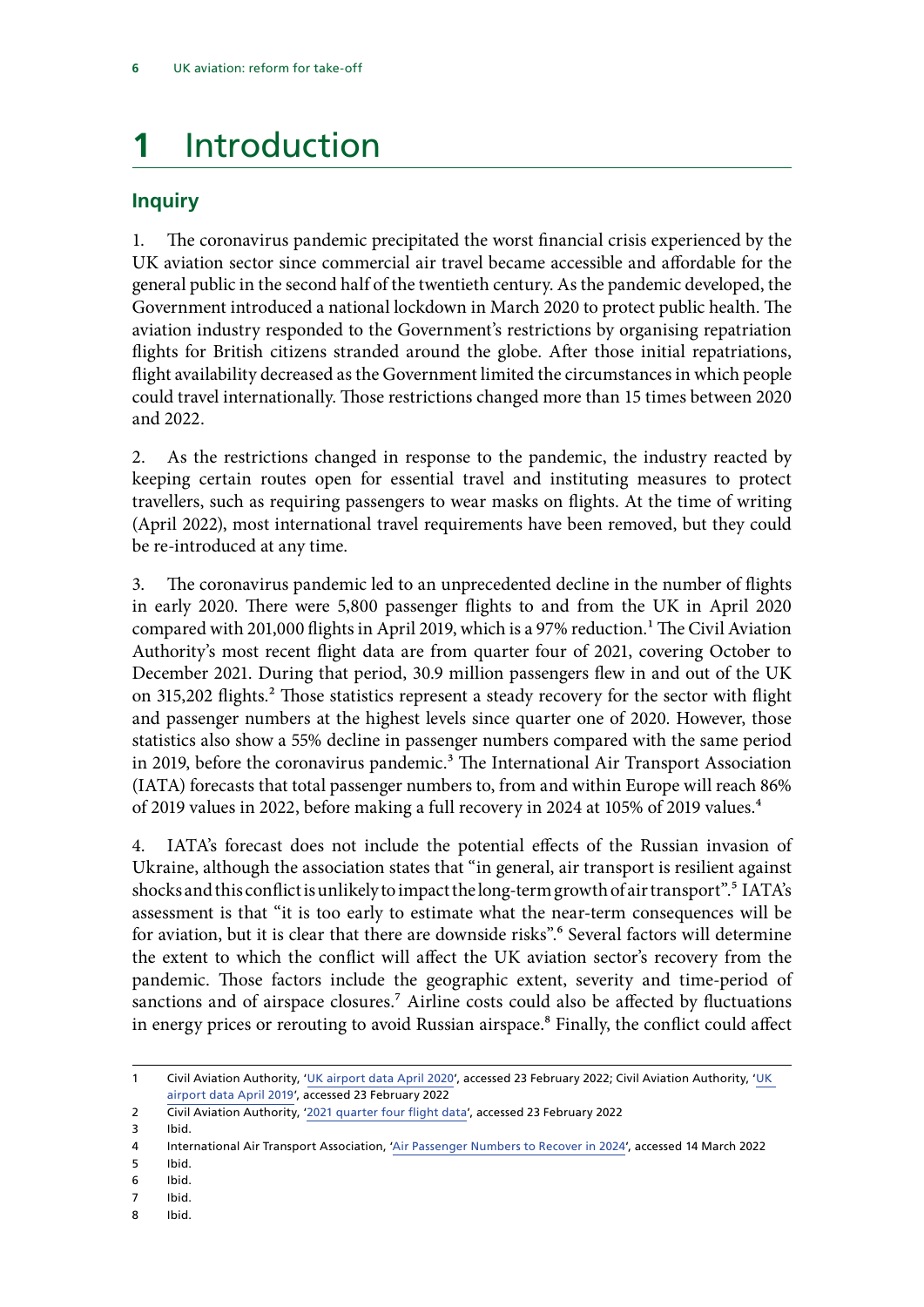### <span id="page-7-0"></span>**1** Introduction

### **Inquiry**

1. The coronavirus pandemic precipitated the worst financial crisis experienced by the UK aviation sector since commercial air travel became accessible and affordable for the general public in the second half of the twentieth century. As the pandemic developed, the Government introduced a national lockdown in March 2020 to protect public health. The aviation industry responded to the Government's restrictions by organising repatriation flights for British citizens stranded around the globe. After those initial repatriations, flight availability decreased as the Government limited the circumstances in which people could travel internationally. Those restrictions changed more than 15 times between 2020 and 2022.

2. As the restrictions changed in response to the pandemic, the industry reacted by keeping certain routes open for essential travel and instituting measures to protect travellers, such as requiring passengers to wear masks on flights. At the time of writing (April 2022), most international travel requirements have been removed, but they could be re-introduced at any time.

3. The coronavirus pandemic led to an unprecedented decline in the number of flights in early 2020. There were 5,800 passenger flights to and from the UK in April 2020 compared with 201,000 flights in April 2019, which is a 97% reduction.<sup>1</sup> The Civil Aviation Authority's most recent flight data are from quarter four of 2021, covering October to December 2021. During that period, 30.9 million passengers flew in and out of the UK on 315,202 flights.<sup>2</sup> Those statistics represent a steady recovery for the sector with flight and passenger numbers at the highest levels since quarter one of 2020. However, those statistics also show a 55% decline in passenger numbers compared with the same period in 2019, before the coronavirus pandemic.<sup>3</sup> The International Air Transport Association (IATA) forecasts that total passenger numbers to, from and within Europe will reach 86% of 2019 values in 2022, before making a full recovery in 2024 at 105% of 2019 values.4

4. IATA's forecast does not include the potential effects of the Russian invasion of Ukraine, although the association states that "in general, air transport is resilient against shocks and this conflict is unlikely to impact the long-term growth of air transport".<sup>5</sup> IATA's assessment is that "it is too early to estimate what the near-term consequences will be for aviation, but it is clear that there are downside risks".<sup>6</sup> Several factors will determine the extent to which the conflict will affect the UK aviation sector's recovery from the pandemic. Those factors include the geographic extent, severity and time-period of sanctions and of airspace closures.<sup>7</sup> Airline costs could also be affected by fluctuations in energy prices or rerouting to avoid Russian airspace.<sup>8</sup> Finally, the conflict could affect

- 5 Ibid.
- 6 Ibid.
- 7 Ibid.
- 8 Ibid.

<sup>1</sup> Civil Aviation Authority, '[UK airport data April 2020'](https://www.caa.co.uk/data-and-analysis/uk-aviation-market/airports/uk-airport-data/uk-airport-data-2020/april-2020/), accessed 23 February 2022; Civil Aviation Authority, ['UK](https://www.caa.co.uk/data-and-analysis/uk-aviation-market/airports/uk-airport-data/uk-airport-data-2019/april-2019/)  [airport data April 2019](https://www.caa.co.uk/data-and-analysis/uk-aviation-market/airports/uk-airport-data/uk-airport-data-2019/april-2019/)', accessed 23 February 2022

<sup>2</sup> Civil Aviation Authority, '[2021 quarter four flight data](https://www.caa.co.uk/news/2021-quarter-four-flight-data/)', accessed 23 February 2022

<sup>3</sup> Ibid.

<sup>4</sup> International Air Transport Association, ['Air Passenger Numbers to Recover in 2024](https://www.iata.org/en/pressroom/2022-releases/2022-03-01-01/)', accessed 14 March 2022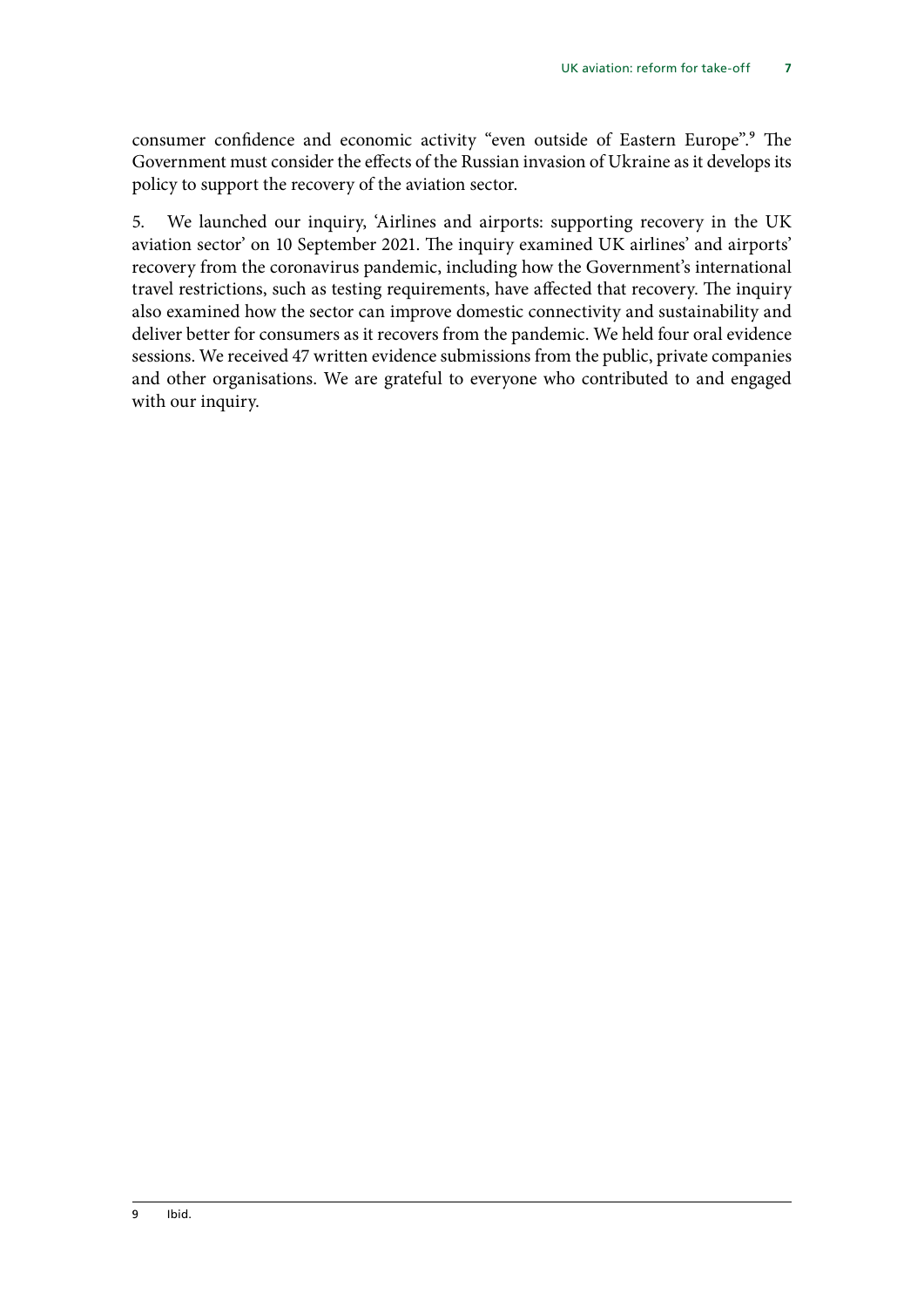consumer confidence and economic activity "even outside of Eastern Europe".<sup>9</sup> The Government must consider the effects of the Russian invasion of Ukraine as it develops its policy to support the recovery of the aviation sector.

5. We launched our inquiry, 'Airlines and airports: supporting recovery in the UK aviation sector' on 10 September 2021. The inquiry examined UK airlines' and airports' recovery from the coronavirus pandemic, including how the Government's international travel restrictions, such as testing requirements, have affected that recovery. The inquiry also examined how the sector can improve domestic connectivity and sustainability and deliver better for consumers as it recovers from the pandemic. We held four oral evidence sessions. We received 47 written evidence submissions from the public, private companies and other organisations. We are grateful to everyone who contributed to and engaged with our inquiry.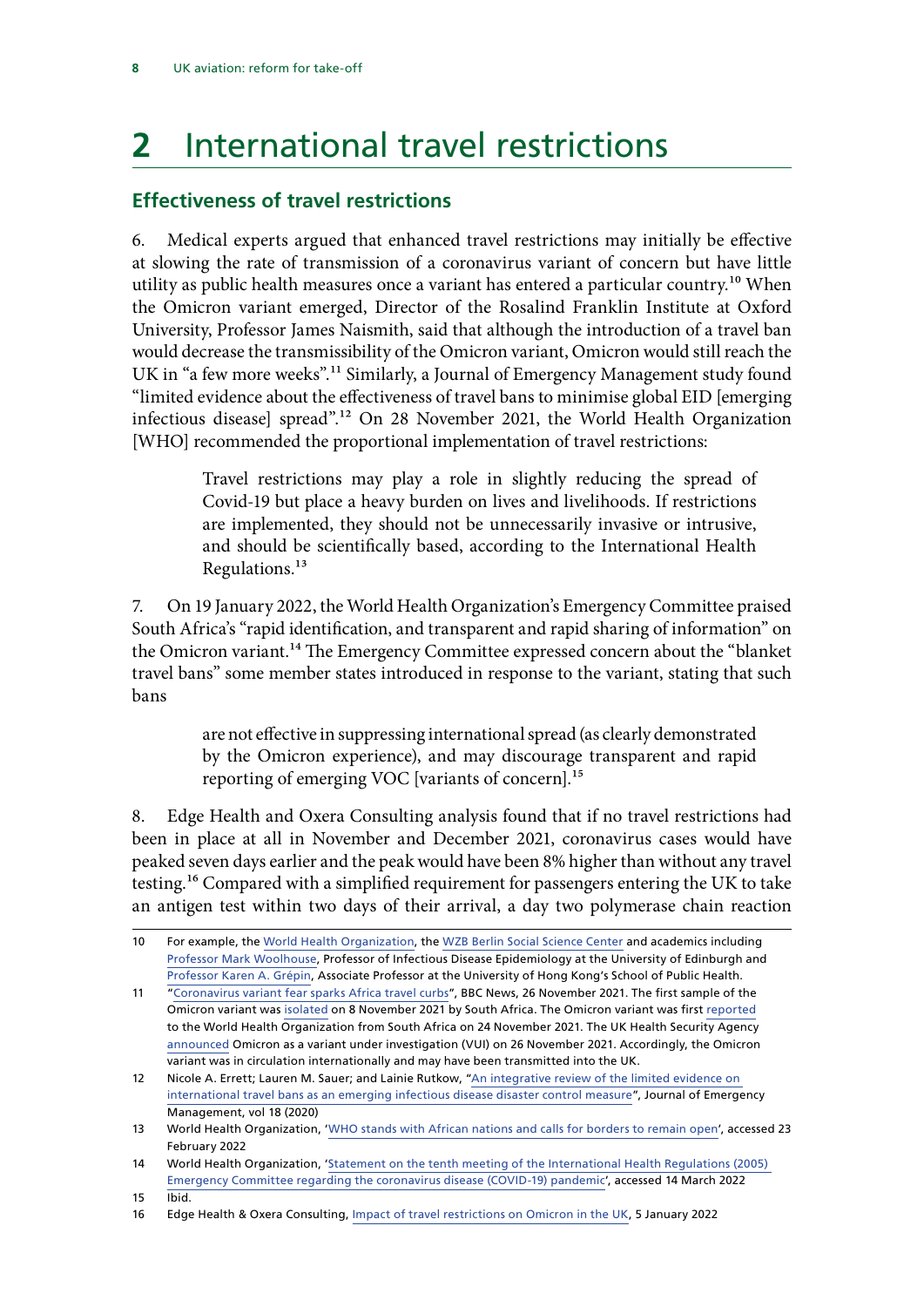## <span id="page-9-0"></span>**2** International travel restrictions

### **Effectiveness of travel restrictions**

6. Medical experts argued that enhanced travel restrictions may initially be effective at slowing the rate of transmission of a coronavirus variant of concern but have little utility as public health measures once a variant has entered a particular country.<sup>10</sup> When the Omicron variant emerged, Director of the Rosalind Franklin Institute at Oxford University, Professor James Naismith, said that although the introduction of a travel ban would decrease the transmissibility of the Omicron variant, Omicron would still reach the UK in "a few more weeks".11 Similarly, a Journal of Emergency Management study found "limited evidence about the effectiveness of travel bans to minimise global EID [emerging infectious disease] spread".12 On 28 November 2021, the World Health Organization [WHO] recommended the proportional implementation of travel restrictions:

> Travel restrictions may play a role in slightly reducing the spread of Covid-19 but place a heavy burden on lives and livelihoods. If restrictions are implemented, they should not be unnecessarily invasive or intrusive, and should be scientifically based, according to the International Health Regulations.13

7. On 19 January 2022, the World Health Organization's Emergency Committee praised South Africa's "rapid identification, and transparent and rapid sharing of information" on the Omicron variant.<sup>14</sup> The Emergency Committee expressed concern about the "blanket travel bans" some member states introduced in response to the variant, stating that such bans

> are not effective in suppressing international spread (as clearly demonstrated by the Omicron experience), and may discourage transparent and rapid reporting of emerging VOC [variants of concern].<sup>15</sup>

8. Edge Health and Oxera Consulting analysis found that if no travel restrictions had been in place at all in November and December 2021, coronavirus cases would have peaked seven days earlier and the peak would have been 8% higher than without any travel testing.16 Compared with a simplified requirement for passengers entering the UK to take an antigen test within two days of their arrival, a day two polymerase chain reaction

15 Ibid.

<sup>10</sup> For example, the [World Health Organization](https://www.afro.who.int/news/who-stands-african-nations-and-calls-borders-remain-open), the [WZB Berlin Social Science Center](https://www.wzb.eu/en/press-release/stopping-the-virus-and-closing-borders) and academics including [Professor Mark Woolhouse](https://www.bbc.co.uk/news/59461861), Professor of Infectious Disease Epidemiology at the University of Edinburgh and [Professor Karen A. Grépin,](https://global.upenn.edu/sites/default/files/perry-world-house/GrepinGSC21ThoughtPiece.pdf) Associate Professor at the University of Hong Kong's School of Public Health.

<sup>11 &</sup>quot;[Coronavirus variant fear sparks Africa travel curbs](https://www.bbc.co.uk/news/uk-59424269)", BBC News, 26 November 2021. The first sample of the Omicron variant was [isolated](https://www.bmj.com/content/375/bmj.n3013) on 8 November 2021 by South Africa. The Omicron variant was first [reported](https://www.who.int/news/item/26-11-2021-classification-of-omicron-(b.1.1.529)-sars-cov-2-variant-of-concern) to the World Health Organization from South Africa on 24 November 2021. The UK Health Security Agency [announced](https://www.gov.uk/government/news/covid-19-variants-identified-in-the-uk) Omicron as a variant under investigation (VUI) on 26 November 2021. Accordingly, the Omicron variant was in circulation internationally and may have been transmitted into the UK.

<sup>12</sup> Nicole A. Errett; Lauren M. Sauer; and Lainie Rutkow, ["An integrative review of the limited evidence on](https://www.wmpllc.org/ojs/index.php/jem/article/view/2688/pdf)  [international travel bans as an emerging infectious disease disaster control measure"](https://www.wmpllc.org/ojs/index.php/jem/article/view/2688/pdf), Journal of Emergency Management, vol 18 (2020)

<sup>13</sup> World Health Organization, '[WHO stands with African nations and calls for borders to remain open'](https://www.afro.who.int/news/who-stands-african-nations-and-calls-borders-remain-open), accessed 23 February 2022

<sup>14</sup> World Health Organization, '[Statement on the tenth meeting of the International Health Regulations \(2005\)](https://www.who.int/news/item/19-01-2022-statement-on-the-tenth-meeting-of-the-international-health-regulations-(2005)-emergency-committee-regarding-the-coronavirus-disease-(covid-19)-pandemic)  [Emergency Committee regarding the coronavirus disease \(COVID-19\) pandemic](https://www.who.int/news/item/19-01-2022-statement-on-the-tenth-meeting-of-the-international-health-regulations-(2005)-emergency-committee-regarding-the-coronavirus-disease-(covid-19)-pandemic)', accessed 14 March 2022

<sup>16</sup> Edge Health & Oxera Consulting, [Impact of travel restrictions on Omicron in the UK](https://www.oxera.com/wp-content/uploads/2022/01/Impact-of-travel-restrictions-on-Omicron_final-1.pdf), 5 January 2022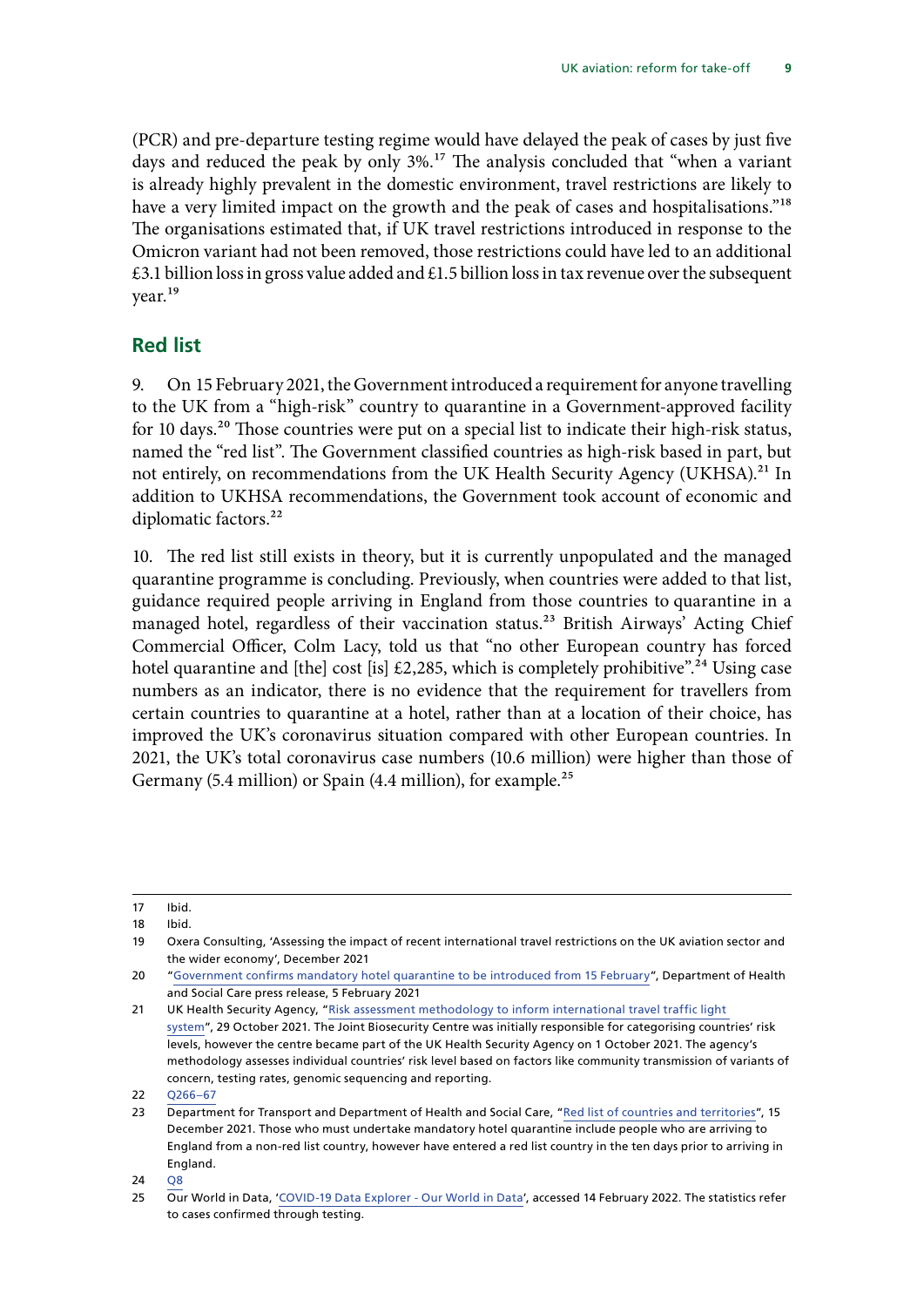<span id="page-10-0"></span>(PCR) and pre-departure testing regime would have delayed the peak of cases by just five days and reduced the peak by only 3%.<sup>17</sup> The analysis concluded that "when a variant is already highly prevalent in the domestic environment, travel restrictions are likely to have a very limited impact on the growth and the peak of cases and hospitalisations."<sup>18</sup> The organisations estimated that, if UK travel restrictions introduced in response to the Omicron variant had not been removed, those restrictions could have led to an additional  $\text{\pounds}3.1$  billion loss in gross value added and  $\text{\pounds}1.5$  billion loss in tax revenue over the subsequent year.19

### **Red list**

9. On 15 February 2021, the Government introduced a requirement for anyone travelling to the UK from a "high-risk" country to quarantine in a Government-approved facility for 10 days.<sup>20</sup> Those countries were put on a special list to indicate their high-risk status, named the "red list". The Government classified countries as high-risk based in part, but not entirely, on recommendations from the UK Health Security Agency (UKHSA).<sup>21</sup> In addition to UKHSA recommendations, the Government took account of economic and diplomatic factors.<sup>22</sup>

10. The red list still exists in theory, but it is currently unpopulated and the managed quarantine programme is concluding. Previously, when countries were added to that list, guidance required people arriving in England from those countries to quarantine in a managed hotel, regardless of their vaccination status.<sup>23</sup> British Airways' Acting Chief Commercial Officer, Colm Lacy, told us that "no other European country has forced hotel quarantine and [the] cost [is]  $\text{\pounds}2,285$ , which is completely prohibitive".<sup>24</sup> Using case numbers as an indicator, there is no evidence that the requirement for travellers from certain countries to quarantine at a hotel, rather than at a location of their choice, has improved the UK's coronavirus situation compared with other European countries. In 2021, the UK's total coronavirus case numbers (10.6 million) were higher than those of Germany (5.4 million) or Spain (4.4 million), for example.<sup>25</sup>

<sup>17</sup> Ibid.

<sup>18</sup> Ibid.

<sup>19</sup> Oxera Consulting, 'Assessing the impact of recent international travel restrictions on the UK aviation sector and the wider economy', December 2021

<sup>20</sup> "[Government confirms mandatory hotel quarantine to be introduced from 15 February"](https://www.gov.uk/government/news/government-confirms-mandatory-hotel-quarantine-to-be-introduced-from-15-february), Department of Health and Social Care press release, 5 February 2021

<sup>21</sup> UK Health Security Agency, "Risk assessment methodology to inform international travel traffic light [system"](https://www.gov.uk/government/publications/covid-19-risk-assessment-methodology-to-inform-international-travel-traffic-light-system/risk-assessment-methodology-to-inform-international-travel-traffic-light-system), 29 October 2021. The Joint Biosecurity Centre was initially responsible for categorising countries' risk levels, however the centre became part of the UK Health Security Agency on 1 October 2021. The agency's methodology assesses individual countries' risk level based on factors like community transmission of variants of concern, testing rates, genomic sequencing and reporting.

<sup>22</sup> [Q266–67](https://committees.parliament.uk/oralevidence/3213/pdf/)

<sup>23</sup> Department for Transport and Department of Health and Social Care, "[Red list of countries and territories"](https://www.gov.uk/guidance/red-list-of-countries-and-territories), 15 December 2021. Those who must undertake mandatory hotel quarantine include people who are arriving to England from a non-red list country, however have entered a red list country in the ten days prior to arriving in England.

<sup>24</sup> [Q8](https://committees.parliament.uk/oralevidence/2776/pdf/)

<sup>25</sup> Our World in Data, '[COVID-19 Data Explorer - Our World in Data](https://ourworldindata.org/explorers/coronavirus-data-explorer?time=2021-01-01..2021-12-31&facet=none&uniformYAxis=0&Metric=Confirmed+cases&Interval=Cumulative&Relative+to+Population=false&Color+by+test+positivity=false&country=USA~CAN~DEU~GBR~FRA~JPN~ESP)', accessed 14 February 2022. The statistics refer to cases confirmed through testing.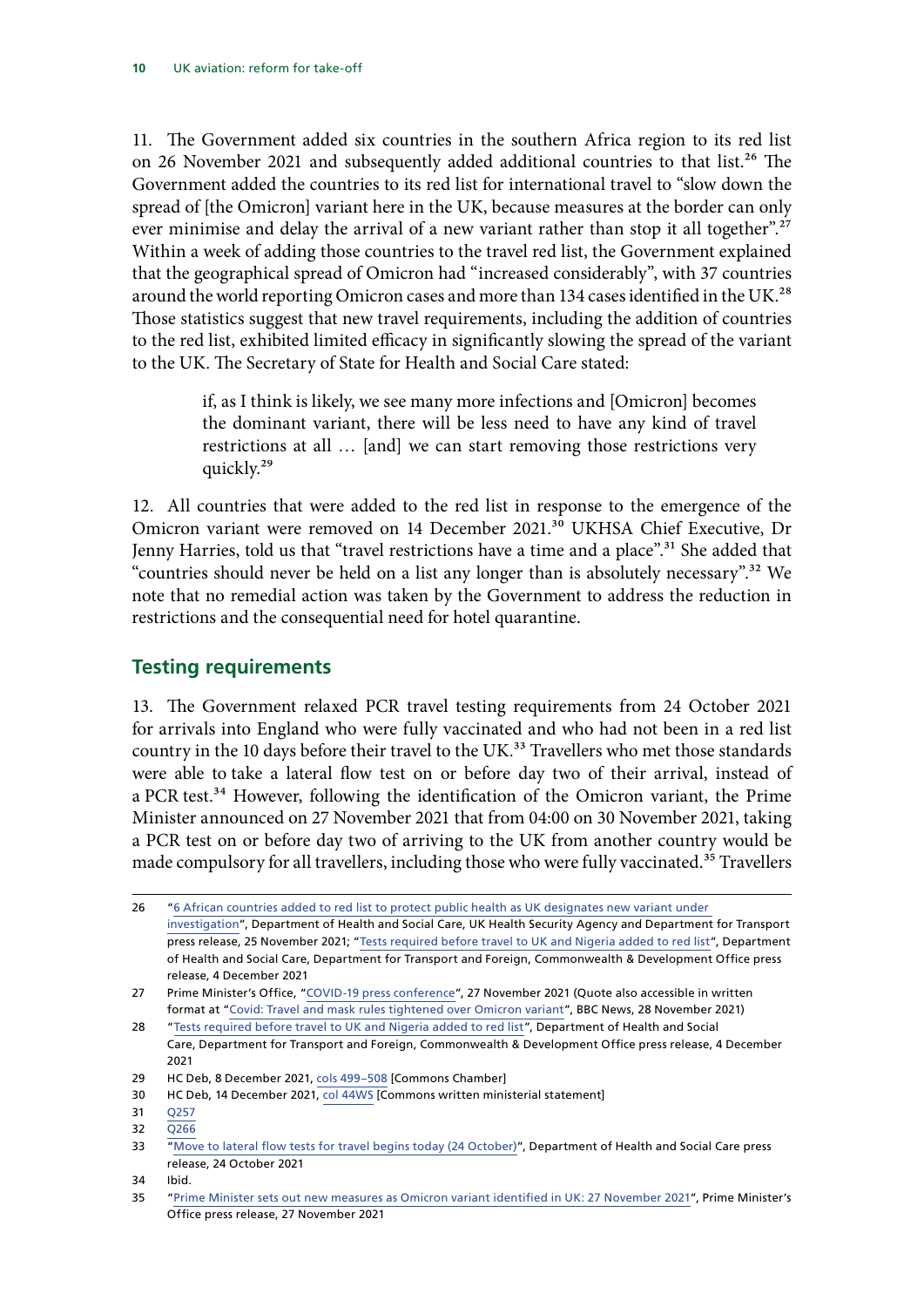<span id="page-11-0"></span>11. The Government added six countries in the southern Africa region to its red list on 26 November 2021 and subsequently added additional countries to that list.<sup>26</sup> The Government added the countries to its red list for international travel to "slow down the spread of [the Omicron] variant here in the UK, because measures at the border can only ever minimise and delay the arrival of a new variant rather than stop it all together".<sup>27</sup> Within a week of adding those countries to the travel red list, the Government explained that the geographical spread of Omicron had "increased considerably", with 37 countries around the world reporting Omicron cases and more than 134 cases identified in the UK.<sup>28</sup> Those statistics suggest that new travel requirements, including the addition of countries to the red list, exhibited limited efficacy in significantly slowing the spread of the variant to the UK. The Secretary of State for Health and Social Care stated:

> if, as I think is likely, we see many more infections and [Omicron] becomes the dominant variant, there will be less need to have any kind of travel restrictions at all … [and] we can start removing those restrictions very quickly.29

12. All countries that were added to the red list in response to the emergence of the Omicron variant were removed on 14 December 2021.<sup>30</sup> UKHSA Chief Executive, Dr Jenny Harries, told us that "travel restrictions have a time and a place".<sup>31</sup> She added that "countries should never be held on a list any longer than is absolutely necessary".32 We note that no remedial action was taken by the Government to address the reduction in restrictions and the consequential need for hotel quarantine.

### **Testing requirements**

13. The Government relaxed PCR travel testing requirements from 24 October 2021 for arrivals into England who were fully vaccinated and who had not been in a red list country in the 10 days before their travel to the UK.<sup>33</sup> Travellers who met those standards were able to [take a lateral flow test on or before day two of their arrival, instead of](https://www.gov.uk/government/news/lateral-flow-tests-to-be-introduced-for-vaccinated-international-arrivals) a [PCR](https://www.gov.uk/government/news/lateral-flow-tests-to-be-introduced-for-vaccinated-international-arrivals) test.<sup>34</sup> However, following the identification of the Omicron variant, the Prime Minister announced on 27 November 2021 that from 04:00 on 30 November 2021, taking a PCR test on or before day two of arriving to the UK from another country would be made compulsory for all travellers, including those who were fully vaccinated.<sup>35</sup> Travellers

<sup>26</sup> "[6 African countries added to red list to protect public health as UK designates new variant under](https://www.gov.uk/government/news/six-african-countries-added-to-red-list-to-protect-public-health-as-uk-designates-new-variant-under-investigation)  [investigation](https://www.gov.uk/government/news/six-african-countries-added-to-red-list-to-protect-public-health-as-uk-designates-new-variant-under-investigation)", Department of Health and Social Care, UK Health Security Agency and Department for Transport press release, 25 November 2021; "[Tests required before travel to UK and Nigeria added to red list"](https://www.gov.uk/government/news/tests-required-before-travel-to-uk-and-nigeria-added-to-red-list), Department of Health and Social Care, Department for Transport and Foreign, Commonwealth & Development Office press release, 4 December 2021

<sup>27</sup> Prime Minister's Office, ["COVID-19 press conference](https://www.youtube.com/watch?v=mzBYvJNhBag)", 27 November 2021 (Quote also accessible in written format at "[Covid: Travel and mask rules tightened over Omicron variant"](https://www.bbc.co.uk/news/uk-59445124), BBC News, 28 November 2021)

<sup>28</sup> "[Tests required before travel to UK and Nigeria added to red list"](https://www.gov.uk/government/news/tests-required-before-travel-to-uk-and-nigeria-added-to-red-list), Department of Health and Social Care, Department for Transport and Foreign, Commonwealth & Development Office press release, 4 December 2021

<sup>29</sup> HC Deb, 8 December 2021, [cols 499–508](https://hansard.parliament.uk/Commons/2021-12-08/debates/F626B01D-122B-4A1B-8419-E0FDCEFA19A8/Covid-19Update?highlight=very%20soon%20days%20weeks%20that%20lie%20ahead%20think%20likely) [Commons Chamber]

<sup>30</sup> HC Deb, 14 December 2021, [col 44WS](https://hansard.parliament.uk/commons/2021-12-14/debates/21121479000018/TravelRedList) [Commons written ministerial statement]

<sup>31</sup> [Q257](https://committees.parliament.uk/oralevidence/3212/pdf/)

<sup>32</sup> [Q266](https://committees.parliament.uk/oralevidence/3212/pdf/)

<sup>33</sup> "[Move to lateral flow tests for travel begins today \(24 October\)](https://www.gov.uk/government/news/move-to-lateral-flow-tests-for-travel-begins-today)", Department of Health and Social Care press release, 24 October 2021

<sup>34</sup> Ibid.

<sup>35</sup> "[Prime Minister sets out new measures as Omicron variant identified in UK: 27 November 2021"](https://www.gov.uk/government/news/prime-minister-sets-out-new-measures-as-omicron-variant-identified-in-uk-27-november-2021), Prime Minister's Office press release, 27 November 2021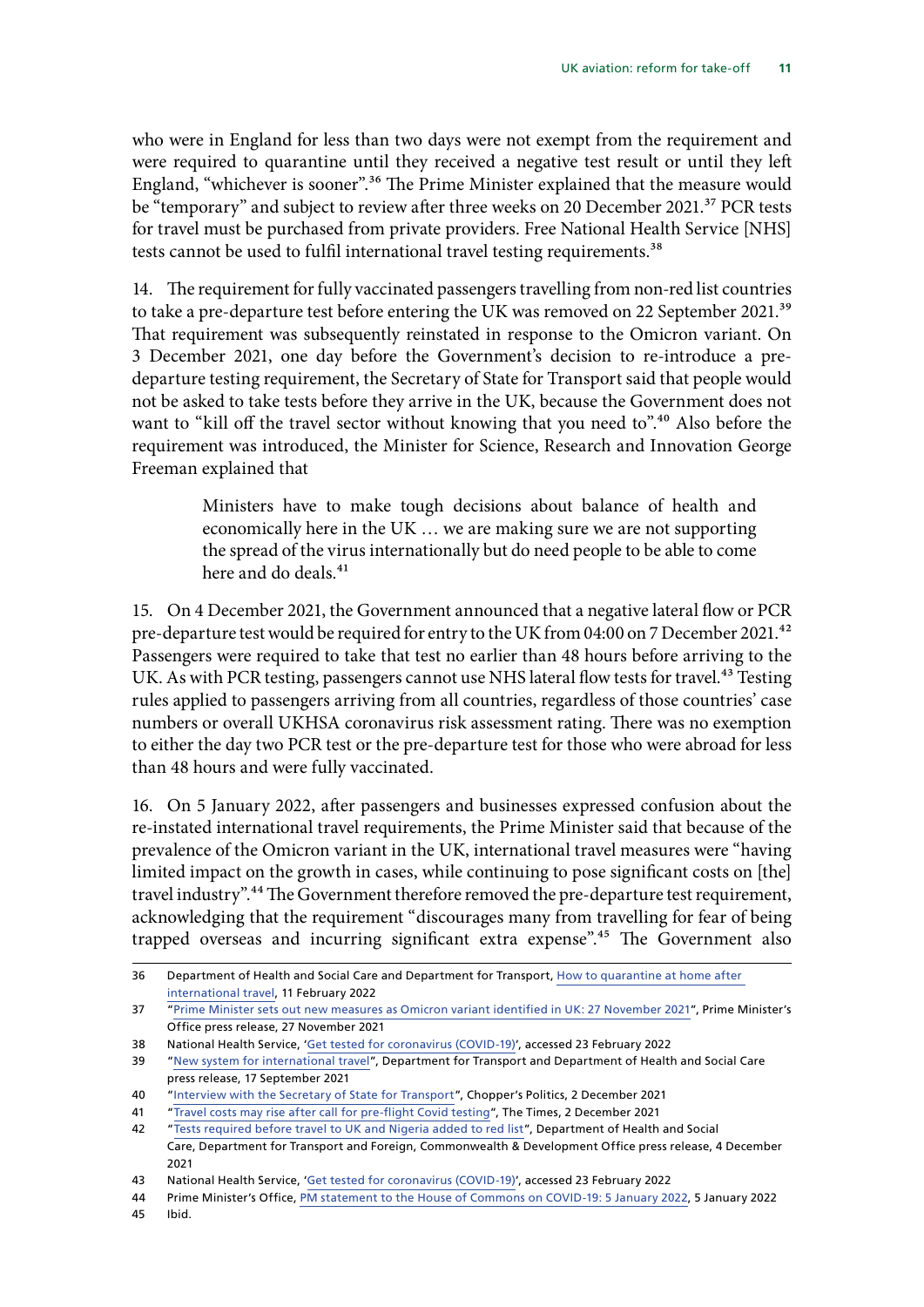who were in England for less than two days were not exempt from the requirement and were required to quarantine until they received a negative test result or until they left England, "whichever is sooner".<sup>36</sup> The Prime Minister explained that the measure would be "temporary" and subject to review after three weeks on 20 December 2021.<sup>37</sup> PCR tests for travel must be purchased from private providers. Free National Health Service [NHS] tests cannot be used to fulfil international travel testing requirements.<sup>38</sup>

14. The requirement for fully vaccinated passengers travelling from non-red list countries to take a pre-departure test before entering the UK was removed on 22 September 2021.<sup>39</sup> That requirement was subsequently reinstated in response to the Omicron variant. On 3 December 2021, one day before the Government's decision to re-introduce a predeparture testing requirement, the Secretary of State for Transport said that people would not be asked to take tests before they arrive in the UK, because the Government does not want to "kill off the travel sector without knowing that you need to".<sup>40</sup> Also before the requirement was introduced, the Minister for Science, Research and Innovation George Freeman explained that

> Ministers have to make tough decisions about balance of health and economically here in the UK … we are making sure we are not supporting the spread of the virus internationally but do need people to be able to come here and do deals.<sup>41</sup>

15. On 4 December 2021, the Government announced that a negative lateral flow or PCR pre-departure test would be required for entry to the UK from 04:00 on 7 December 2021.<sup>42</sup> Passengers were required to take that test no earlier than 48 hours before arriving to the UK. As with PCR testing, passengers cannot use NHS lateral flow tests for travel.<sup>43</sup> Testing rules applied to passengers arriving from all countries, regardless of those countries' case numbers or overall UKHSA coronavirus risk assessment rating. There was no exemption to either the day two PCR test or the pre-departure test for those who were abroad for less than 48 hours and were fully vaccinated.

16. On 5 January 2022, after passengers and businesses expressed confusion about the re-instated international travel requirements, the Prime Minister said that because of the prevalence of the Omicron variant in the UK, international travel measures were "having limited impact on the growth in cases, while continuing to pose significant costs on [the] travel industry".44 The Government therefore removed the pre-departure test requirement, acknowledging that the requirement "discourages many from travelling for fear of being trapped overseas and incurring significant extra expense".<sup>45</sup> The Government also

<sup>36</sup> Department of Health and Social Care and Department for Transport, [How to quarantine at home after](https://www.gov.uk/guidance/how-to-quarantine-when-you-arrive-in-england) [international travel](https://www.gov.uk/guidance/how-to-quarantine-when-you-arrive-in-england), 11 February 2022

<sup>37</sup> "[Prime Minister sets out new measures as Omicron variant identified in UK: 27 November 2021"](https://www.gov.uk/government/news/prime-minister-sets-out-new-measures-as-omicron-variant-identified-in-uk-27-november-2021), Prime Minister's Office press release, 27 November 2021

<sup>38</sup> National Health Service, '[Get tested for coronavirus \(COVID-19\)](https://www.nhs.uk/conditions/coronavirus-covid-19/testing/get-tested-for-coronavirus/)', accessed 23 February 2022

<sup>39</sup> "[New system for international travel](https://www.gov.uk/government/news/new-system-for-international-travel)", Department for Transport and Department of Health and Social Care press release, 17 September 2021

<sup>40</sup> "[Interview with the Secretary of State for Transport"](https://podcasts.apple.com/gb/podcast/pricey-pcr-tests-and-remainer-publishers/id1213415786?i=1000543781754), Chopper's Politics, 2 December 2021

<sup>41</sup> "[Travel costs may rise after call for pre-flight Covid testing"](https://www.thetimes.co.uk/article/travel-costs-may-rise-after-call-for-pre-flight-covid-testing-r2z5w70h9), The Times, 2 December 2021

<sup>42</sup> "[Tests required before travel to UK and Nigeria added to red list"](https://www.gov.uk/government/news/tests-required-before-travel-to-uk-and-nigeria-added-to-red-list), Department of Health and Social Care, Department for Transport and Foreign, Commonwealth & Development Office press release, 4 December 2021

<sup>43</sup> National Health Service, '[Get tested for coronavirus \(COVID-19\)](https://www.nhs.uk/conditions/coronavirus-covid-19/testing/get-tested-for-coronavirus/)', accessed 23 February 2022

<sup>44</sup> Prime Minister's Office, [PM statement to the House of Commons on COVID-19: 5 January 2022](https://www.gov.uk/government/speeches/pm-statement-to-the-house-of-commons-on-covid-19-5-january-2022), 5 January 2022

<sup>45</sup> Ibid.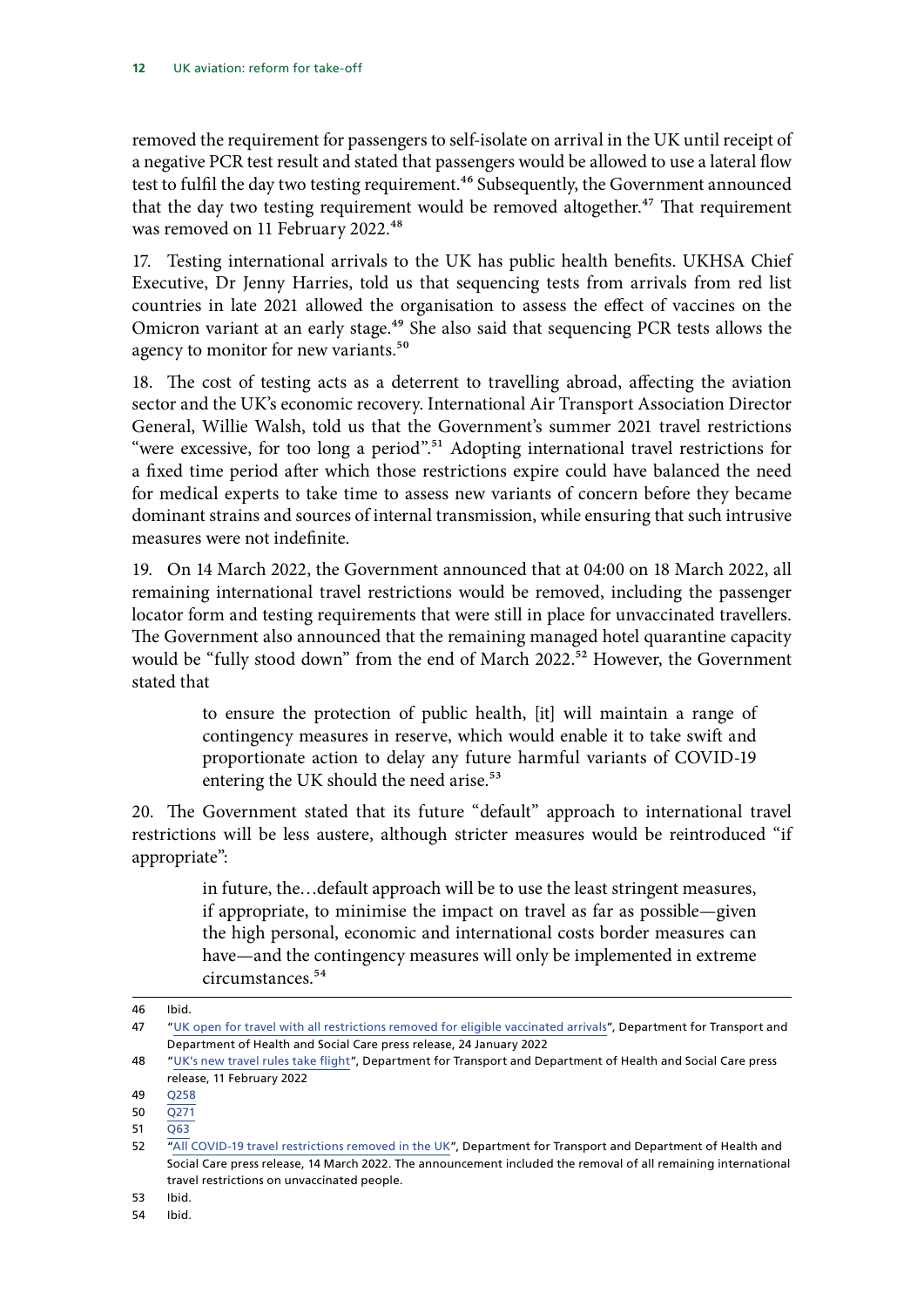removed the requirement for passengers to self-isolate on arrival in the UK until receipt of a negative PCR test result and stated that passengers would be allowed to use a lateral flow test to fulfil the day two testing requirement.<sup>46</sup> Subsequently, the Government announced that the day two testing requirement would be removed altogether.<sup>47</sup> That requirement was removed on 11 February 2022.<sup>48</sup>

17. Testing international arrivals to the UK has public health benefits. UKHSA Chief Executive, Dr Jenny Harries, told us that sequencing tests from arrivals from red list countries in late 2021 allowed the organisation to assess the effect of vaccines on the Omicron variant at an early stage.<sup>49</sup> She also said that sequencing PCR tests allows the agency to monitor for new variants.<sup>50</sup>

18. The cost of testing acts as a deterrent to travelling abroad, affecting the aviation sector and the UK's economic recovery. International Air Transport Association Director General, Willie Walsh, told us that the Government's summer 2021 travel restrictions "were excessive, for too long a period".<sup>51</sup> Adopting international travel restrictions for a fixed time period after which those restrictions expire could have balanced the need for medical experts to take time to assess new variants of concern before they became dominant strains and sources of internal transmission, while ensuring that such intrusive measures were not indefinite.

19. On 14 March 2022, the Government announced that at 04:00 on 18 March 2022, all remaining international travel restrictions would be removed, including the passenger locator form and testing requirements that were still in place for unvaccinated travellers. The Government also announced that the remaining managed hotel quarantine capacity would be "fully stood down" from the end of March 2022.<sup>52</sup> However, the Government stated that

> to ensure the protection of public health, [it] will maintain a range of contingency measures in reserve, which would enable it to take swift and proportionate action to delay any future harmful variants of COVID-19 entering the UK should the need arise.<sup>53</sup>

20. The Government stated that its future "default" approach to international travel restrictions will be less austere, although stricter measures would be reintroduced "if appropriate":

> in future, the…default approach will be to use the least stringent measures, if appropriate, to minimise the impact on travel as far as possible—given the high personal, economic and international costs border measures can have—and the contingency measures will only be implemented in extreme circumstances.54

<sup>46</sup> Ibid.

<sup>47</sup> "[UK open for travel with all restrictions removed for eligible vaccinated arrivals"](https://www.gov.uk/government/news/uk-open-for-travel-with-all-restrictions-removed-for-eligible-vaccinated-arrivals), Department for Transport and Department of Health and Social Care press release, 24 January 2022

<sup>48</sup> "[UK's new travel rules take flight"](https://www.gov.uk/government/news/uks-new-travel-rules-take-flight), Department for Transport and Department of Health and Social Care press release, 11 February 2022

<sup>49</sup> [Q258](https://committees.parliament.uk/oralevidence/3212/pdf/)

 $50 \ 0271$ 

<sup>51</sup> [Q63](https://committees.parliament.uk/oralevidence/3027/pdf/)

<sup>52</sup> ["All COVID-19 travel restrictions removed in the UK](https://www.gov.uk/government/news/all-covid-19-travel-restrictions-removed-in-the-uk?utm_medium=email&utm_campaign=govuk-notifications-topic&utm_source=30f81c9d-ad66-43e7-933d-e096fc95492b&utm_content=immediately)", Department for Transport and Department of Health and Social Care press release, 14 March 2022. The announcement included the removal of all remaining international travel restrictions on unvaccinated people.

<sup>53</sup> Ibid.

<sup>54</sup> Ibid.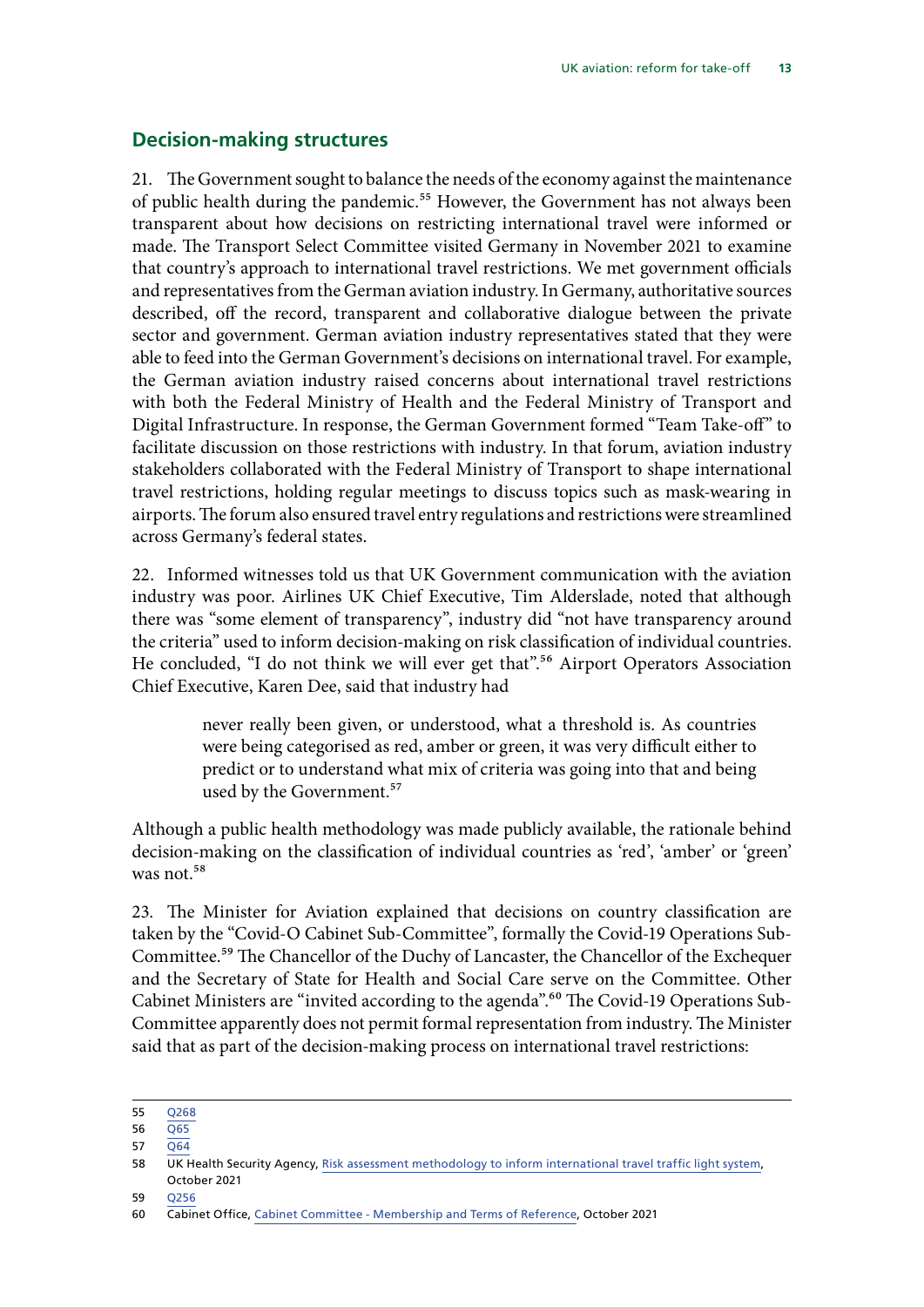### <span id="page-14-0"></span>**Decision-making structures**

21. The Government sought to balance the needs of the economy against the maintenance of public health during the pandemic.<sup>55</sup> However, the Government has not always been transparent about how decisions on restricting international travel were informed or made. The Transport Select Committee visited Germany in November 2021 to examine that country's approach to international travel restrictions. We met government officials and representatives from the German aviation industry. In Germany, authoritative sources described, off the record, transparent and collaborative dialogue between the private sector and government. German aviation industry representatives stated that they were able to feed into the German Government's decisions on international travel. For example, the German aviation industry raised concerns about international travel restrictions with both the Federal Ministry of Health and the Federal Ministry of Transport and Digital Infrastructure. In response, the German Government formed "Team Take-off" to facilitate discussion on those restrictions with industry. In that forum, aviation industry stakeholders collaborated with the Federal Ministry of Transport to shape international travel restrictions, holding regular meetings to discuss topics such as mask-wearing in airports. The forum also ensured travel entry regulations and restrictions were streamlined across Germany's federal states.

22. Informed witnesses told us that UK Government communication with the aviation industry was poor. Airlines UK Chief Executive, Tim Alderslade, noted that although there was "some element of transparency", industry did "not have transparency around the criteria" used to inform decision-making on risk classification of individual countries. He concluded, "I do not think we will ever get that".<sup>56</sup> Airport Operators Association Chief Executive, Karen Dee, said that industry had

> never really been given, or understood, what a threshold is. As countries were being categorised as red, amber or green, it was very difficult either to predict or to understand what mix of criteria was going into that and being used by the Government.<sup>57</sup>

Although a public health methodology was made publicly available, the rationale behind decision-making on the classification of individual countries as 'red', 'amber' or 'green' was not.<sup>58</sup>

23. The Minister for Aviation explained that decisions on country classification are taken by the "Covid-O Cabinet Sub-Committee", formally the Covid-19 Operations Sub-Committee.59 The Chancellor of the Duchy of Lancaster, the Chancellor of the Exchequer and the Secretary of State for Health and Social Care serve on the Committee. Other Cabinet Ministers are "invited according to the agenda".<sup>60</sup> The Covid-19 Operations Sub-Committee apparently does not permit formal representation from industry. The Minister said that as part of the decision-making process on international travel restrictions:

<sup>55</sup> [Q268](https://committees.parliament.uk/oralevidence/3213/pdf/)

<sup>56</sup> [Q65](https://committees.parliament.uk/oralevidence/3027/pdf/)

<sup>57</sup> [Q64](https://committees.parliament.uk/oralevidence/3027/pdf/)

<sup>58</sup> UK Health Security Agency, [Risk assessment methodology to inform international travel traffic light system](https://www.gov.uk/government/publications/covid-19-risk-assessment-methodology-to-inform-international-travel-traffic-light-system/risk-assessment-methodology-to-inform-international-travel-traffic-light-system), October 2021

<sup>59</sup> [Q256](https://committees.parliament.uk/oralevidence/3213/pdf/)

<sup>60</sup> Cabinet Office, [Cabinet Committee - Membership and Terms of Reference,](https://assets.publishing.service.gov.uk/government/uploads/system/uploads/attachment_data/file/1027921/Cabinet_Committee_-_Membership_and_ToRs__October_2021___2_.pdf) October 2021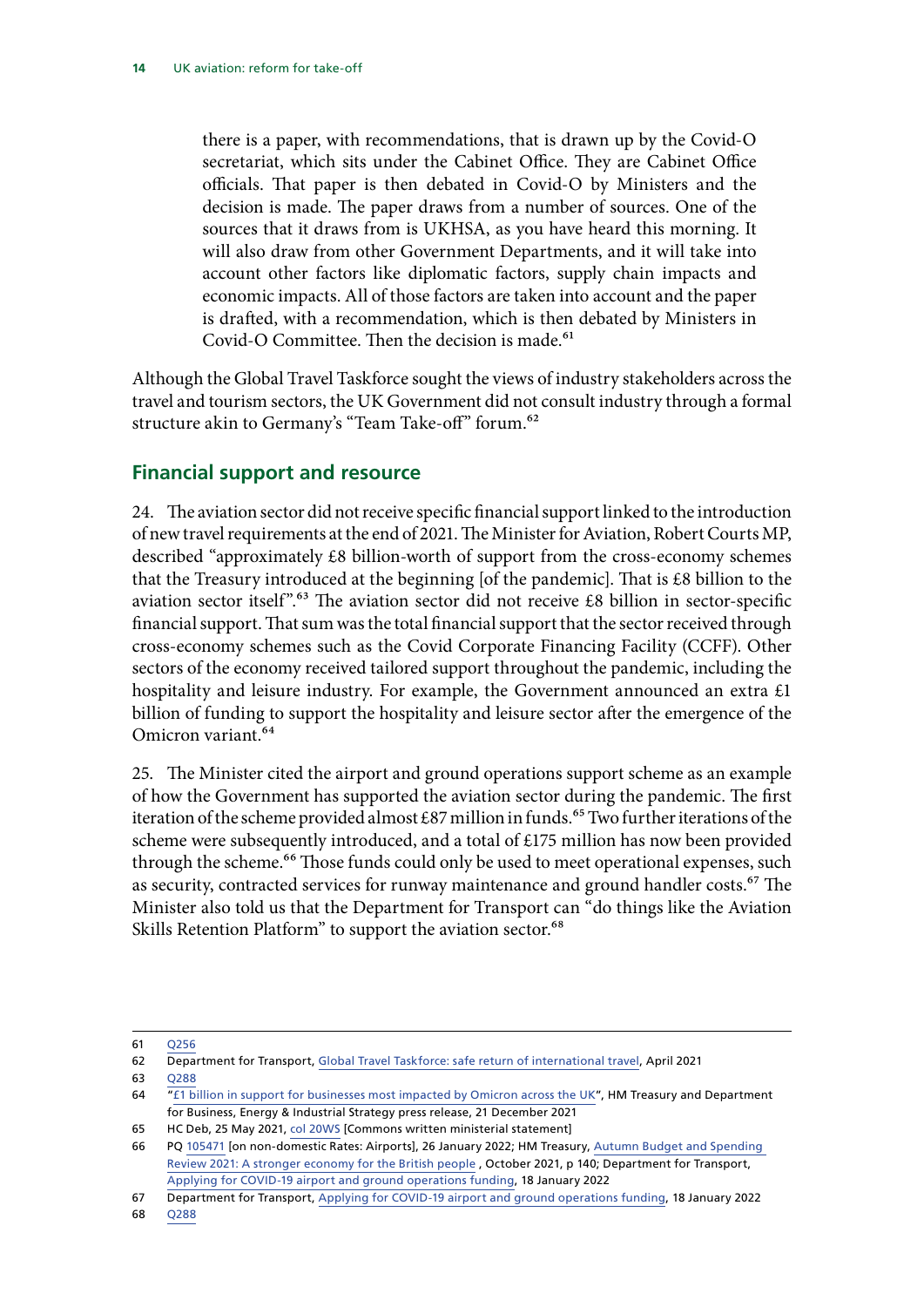<span id="page-15-0"></span>there is a paper, with recommendations, that is drawn up by the Covid-O secretariat, which sits under the Cabinet Office. They are Cabinet Office officials. That paper is then debated in Covid-O by Ministers and the decision is made. The paper draws from a number of sources. One of the sources that it draws from is UKHSA, as you have heard this morning. It will also draw from other Government Departments, and it will take into account other factors like diplomatic factors, supply chain impacts and economic impacts. All of those factors are taken into account and the paper is drafted, with a recommendation, which is then debated by Ministers in Covid-O Committee. Then the decision is made.<sup>61</sup>

Although the Global Travel Taskforce sought the views of industry stakeholders across the travel and tourism sectors, the UK Government did not consult industry through a formal structure akin to Germany's "Team Take-off" forum.<sup>62</sup>

### **Financial support and resource**

24. The aviation sector did not receive specific financial support linked to the introduction of new travel requirements at the end of 2021. The Minister for Aviation, Robert Courts MP, described "approximately £8 billion-worth of support from the cross-economy schemes that the Treasury introduced at the beginning [of the pandemic]. That is £8 billion to the aviation sector itself".<sup>63</sup> The aviation sector did not receive £8 billion in sector-specific financial support. That sum was the total financial support that the sector received through cross-economy schemes such as the Covid Corporate Financing Facility (CCFF). Other sectors of the economy received tailored support throughout the pandemic, including the hospitality and leisure industry. For example, the Government announced an extra £1 billion of funding to support the hospitality and leisure sector after the emergence of the Omicron variant.64

25. The Minister cited the airport and ground operations support scheme as an example of how the Government has supported the aviation sector during the pandemic. The first iteration of the scheme provided almost £87 million in funds.<sup>65</sup> Two further iterations of the scheme were subsequently introduced, and a total of £175 million has now been provided through the scheme.<sup>66</sup> Those funds could only be used to meet operational expenses, such as security, contracted services for runway maintenance and ground handler costs.<sup>67</sup> The Minister also told us that the Department for Transport can "do things like the Aviation Skills Retention Platform" to support the aviation sector.<sup>68</sup>

63 [Q288](https://committees.parliament.uk/oralevidence/3213/pdf/)

65 HC Deb, 25 May 2021, [col 20WS](https://hansard.parliament.uk/commons/2021-05-25/debates/21052520000011/AirportAndGroundOperationsSupportScheme) [Commons written ministerial statement]

<sup>61</sup> [Q256](https://committees.parliament.uk/oralevidence/3213/pdf/)

<sup>62</sup> Department for Transport, [Global Travel Taskforce: safe return of international travel](https://www.gov.uk/government/publications/global-travel-taskforce-safe-return-of-international-travel), April 2021

<sup>64</sup> "[£1 billion in support for businesses most impacted by Omicron across the UK"](https://www.gov.uk/government/news/1-billion-in-support-for-businesses-most-impacted-by-omicron-across-the-uk), HM Treasury and Department for Business, Energy & Industrial Strategy press release, 21 December 2021

<sup>66</sup> PQ [105471](https://questions-statements.parliament.uk/written-questions/detail/2022-01-17/105471) [on non-domestic Rates: Airports], 26 January 2022; HM Treasury, [Autumn Budget and Spending](https://assets.publishing.service.gov.uk/government/uploads/system/uploads/attachment_data/file/1043688/Budget_AB2021_Print.pdf)  [Review 2021: A stronger economy for the British people](https://assets.publishing.service.gov.uk/government/uploads/system/uploads/attachment_data/file/1043688/Budget_AB2021_Print.pdf) , October 2021, p 140; Department for Transport, Applying for COVID-19 airport and ground operations funding, 18 January 2022

<sup>67</sup> Department for Transport, Applying for COVID-19 airport and ground operations funding, 18 January 2022

<sup>68</sup> [Q288](https://committees.parliament.uk/oralevidence/3213/pdf/)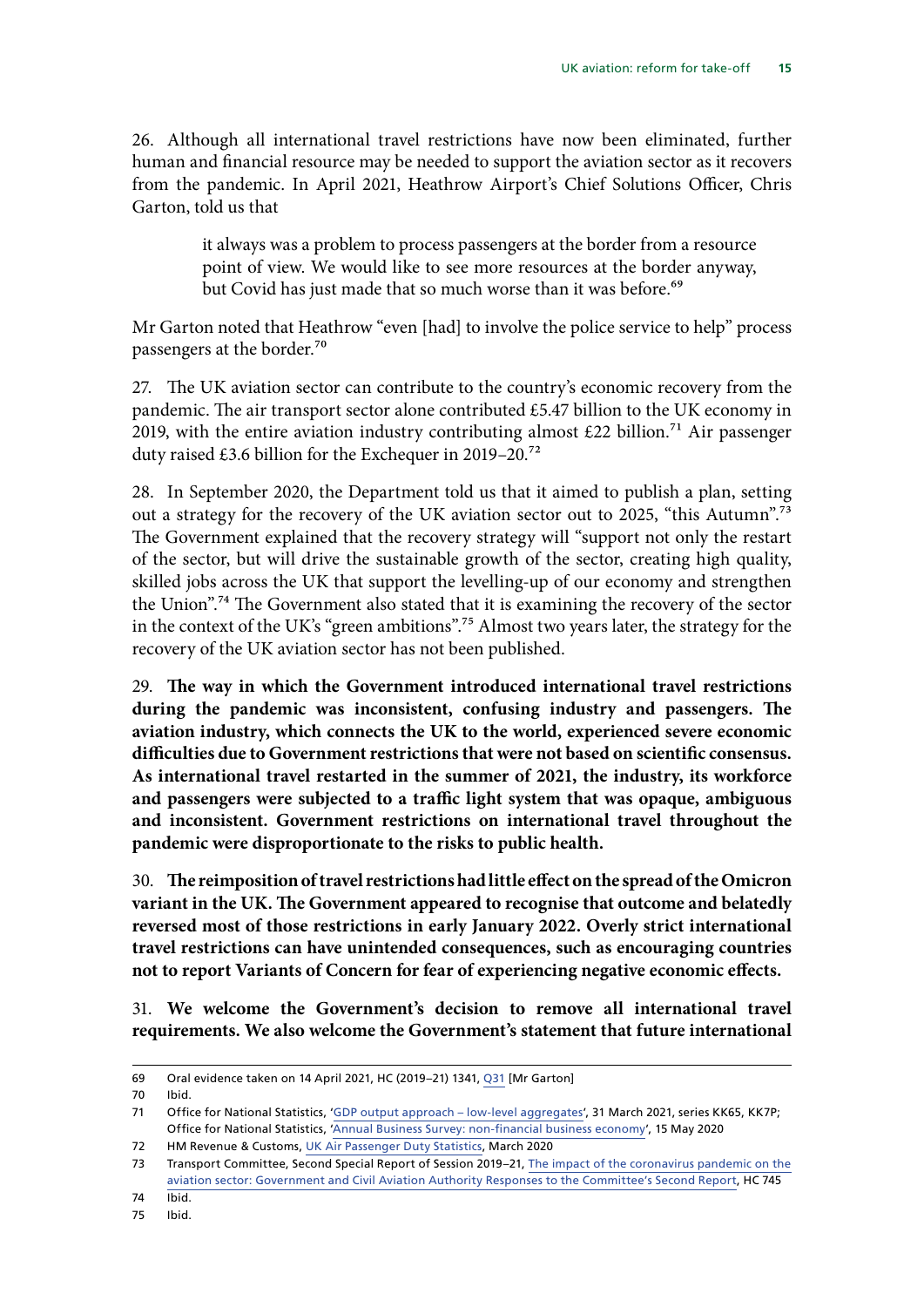26. Although all international travel restrictions have now been eliminated, further human and financial resource may be needed to support the aviation sector as it recovers from the pandemic. In April 2021, Heathrow Airport's Chief Solutions Officer, Chris Garton, told us that

> it always was a problem to process passengers at the border from a resource point of view. We would like to see more resources at the border anyway, but Covid has just made that so much worse than it was before.<sup>69</sup>

Mr Garton noted that Heathrow "even [had] to involve the police service to help" process passengers at the border.70

27. The UK aviation sector can contribute to the country's economic recovery from the pandemic. The air transport sector alone contributed £5.47 billion to the UK economy in 2019, with the entire aviation industry contributing almost £22 billion.<sup>71</sup> Air passenger duty raised £3.6 billion for the Exchequer in 2019–20.72

28. In September 2020, the Department told us that it aimed to publish a plan, setting out a strategy for the recovery of the UK aviation sector out to 2025, "this Autumn".<sup>73</sup> The Government explained that the recovery strategy will "support not only the restart of the sector, but will drive the sustainable growth of the sector, creating high quality, skilled jobs across the UK that support the levelling-up of our economy and strengthen the Union".74 The Government also stated that it is examining the recovery of the sector in the context of the UK's "green ambitions".75 Almost two years later, the strategy for the recovery of the UK aviation sector has not been published.

29. **The way in which the Government introduced international travel restrictions during the pandemic was inconsistent, confusing industry and passengers. The aviation industry, which connects the UK to the world, experienced severe economic difficulties due to Government restrictions that were not based on scientific consensus. As international travel restarted in the summer of 2021, the industry, its workforce and passengers were subjected to a traffic light system that was opaque, ambiguous and inconsistent. Government restrictions on international travel throughout the pandemic were disproportionate to the risks to public health.**

30. **The reimposition of travel restrictions had little effect on the spread of the Omicron variant in the UK. The Government appeared to recognise that outcome and belatedly reversed most of those restrictions in early January 2022. Overly strict international travel restrictions can have unintended consequences, such as encouraging countries not to report Variants of Concern for fear of experiencing negative economic effects.**

31. **We welcome the Government's decision to remove all international travel requirements. We also welcome the Government's statement that future international** 

<sup>69</sup> Oral evidence taken on 14 April 2021, HC (2019–21) 1341, [Q31](https://committees.parliament.uk/oralevidence/2007/pdf/) [Mr Garton]

<sup>70</sup> Ibid.

<sup>71</sup> Office for National Statistics, '[GDP output approach – low-level aggregates'](https://www.ons.gov.uk/economy/grossdomesticproductgdp/datasets/ukgdpolowlevelaggregates/current), 31 March 2021, series KK65, KK7P; Office for National Statistics, ['Annual Business Survey: non-financial business economy](https://www.ons.gov.uk/businessindustryandtrade/business/businessservices/bulletins/nonfinancialbusinesseconomyukandregionalannualbusinesssurvey/2018revisedresults)', 15 May 2020

<sup>72</sup> HM Revenue & Customs, [UK Air Passenger Duty Statistics,](https://view.officeapps.live.com/op/view.aspx?src=https%3A%2F%2Fwebarchive.nationalarchives.gov.uk%2Fukgwa%2F20210507165147mp_%2Fhttps%3A%2F%2Fassets.publishing.service.gov.uk%2Fgovernment%2Fuploads%2Fsystem%2Fuploads%2Fattachment_data%2Ffile%2F881785%2F2020_Mar_APD_Tables.xlsx&wdOrigin=BROWSELINK) March 2020

<sup>73</sup> Transport Committee, Second Special Report of Session 2019–21, [The impact of the coronavirus pandemic on the](https://committees.parliament.uk/publications/2338/documents/23026/default/) [aviation sector: Government and Civil Aviation Authority Responses to the Committee's Second Report,](https://committees.parliament.uk/publications/2338/documents/23026/default/) HC 745

<sup>74</sup> Ibid.

<sup>75</sup> Ibid.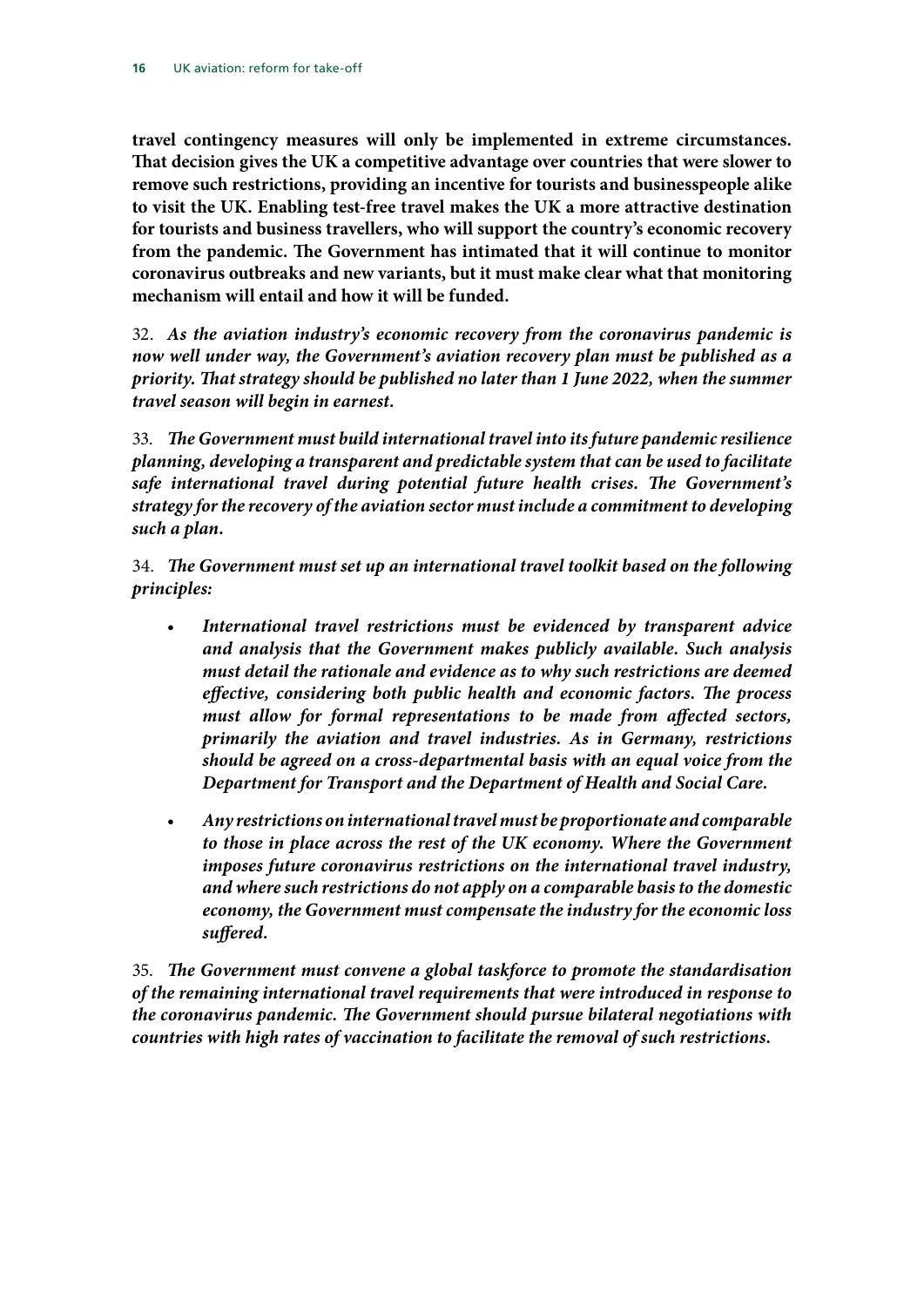**travel contingency measures will only be implemented in extreme circumstances. That decision gives the UK a competitive advantage over countries that were slower to remove such restrictions, providing an incentive for tourists and businesspeople alike to visit the UK. Enabling test-free travel makes the UK a more attractive destination for tourists and business travellers, who will support the country's economic recovery from the pandemic. The Government has intimated that it will continue to monitor coronavirus outbreaks and new variants, but it must make clear what that monitoring mechanism will entail and how it will be funded.**

32. *As the aviation industry's economic recovery from the coronavirus pandemic is now well under way, the Government's aviation recovery plan must be published as a priority. That strategy should be published no later than 1 June 2022, when the summer travel season will begin in earnest.*

33. *The Government must build international travel into its future pandemic resilience planning, developing a transparent and predictable system that can be used to facilitate safe international travel during potential future health crises. The Government's strategy for the recovery of the aviation sector must include a commitment to developing such a plan.*

34. *The Government must set up an international travel toolkit based on the following principles:*

- *International travel restrictions must be evidenced by transparent advice and analysis that the Government makes publicly available. Such analysis must detail the rationale and evidence as to why such restrictions are deemed effective, considering both public health and economic factors. The process must allow for formal representations to be made from affected sectors, primarily the aviation and travel industries. As in Germany, restrictions should be agreed on a cross-departmental basis with an equal voice from the Department for Transport and the Department of Health and Social Care.*
- *Any restrictions on international travel must be proportionate and comparable to those in place across the rest of the UK economy. Where the Government imposes future coronavirus restrictions on the international travel industry, and where such restrictions do not apply on a comparable basis to the domestic economy, the Government must compensate the industry for the economic loss suffered.*

35. *The Government must convene a global taskforce to promote the standardisation of the remaining international travel requirements that were introduced in response to the coronavirus pandemic. The Government should pursue bilateral negotiations with countries with high rates of vaccination to facilitate the removal of such restrictions.*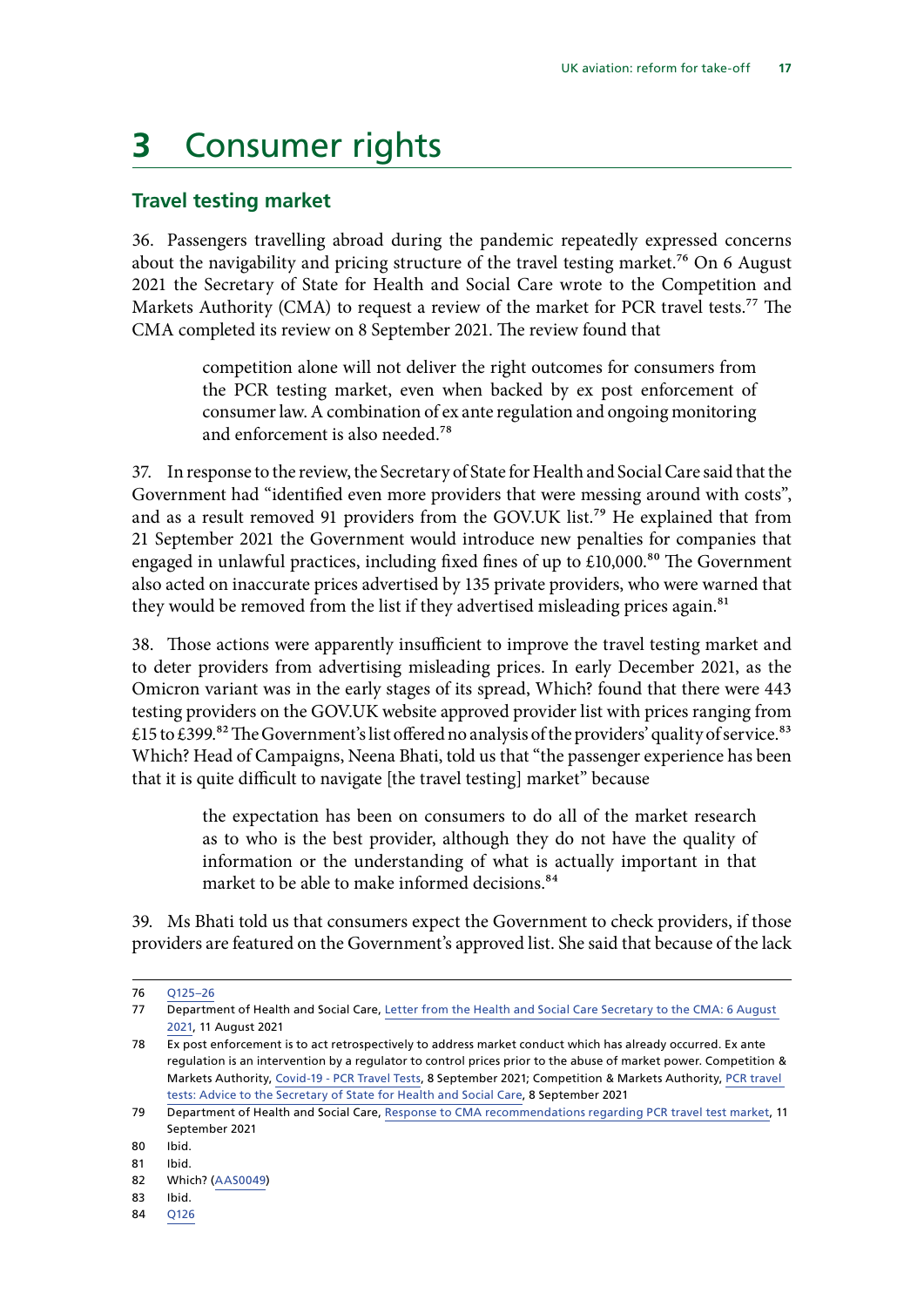## <span id="page-18-0"></span>**3** Consumer rights

### **Travel testing market**

36. Passengers travelling abroad during the pandemic repeatedly expressed concerns about the navigability and pricing structure of the travel testing market.<sup>76</sup> On 6 August 2021 the Secretary of State for Health and Social Care wrote to the Competition and Markets Authority (CMA) to request a review of the market for PCR travel tests.<sup>77</sup> The CMA completed its review on 8 September 2021. The review found that

> competition alone will not deliver the right outcomes for consumers from the PCR testing market, even when backed by ex post enforcement of consumer law. A combination of ex ante regulation and ongoing monitoring and enforcement is also needed.78

37. In response to the review, the Secretary of State for Health and Social Care said that the Government had "identified even more providers that were messing around with costs", and as a result removed 91 providers from the GOV.UK list.<sup>79</sup> He explained that from 21 September 2021 the Government would introduce new penalties for companies that engaged in unlawful practices, including fixed fines of up to  $£10,000$ .<sup>80</sup> The Government also acted on inaccurate prices advertised by 135 private providers, who were warned that they would be removed from the list if they advertised misleading prices again.<sup>81</sup>

38. Those actions were apparently insufficient to improve the travel testing market and to deter providers from advertising misleading prices. In early December 2021, as the Omicron variant was in the early stages of its spread, Which? found that there were 443 testing providers on the GOV.UK website approved provider list with prices ranging from £15 to £399.82 The Government's list offered no analysis of the providers' quality of service.<sup>83</sup> Which? Head of Campaigns, Neena Bhati, told us that "the passenger experience has been that it is quite difficult to navigate [the travel testing] market" because

> the expectation has been on consumers to do all of the market research as to who is the best provider, although they do not have the quality of information or the understanding of what is actually important in that market to be able to make informed decisions.<sup>84</sup>

39. Ms Bhati told us that consumers expect the Government to check providers, if those providers are featured on the Government's approved list. She said that because of the lack

84 [Q126](https://committees.parliament.uk/oralevidence/3028/pdf/)

<sup>76</sup> [Q125–26](https://committees.parliament.uk/oralevidence/3028/pdf/)

<sup>77</sup> Department of Health and Social Care, [Letter from the Health and Social Care Secretary to the CMA: 6 August](https://www.gov.uk/government/publications/letter-from-the-secretary-of-state-for-health-and-social-care-to-andrea-coscelli-about-pcr-travel-tests/letter-from-the-health-and-social-care-secretary-to-the-cma-6-august-2021)  [2021](https://www.gov.uk/government/publications/letter-from-the-secretary-of-state-for-health-and-social-care-to-andrea-coscelli-about-pcr-travel-tests/letter-from-the-health-and-social-care-secretary-to-the-cma-6-august-2021), 11 August 2021

<sup>78</sup> Ex post enforcement is to act retrospectively to address market conduct which has already occurred. Ex ante regulation is an intervention by a regulator to control prices prior to the abuse of market power. Competition & Markets Authority, [Covid-19 - PCR Travel Tests](https://assets.publishing.service.gov.uk/government/uploads/system/uploads/attachment_data/file/1016519/PCR_advice_Letter_to_Secretary_of_State_re_PCR_testing_090921.pdf), 8 September 2021; Competition & Markets Authority, [PCR travel](https://assets.publishing.service.gov.uk/government/uploads/system/uploads/attachment_data/file/1016509/PCR_Travel_Tests__Advice_with_redactions_PV090921.pdf)  [tests: Advice to the Secretary of State for Health and Social Care,](https://assets.publishing.service.gov.uk/government/uploads/system/uploads/attachment_data/file/1016509/PCR_Travel_Tests__Advice_with_redactions_PV090921.pdf) 8 September 2021

<sup>79</sup> Department of Health and Social Care, [Response to CMA recommendations regarding PCR travel test market,](https://www.gov.uk/government/speeches/response-to-cma-recommendations-regarding-pcr-travel-test-market) 11 September 2021

<sup>80</sup> Ibid.

<sup>81</sup> Ibid.

<sup>82</sup> Which? [\(AAS0049](https://committees.parliament.uk/writtenevidence/106606/pdf/))

<sup>83</sup> Ibid.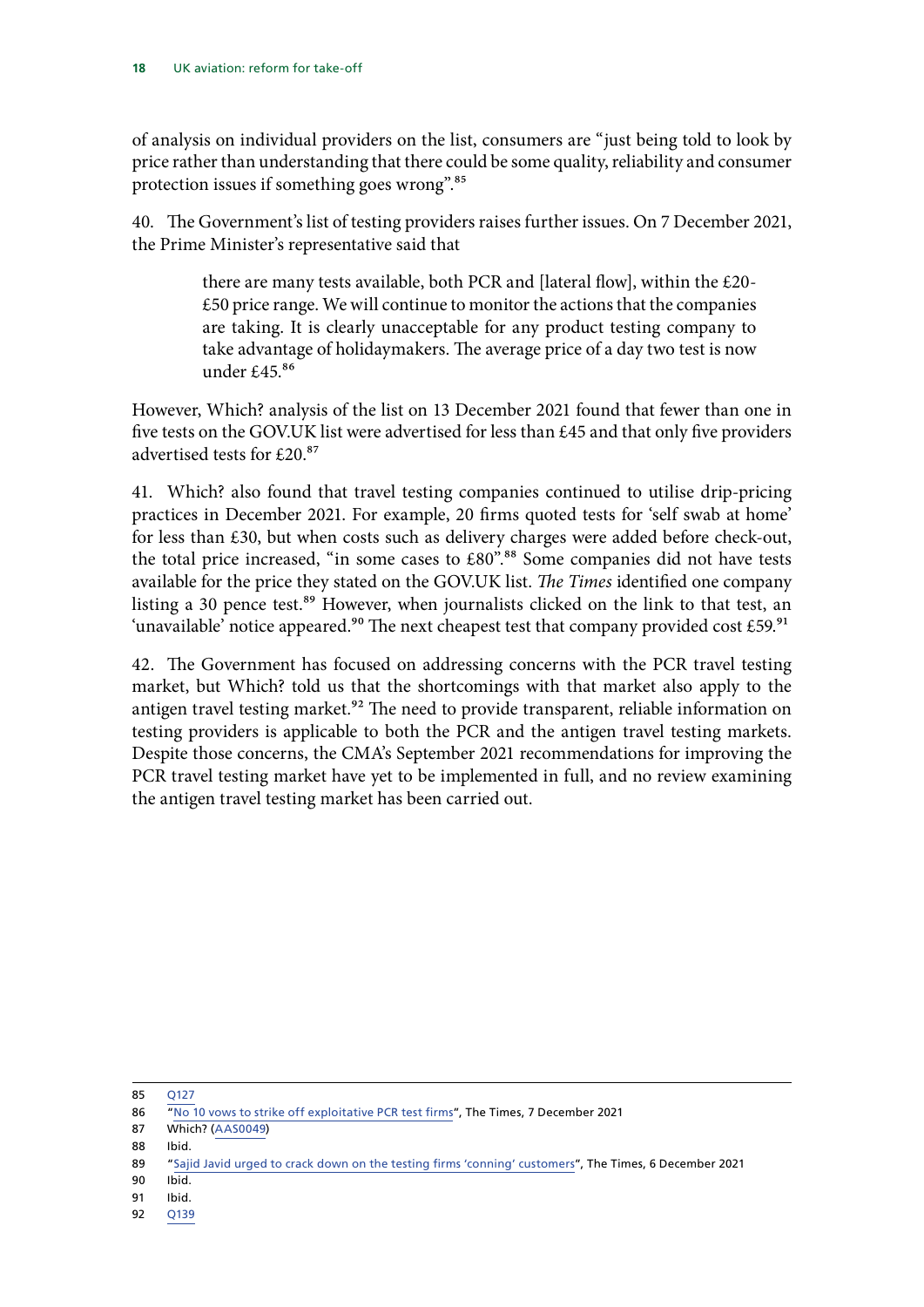of analysis on individual providers on the list, consumers are "just being told to look by price rather than understanding that there could be some quality, reliability and consumer protection issues if something goes wrong".85

40. The Government's list of testing providers raises further issues. On 7 December 2021, the Prime Minister's representative said that

> there are many tests available, both PCR and [lateral flow], within the £20- £50 price range. We will continue to monitor the actions that the companies are taking. It is clearly unacceptable for any product testing company to take advantage of holidaymakers. The average price of a day two test is now under £45. $86$

However, Which? analysis of the list on 13 December 2021 found that fewer than one in five tests on the GOV.UK list were advertised for less than £45 and that only five providers advertised tests for £20.87

41. Which? also found that travel testing companies continued to utilise drip-pricing practices in December 2021. For example, 20 firms quoted tests for 'self swab at home' for less than £30, but when costs such as delivery charges were added before check-out, the total price increased, "in some cases to  $£80"$ .<sup>88</sup> Some companies did not have tests available for the price they stated on the GOV.UK list. *The Times* identified one company listing a 30 pence test.<sup>89</sup> However, when journalists clicked on the link to that test, an 'unavailable' notice appeared.<sup>90</sup> The next cheapest test that company provided cost £59.<sup>91</sup>

42. The Government has focused on addressing concerns with the PCR travel testing market, but Which? told us that the shortcomings with that market also apply to the antigen travel testing market.<sup>92</sup> The need to provide transparent, reliable information on testing providers is applicable to both the PCR and the antigen travel testing markets. Despite those concerns, the CMA's September 2021 recommendations for improving the PCR travel testing market have yet to be implemented in full, and no review examining the antigen travel testing market has been carried out.

85 [Q127](https://committees.parliament.uk/oralevidence/3028/pdf/)

- 87 Which? [\(AAS0049](https://committees.parliament.uk/writtenevidence/106606/pdf/))
- 88 Ibid.

- 90 Ibid.
- 91 Ibid.
- 92 [Q139](https://committees.parliament.uk/oralevidence/3028/pdf/)

<sup>86</sup> "[No 10 vows to strike off exploitative PCR test firms](https://www.thetimes.co.uk/article/covid-19-downing-street-vows-to-strike-off-exploitative-pcr-test-firms-r5tng6czp)", The Times, 7 December 2021

<sup>89</sup> "[Sajid Javid urged to crack down on the testing firms 'conning' customers](https://www.thetimes.co.uk/article/sajid-javid-urged-to-crack-down-on-the-testing-firms-conning-customers-tms5fqdlf)", The Times, 6 December 2021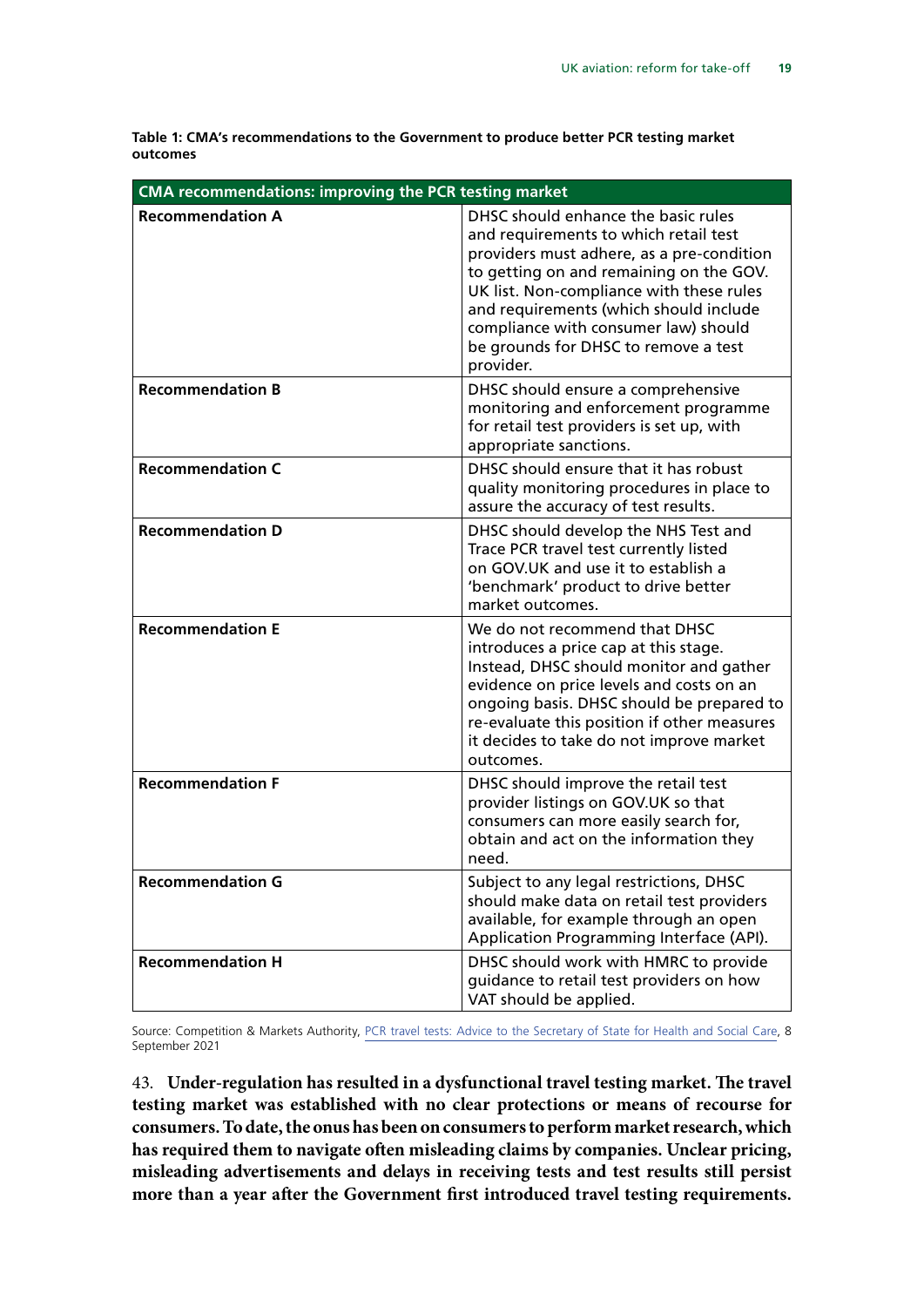**Table 1: CMA's recommendations to the Government to produce better PCR testing market outcomes**

| <b>CMA recommendations: improving the PCR testing market</b> |                                                                                                                                                                                                                                                                                                                                                         |  |  |
|--------------------------------------------------------------|---------------------------------------------------------------------------------------------------------------------------------------------------------------------------------------------------------------------------------------------------------------------------------------------------------------------------------------------------------|--|--|
| <b>Recommendation A</b>                                      | DHSC should enhance the basic rules<br>and requirements to which retail test<br>providers must adhere, as a pre-condition<br>to getting on and remaining on the GOV.<br>UK list. Non-compliance with these rules<br>and requirements (which should include<br>compliance with consumer law) should<br>be grounds for DHSC to remove a test<br>provider. |  |  |
| <b>Recommendation B</b>                                      | DHSC should ensure a comprehensive<br>monitoring and enforcement programme<br>for retail test providers is set up, with<br>appropriate sanctions.                                                                                                                                                                                                       |  |  |
| <b>Recommendation C</b>                                      | DHSC should ensure that it has robust<br>quality monitoring procedures in place to<br>assure the accuracy of test results.                                                                                                                                                                                                                              |  |  |
| <b>Recommendation D</b>                                      | DHSC should develop the NHS Test and<br>Trace PCR travel test currently listed<br>on GOV.UK and use it to establish a<br>'benchmark' product to drive better<br>market outcomes.                                                                                                                                                                        |  |  |
| <b>Recommendation E</b>                                      | We do not recommend that DHSC<br>introduces a price cap at this stage.<br>Instead, DHSC should monitor and gather<br>evidence on price levels and costs on an<br>ongoing basis. DHSC should be prepared to<br>re-evaluate this position if other measures<br>it decides to take do not improve market<br>outcomes.                                      |  |  |
| <b>Recommendation F</b>                                      | DHSC should improve the retail test<br>provider listings on GOV.UK so that<br>consumers can more easily search for,<br>obtain and act on the information they<br>need.                                                                                                                                                                                  |  |  |
| <b>Recommendation G</b>                                      | Subject to any legal restrictions, DHSC<br>should make data on retail test providers<br>available, for example through an open<br>Application Programming Interface (API).                                                                                                                                                                              |  |  |
| <b>Recommendation H</b>                                      | DHSC should work with HMRC to provide<br>guidance to retail test providers on how<br>VAT should be applied.                                                                                                                                                                                                                                             |  |  |

Source: Competition & Markets Authority, [PCR travel tests: Advice to the Secretary of State for Health and Social Care,](https://assets.publishing.service.gov.uk/government/uploads/system/uploads/attachment_data/file/1016509/PCR_Travel_Tests__Advice_with_redactions_PV090921.pdf) 8 September 2021

43. **Under-regulation has resulted in a dysfunctional travel testing market. The travel testing market was established with no clear protections or means of recourse for consumers. To date, the onus has been on consumers to perform market research, which has required them to navigate often misleading claims by companies. Unclear pricing, misleading advertisements and delays in receiving tests and test results still persist more than a year after the Government first introduced travel testing requirements.**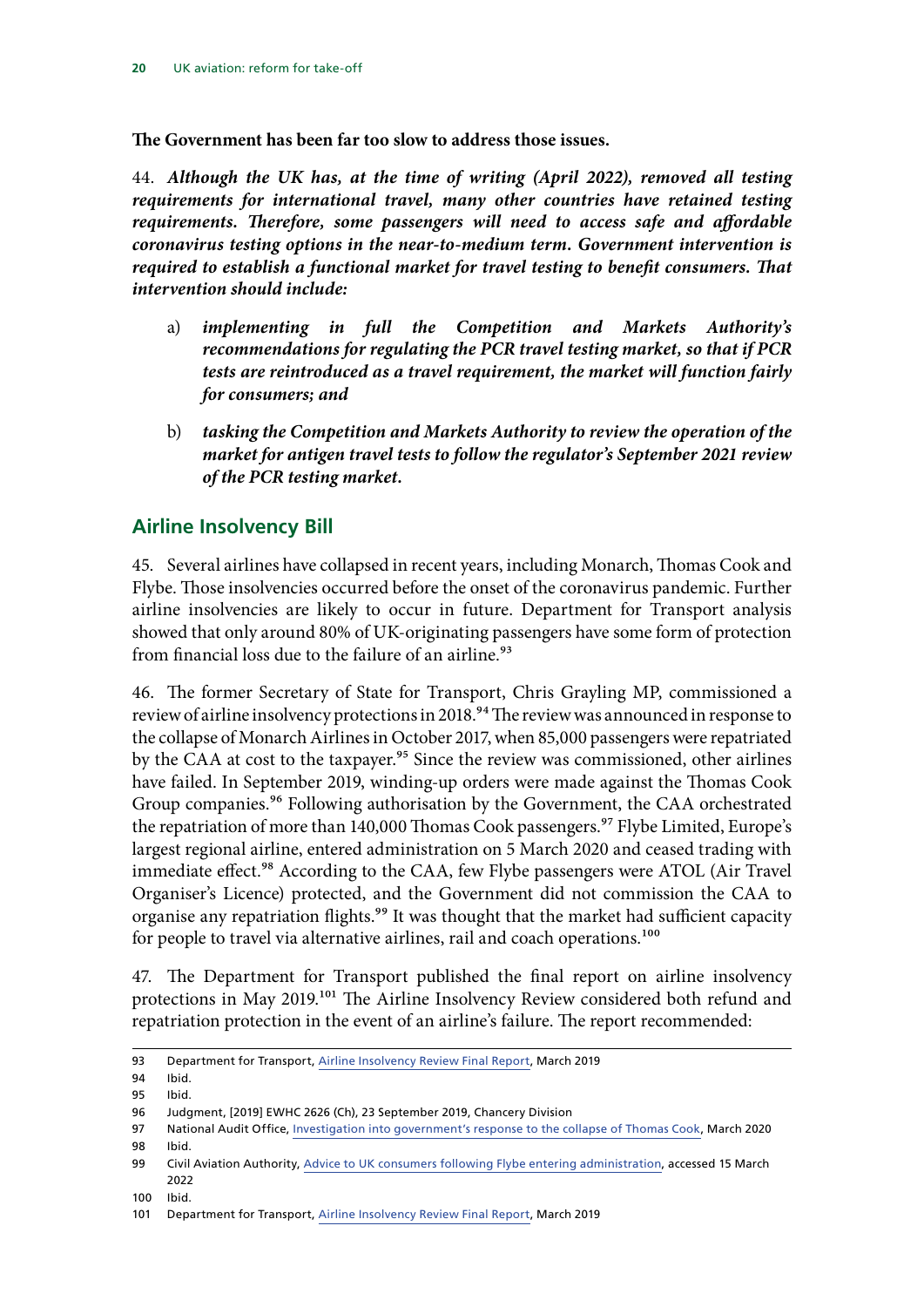<span id="page-21-0"></span>**The Government has been far too slow to address those issues.**

44. *Although the UK has, at the time of writing (April 2022), removed all testing requirements for international travel, many other countries have retained testing requirements. Therefore, some passengers will need to access safe and affordable coronavirus testing options in the near-to-medium term. Government intervention is required to establish a functional market for travel testing to benefit consumers. That intervention should include:*

- a) *implementing in full the Competition and Markets Authority's recommendations for regulating the PCR travel testing market, so that if PCR tests are reintroduced as a travel requirement, the market will function fairly for consumers; and*
- b) *tasking the Competition and Markets Authority to review the operation of the market for antigen travel tests to follow the regulator's September 2021 review of the PCR testing market.*

### **Airline Insolvency Bill**

45. Several airlines have collapsed in recent years, including Monarch, Thomas Cook and Flybe. Those insolvencies occurred before the onset of the coronavirus pandemic. Further airline insolvencies are likely to occur in future. Department for Transport analysis showed that only around 80% of UK-originating passengers have some form of protection from financial loss due to the failure of an airline.<sup>93</sup>

46. The former Secretary of State for Transport, Chris Grayling MP, commissioned a review of airline insolvency protections in 2018.<sup>94</sup> The review was announced in response to the collapse of Monarch Airlines in October 2017, when 85,000 passengers were repatriated by the CAA at cost to the taxpayer.<sup>95</sup> Since the review was commissioned, other airlines have failed. In September 2019, winding-up orders were made against the Thomas Cook Group companies.<sup>96</sup> Following authorisation by the Government, the CAA orchestrated the repatriation of more than 140,000 Thomas Cook passengers.<sup>97</sup> Flybe Limited, Europe's largest regional airline, entered administration on 5 March 2020 and ceased trading with immediate effect.<sup>98</sup> According to the CAA, few Flybe passengers were ATOL (Air Travel Organiser's Licence) protected, and the Government did not commission the CAA to organise any repatriation flights.<sup>99</sup> It was thought that the market had sufficient capacity for people to travel via alternative airlines, rail and coach operations.<sup>100</sup>

47. The Department for Transport published the final report on airline insolvency protections in May 2019.101 The Airline Insolvency Review considered both refund and repatriation protection in the event of an airline's failure. The report recommended:

<sup>93</sup> Department for Transport, [Airline Insolvency Review Final Report,](https://assets.publishing.service.gov.uk/government/uploads/system/uploads/attachment_data/file/800219/airline-insolvency-review-report.pdf) March 2019

<sup>94</sup> Ibid.

<sup>95</sup> Ibid.

<sup>96</sup> Judgment, [2019] EWHC 2626 (Ch), 23 September 2019, Chancery Division

<sup>97</sup> National Audit Office, [Investigation into government's response to](https://www.nao.org.uk/wp-content/uploads/2020/03/Investigation-into-governments-response-to-the-collapse-of-Thomas-Cook-Summary.pdf) the collapse of Thomas Cook, March 2020 98 Ibid.

<sup>99</sup> Civil Aviation Authority, Advice to UK consumers following Flybe entering administration, accessed 15 March 2022

<sup>100</sup> Ibid.

<sup>101</sup> Department for Transport, [Airline Insolvency Review Final Report,](https://assets.publishing.service.gov.uk/government/uploads/system/uploads/attachment_data/file/800219/airline-insolvency-review-report.pdf) March 2019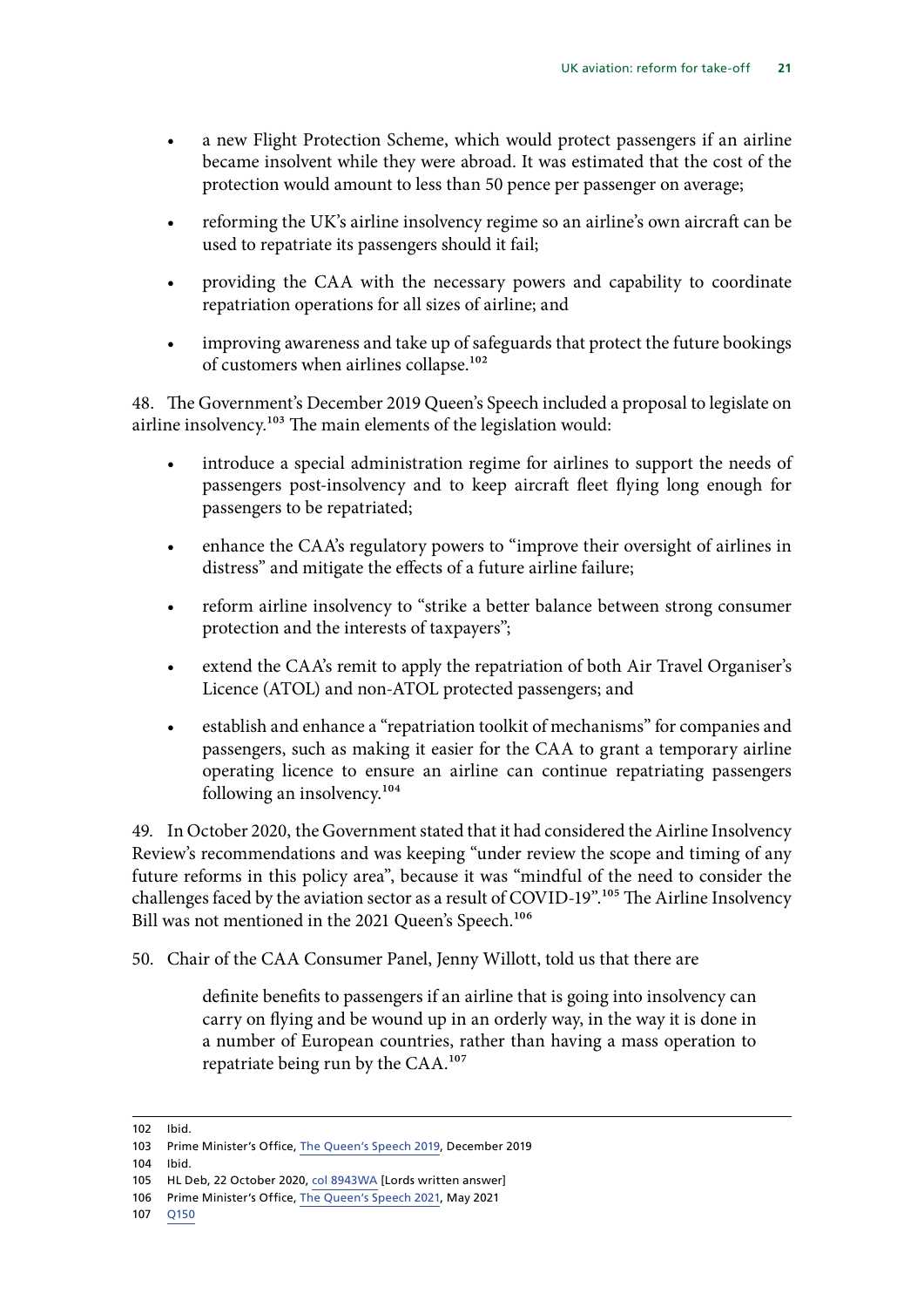- a new Flight Protection Scheme, which would protect passengers if an airline became insolvent while they were abroad. It was estimated that the cost of the protection would amount to less than 50 pence per passenger on average;
- reforming the UK's airline insolvency regime so an airline's own aircraft can be used to repatriate its passengers should it fail;
- providing the CAA with the necessary powers and capability to coordinate repatriation operations for all sizes of airline; and
- improving awareness and take up of safeguards that protect the future bookings of customers when airlines collapse.<sup>102</sup>

48. The Government's December 2019 Queen's Speech included a proposal to legislate on airline insolvency.<sup>103</sup> The main elements of the legislation would:

- introduce a special administration regime for airlines to support the needs of passengers post-insolvency and to keep aircraft fleet flying long enough for passengers to be repatriated;
- enhance the CAA's regulatory powers to "improve their oversight of airlines in distress" and mitigate the effects of a future airline failure;
- reform airline insolvency to "strike a better balance between strong consumer protection and the interests of taxpayers";
- extend the CAA's remit to apply the repatriation of both Air Travel Organiser's Licence (ATOL) and non-ATOL protected passengers; and
- establish and enhance a "repatriation toolkit of mechanisms" for companies and passengers, such as making it easier for the CAA to grant a temporary airline operating licence to ensure an airline can continue repatriating passengers following an insolvency.104

49. In October 2020, the Government stated that it had considered the Airline Insolvency Review's recommendations and was keeping "under review the scope and timing of any future reforms in this policy area", because it was "mindful of the need to consider the challenges faced by the aviation sector as a result of COVID-19".105 The Airline Insolvency Bill was not mentioned in the 2021 Queen's Speech.<sup>106</sup>

50. Chair of the CAA Consumer Panel, Jenny Willott, told us that there are

definite benefits to passengers if an airline that is going into insolvency can carry on flying and be wound up in an orderly way, in the way it is done in a number of European countries, rather than having a mass operation to repatriate being run by the CAA.107

<sup>102</sup> Ibid.

<sup>103</sup> Prime Minister's Office, [The Queen's Speech 2019,](https://assets.publishing.service.gov.uk/government/uploads/system/uploads/attachment_data/file/853886/Queen_s_Speech_December_2019_-_background_briefing_notes.pdf) December 2019

<sup>104</sup> Ibid.

<sup>105</sup> HL Deb, 22 October 2020, [col 8943WA](https://questions-statements.parliament.uk/written-questions/detail/2020-10-08/HL8943) [Lords written answer]

<sup>106</sup> Prime Minister's Office, [The Queen's Speech 2021,](https://assets.publishing.service.gov.uk/government/uploads/system/uploads/attachment_data/file/986770/Queen_s_Speech_2021_-_Background_Briefing_Notes..pdf) May 2021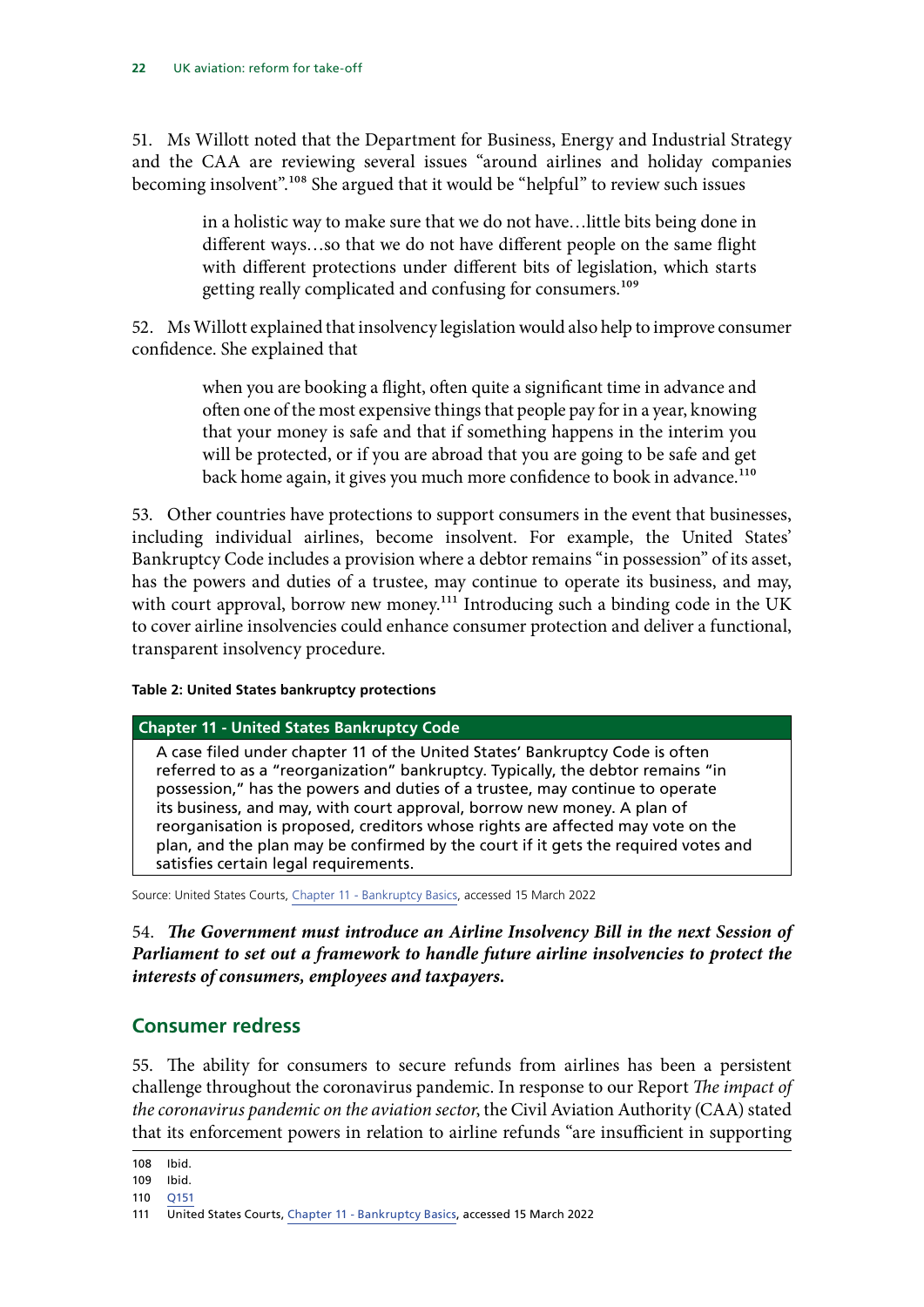<span id="page-23-0"></span>51. Ms Willott noted that the Department for Business, Energy and Industrial Strategy and the CAA are reviewing several issues "around airlines and holiday companies becoming insolvent".108 She argued that it would be "helpful" to review such issues

> in a holistic way to make sure that we do not have…little bits being done in different ways…so that we do not have different people on the same flight with different protections under different bits of legislation, which starts getting really complicated and confusing for consumers.<sup>109</sup>

52. Ms Willott explained that insolvency legislation would also help to improve consumer confidence. She explained that

> when you are booking a flight, often quite a significant time in advance and often one of the most expensive things that people pay for in a year, knowing that your money is safe and that if something happens in the interim you will be protected, or if you are abroad that you are going to be safe and get back home again, it gives you much more confidence to book in advance.<sup>110</sup>

53. Other countries have protections to support consumers in the event that businesses, including individual airlines, become insolvent. For example, the United States' Bankruptcy Code includes a provision where a debtor remains "in possession" of its asset, has the powers and duties of a trustee, may continue to operate its business, and may, with court approval, borrow new money.<sup>111</sup> Introducing such a binding code in the UK to cover airline insolvencies could enhance consumer protection and deliver a functional, transparent insolvency procedure.

### **Table 2: United States bankruptcy protections**

#### **Chapter 11 - United States Bankruptcy Code**

A case filed under chapter 11 of the United States' Bankruptcy Code is often referred to as a "reorganization" bankruptcy. Typically, the debtor remains "in possession," has the powers and duties of a trustee, may continue to operate its business, and may, with court approval, borrow new money. A plan of reorganisation is proposed, creditors whose rights are affected may vote on the plan, and the plan may be confirmed by the court if it gets the required votes and satisfies certain legal requirements.

Source: United States Courts, [Chapter 11 - Bankruptcy Basics,](https://www.uscourts.gov/services-forms/bankruptcy/bankruptcy-basics/chapter-11-bankruptcy-basics) accessed 15 March 2022

54. *The Government must introduce an Airline Insolvency Bill in the next Session of Parliament to set out a framework to handle future airline insolvencies to protect the interests of consumers, employees and taxpayers.*

### **Consumer redress**

55. The ability for consumers to secure refunds from airlines has been a persistent challenge throughout the coronavirus pandemic. In response to our Report *The impact of the coronavirus pandemic on the aviation sector*, the Civil Aviation Authority (CAA) stated that its enforcement powers in relation to airline refunds "are insufficient in supporting

108 Ibid.

<sup>109</sup> Ibid.

<sup>110</sup> [Q151](https://committees.parliament.uk/oralevidence/3028/pdf/)

<sup>111</sup> United States Courts, [Chapter 11 - Bankruptcy Basics](https://www.uscourts.gov/services-forms/bankruptcy/bankruptcy-basics/chapter-11-bankruptcy-basics), accessed 15 March 2022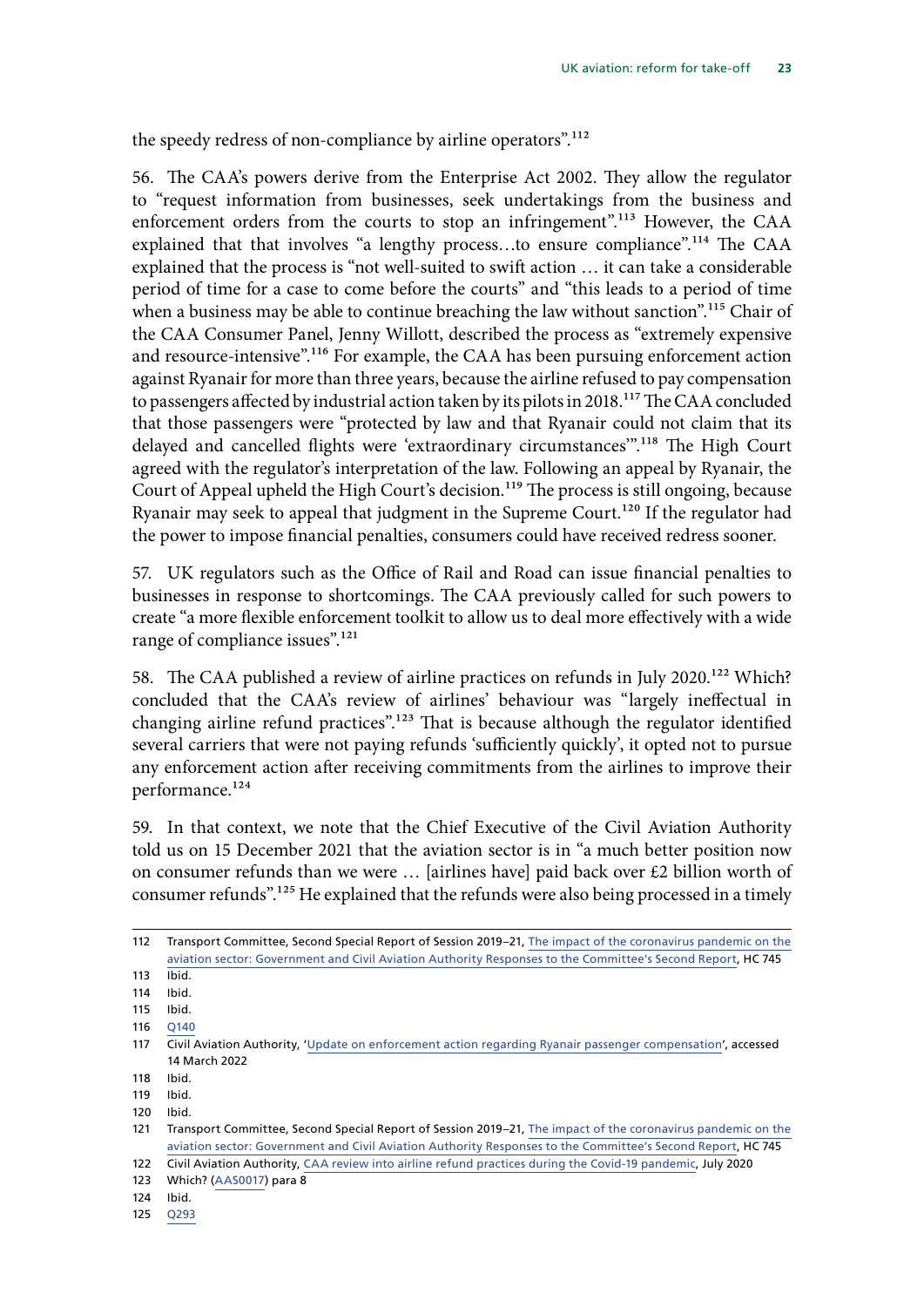the speedy redress of non-compliance by airline operators".<sup>112</sup>

56. The CAA's powers derive from the Enterprise Act 2002. They allow the regulator to "request information from businesses, seek undertakings from the business and enforcement orders from the courts to stop an infringement".<sup>113</sup> However, the CAA explained that that involves "a lengthy process...to ensure compliance".<sup>114</sup> The CAA explained that the process is "not well-suited to swift action … it can take a considerable period of time for a case to come before the courts" and "this leads to a period of time when a business may be able to continue breaching the law without sanction".<sup>115</sup> Chair of the CAA Consumer Panel, Jenny Willott, described the process as "extremely expensive and resource-intensive".<sup>116</sup> For example, the CAA has been pursuing enforcement action against Ryanair for more than three years, because the airline refused to pay compensation to passengers affected by industrial action taken by its pilots in 2018.<sup>117</sup> The CAA concluded that those passengers were "protected by law and that Ryanair could not claim that its delayed and cancelled flights were 'extraordinary circumstances'".<sup>118</sup> The High Court agreed with the regulator's interpretation of the law. Following an appeal by Ryanair, the Court of Appeal upheld the High Court's decision.<sup>119</sup> The process is still ongoing, because Ryanair may seek to appeal that judgment in the Supreme Court.<sup>120</sup> If the regulator had the power to impose financial penalties, consumers could have received redress sooner.

57. UK regulators such as the Office of Rail and Road can issue financial penalties to businesses in response to shortcomings. The CAA previously called for such powers to create "a more flexible enforcement toolkit to allow us to deal more effectively with a wide range of compliance issues".<sup>121</sup>

58. The CAA published a review of airline practices on refunds in July 2020.<sup>122</sup> Which? concluded that the CAA's review of airlines' behaviour was "largely ineffectual in changing airline refund practices".<sup>123</sup> That is because although the regulator identified several carriers that were not paying refunds 'sufficiently quickly', it opted not to pursue any enforcement action after receiving commitments from the airlines to improve their performance.<sup>124</sup>

59. In that context, we note that the Chief Executive of the Civil Aviation Authority told us on 15 December 2021 that the aviation sector is in "a much better position now on consumer refunds than we were … [airlines have] paid back over £2 billion worth of consumer refunds".125 He explained that the refunds were also being processed in a timely

<sup>112</sup> Transport Committee, Second Special Report of Session 2019–21, [The impact of the coronavirus pandemic on the](https://committees.parliament.uk/publications/2338/documents/23026/default/)  [aviation sector: Government and Civil Aviation Authority Responses to the Committee's Second Report,](https://committees.parliament.uk/publications/2338/documents/23026/default/) HC 745

<sup>113</sup> Ibid.

<sup>114</sup> Ibid.

<sup>115</sup> Ibid.

<sup>116</sup> [Q140](https://committees.parliament.uk/oralevidence/3028/pdf/)

<sup>117</sup> Civil Aviation Authority, '[Update on enforcement action regarding Ryanair passenger compensation'](https://www.caa.co.uk/news/update-on-enforcement-action-regarding-ryanair-passenger-compensation/), accessed 14 March 2022

<sup>118</sup> Ibid.

<sup>119</sup> Ibid.

<sup>120</sup> Ibid.

<sup>121</sup> Transport Committee, Second Special Report of Session 2019–21, [The impact of the coronavirus pandemic on the](https://committees.parliament.uk/publications/2338/documents/23026/default/)  [aviation sector: Government and Civil Aviation Authority Responses to the Committee's Second Report,](https://committees.parliament.uk/publications/2338/documents/23026/default/) HC 745 122 Civil Aviation Authority, [CAA review into airline refund practices during the Covid-19 pandemic](https://publicapps.caa.co.uk/docs/33/CAA%20review%20into%20airline%20refund%20practices%20during%20the%20Covid-19%20pandemic.pdf), July 2020

<sup>123</sup> Which? [\(AAS0017\)](https://committees.parliament.uk/writtenevidence/39954/pdf/) para 8

<sup>124</sup> Ibid.

<sup>125</sup> [Q293](https://committees.parliament.uk/oralevidence/3213/pdf/)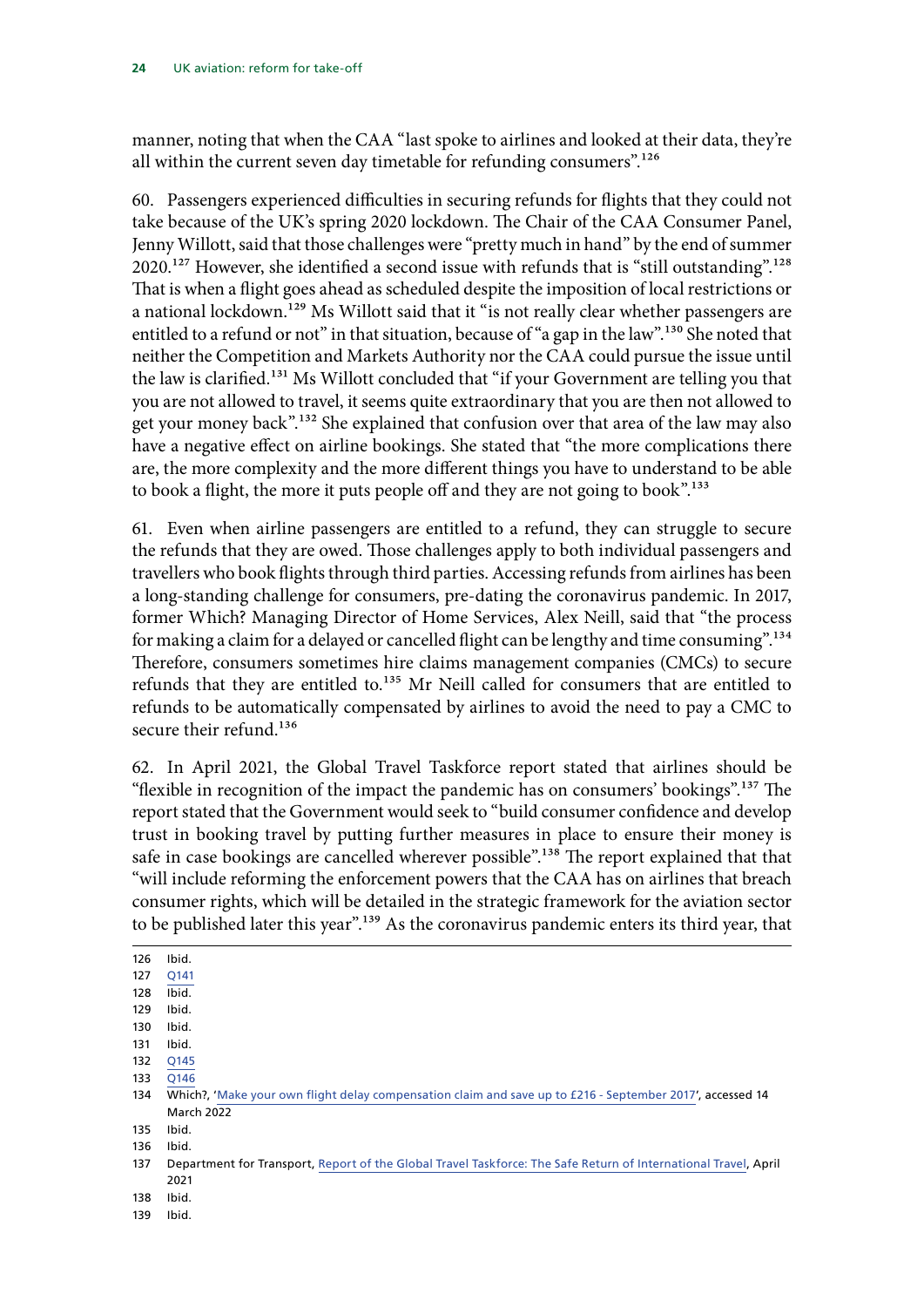manner, noting that when the CAA "last spoke to airlines and looked at their data, they're all within the current seven day timetable for refunding consumers".<sup>126</sup>

60. Passengers experienced difficulties in securing refunds for flights that they could not take because of the UK's spring 2020 lockdown. The Chair of the CAA Consumer Panel, Jenny Willott, said that those challenges were "pretty much in hand" by the end of summer 2020.<sup>127</sup> However, she identified a second issue with refunds that is "still outstanding".<sup>128</sup> That is when a flight goes ahead as scheduled despite the imposition of local restrictions or a national lockdown.<sup>129</sup> Ms Willott said that it "is not really clear whether passengers are entitled to a refund or not" in that situation, because of "a gap in the law".<sup>130</sup> She noted that neither the Competition and Markets Authority nor the CAA could pursue the issue until the law is clarified.<sup>131</sup> Ms Willott concluded that "if your Government are telling you that you are not allowed to travel, it seems quite extraordinary that you are then not allowed to get your money back".132 She explained that confusion over that area of the law may also have a negative effect on airline bookings. She stated that "the more complications there are, the more complexity and the more different things you have to understand to be able to book a flight, the more it puts people off and they are not going to book".<sup>133</sup>

61. Even when airline passengers are entitled to a refund, they can struggle to secure the refunds that they are owed. Those challenges apply to both individual passengers and travellers who book flights through third parties. Accessing refunds from airlines has been a long-standing challenge for consumers, pre-dating the coronavirus pandemic. In 2017, former Which? Managing Director of Home Services, Alex Neill, said that "the process for making a claim for a delayed or cancelled flight can be lengthy and time consuming".<sup>134</sup> Therefore, consumers sometimes hire claims management companies (CMCs) to secure refunds that they are entitled to.<sup>135</sup> Mr Neill called for consumers that are entitled to refunds to be automatically compensated by airlines to avoid the need to pay a CMC to secure their refund.<sup>136</sup>

62. In April 2021, the Global Travel Taskforce report stated that airlines should be "flexible in recognition of the impact the pandemic has on consumers' bookings".137 The report stated that the Government would seek to "build consumer confidence and develop trust in booking travel by putting further measures in place to ensure their money is safe in case bookings are cancelled wherever possible".138 The report explained that that "will include reforming the enforcement powers that the CAA has on airlines that breach consumer rights, which will be detailed in the strategic framework for the aviation sector to be published later this year".<sup>139</sup> As the coronavirus pandemic enters its third year, that

126 Ibid.

127 [Q141](https://committees.parliament.uk/oralevidence/3028/pdf/)

128 Ibid.

129 Ibid.

130 Ibid.

131 Ibid. 132 [Q145](https://committees.parliament.uk/oralevidence/3028/pdf/)

133 [Q146](https://committees.parliament.uk/oralevidence/3028/pdf/)

135 Ibid.

136 Ibid.

138 Ibid.

139 Ibid.

<sup>134</sup> Which?, '[Make your own flight delay compensation claim and save up to £216 - September 2017](https://www.which.co.uk/news/2017/09/make-your-own-flight-delay-compensation-claim-and-save-up-to-216/)', accessed 14 March 2022

<sup>137</sup> Department for Transport, [Report of the Global Travel Taskforce: The Safe Return of International Travel](https://assets.publishing.service.gov.uk/government/uploads/system/uploads/attachment_data/file/977446/Report-of-the-Global-Travel-Taskforce-accessible.pdf), April 2021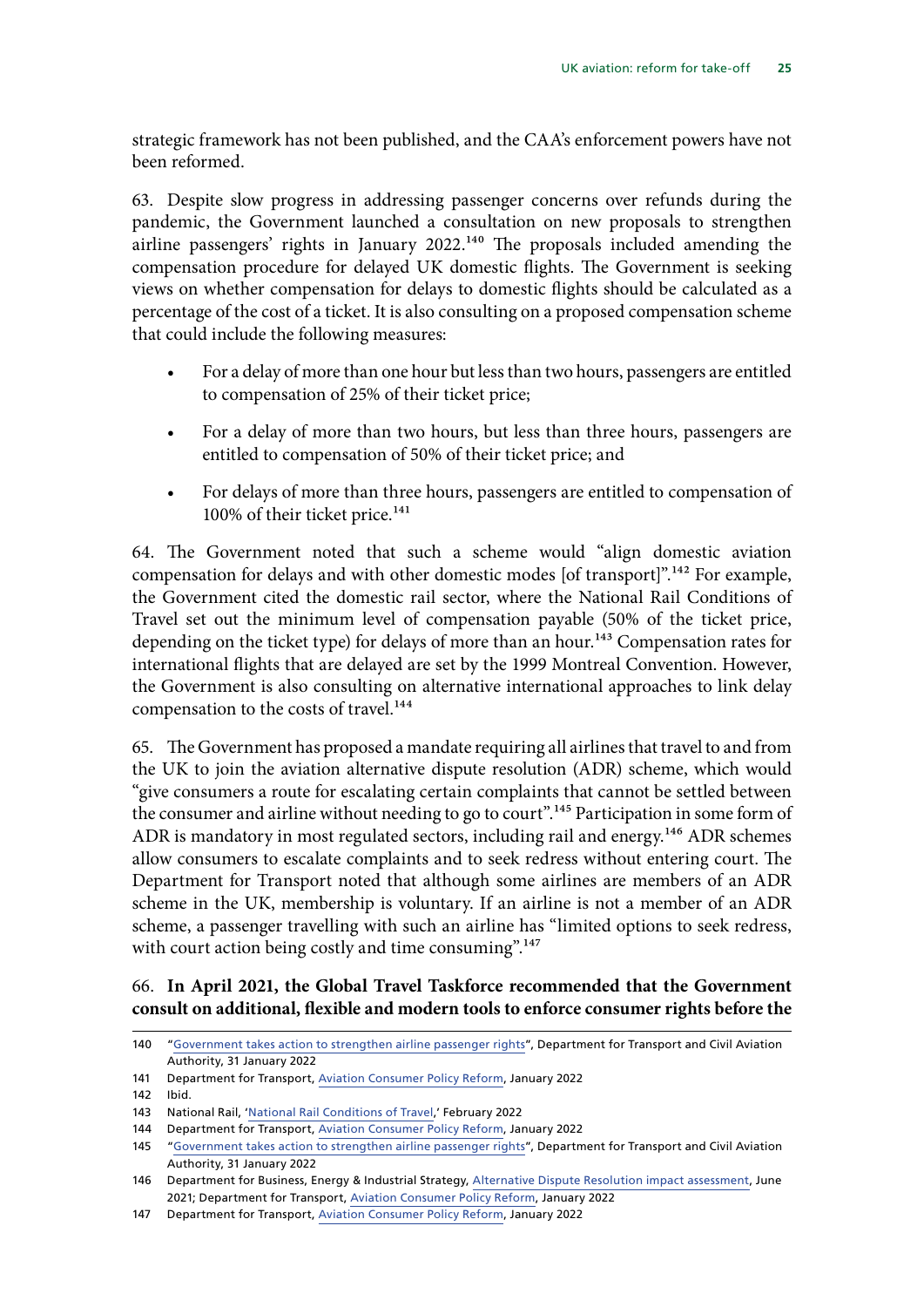strategic framework has not been published, and the CAA's enforcement powers have not been reformed.

63. Despite slow progress in addressing passenger concerns over refunds during the pandemic, the Government launched a consultation on new proposals to strengthen airline passengers' rights in January 2022.<sup>140</sup> The proposals included amending the compensation procedure for delayed UK domestic flights. The Government is seeking views on whether compensation for delays to domestic flights should be calculated as a percentage of the cost of a ticket. It is also consulting on a proposed compensation scheme that could include the following measures:

- For a delay of more than one hour but less than two hours, passengers are entitled to compensation of 25% of their ticket price;
- For a delay of more than two hours, but less than three hours, passengers are entitled to compensation of 50% of their ticket price; and
- For delays of more than three hours, passengers are entitled to compensation of 100% of their ticket price.<sup>141</sup>

64. The Government noted that such a scheme would "align domestic aviation compensation for delays and with other domestic modes [of transport]".<sup>142</sup> For example, the Government cited the domestic rail sector, where the National Rail Conditions of Travel set out the minimum level of compensation payable (50% of the ticket price, depending on the ticket type) for delays of more than an hour.<sup>143</sup> Compensation rates for international flights that are delayed are set by the 1999 Montreal Convention. However, the Government is also consulting on alternative international approaches to link delay compensation to the costs of travel.<sup>144</sup>

65. The Government has proposed a mandate requiring all airlines that travel to and from the UK to join the aviation alternative dispute resolution (ADR) scheme, which would "give consumers a route for escalating certain complaints that cannot be settled between the consumer and airline without needing to go to court".<sup>145</sup> Participation in some form of ADR is mandatory in most regulated sectors, including rail and energy.<sup>146</sup> ADR schemes allow consumers to escalate complaints and to seek redress without entering court. The Department for Transport noted that although some airlines are members of an ADR scheme in the UK, membership is voluntary. If an airline is not a member of an ADR scheme, a passenger travelling with such an airline has "limited options to seek redress, with court action being costly and time consuming".<sup>147</sup>

### 66. **In April 2021, the Global Travel Taskforce recommended that the Government consult on additional, flexible and modern tools to enforce consumer rights before the**

141 Department for Transport, [Aviation Consumer Policy Reform,](https://assets.publishing.service.gov.uk/government/uploads/system/uploads/attachment_data/file/1054433/aviation-consumer-rights-consultation.pdf) January 2022

<sup>140</sup> "[Government takes action to strengthen airline passenger rights](https://www.gov.uk/government/news/government-takes-action-to-strengthen-airline-passenger-rights)", Department for Transport and Civil Aviation Authority, 31 January 2022

<sup>142</sup> Ibid.

<sup>143</sup> National Rail, '[National Rail Conditions of Travel](https://www.nationalrail.co.uk/National%20Rail%20Conditions%20of%20Travel.pdf),' February 2022

<sup>144</sup> Department for Transport, [Aviation Consumer Policy Reform,](https://assets.publishing.service.gov.uk/government/uploads/system/uploads/attachment_data/file/1054433/aviation-consumer-rights-consultation.pdf) January 2022

<sup>145</sup> "[Government takes action to strengthen airline passenger rights](https://www.gov.uk/government/news/government-takes-action-to-strengthen-airline-passenger-rights)", Department for Transport and Civil Aviation Authority, 31 January 2022

<sup>146</sup> Department for Business, Energy & Industrial Strategy, [Alternative Dispute Resolution impact assessment,](https://assets.publishing.service.gov.uk/government/uploads/system/uploads/attachment_data/file/1004037/rccp-alternative-dispute-resolution-ia.pdf) June 2021; Department for Transport, [Aviation Consumer Policy Reform](https://assets.publishing.service.gov.uk/government/uploads/system/uploads/attachment_data/file/1054433/aviation-consumer-rights-consultation.pdf), January 2022

<sup>147</sup> Department for Transport, [Aviation Consumer Policy Reform,](https://assets.publishing.service.gov.uk/government/uploads/system/uploads/attachment_data/file/1054433/aviation-consumer-rights-consultation.pdf) January 2022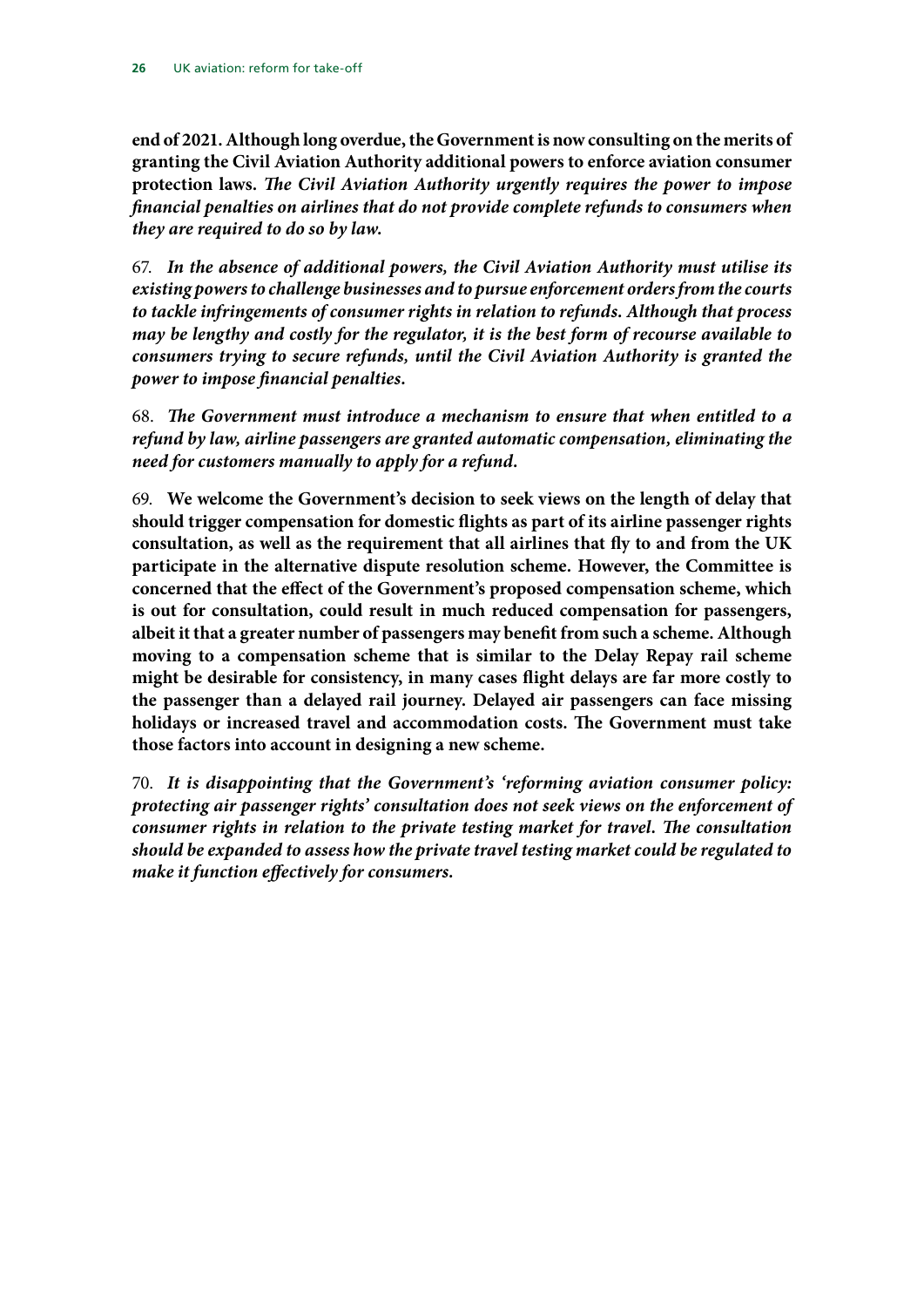**end of 2021. Although long overdue, the Government is now consulting on the merits of granting the Civil Aviation Authority additional powers to enforce aviation consumer protection laws.** *The Civil Aviation Authority urgently requires the power to impose financial penalties on airlines that do not provide complete refunds to consumers when they are required to do so by law.*

67. *In the absence of additional powers, the Civil Aviation Authority must utilise its existing powers to challenge businesses and to pursue enforcement orders from the courts to tackle infringements of consumer rights in relation to refunds. Although that process may be lengthy and costly for the regulator, it is the best form of recourse available to consumers trying to secure refunds, until the Civil Aviation Authority is granted the power to impose financial penalties.*

68. *The Government must introduce a mechanism to ensure that when entitled to a refund by law, airline passengers are granted automatic compensation, eliminating the need for customers manually to apply for a refund.*

69. **We welcome the Government's decision to seek views on the length of delay that should trigger compensation for domestic flights as part of its airline passenger rights consultation, as well as the requirement that all airlines that fly to and from the UK participate in the alternative dispute resolution scheme***.* **However, the Committee is concerned that the effect of the Government's proposed compensation scheme, which is out for consultation, could result in much reduced compensation for passengers, albeit it that a greater number of passengers may benefit from such a scheme. Although moving to a compensation scheme that is similar to the Delay Repay rail scheme might be desirable for consistency, in many cases flight delays are far more costly to the passenger than a delayed rail journey. Delayed air passengers can face missing holidays or increased travel and accommodation costs. The Government must take those factors into account in designing a new scheme.**

70. *It is disappointing that the Government's 'reforming aviation consumer policy: protecting air passenger rights' consultation does not seek views on the enforcement of consumer rights in relation to the private testing market for travel. The consultation should be expanded to assess how the private travel testing market could be regulated to make it function effectively for consumers.*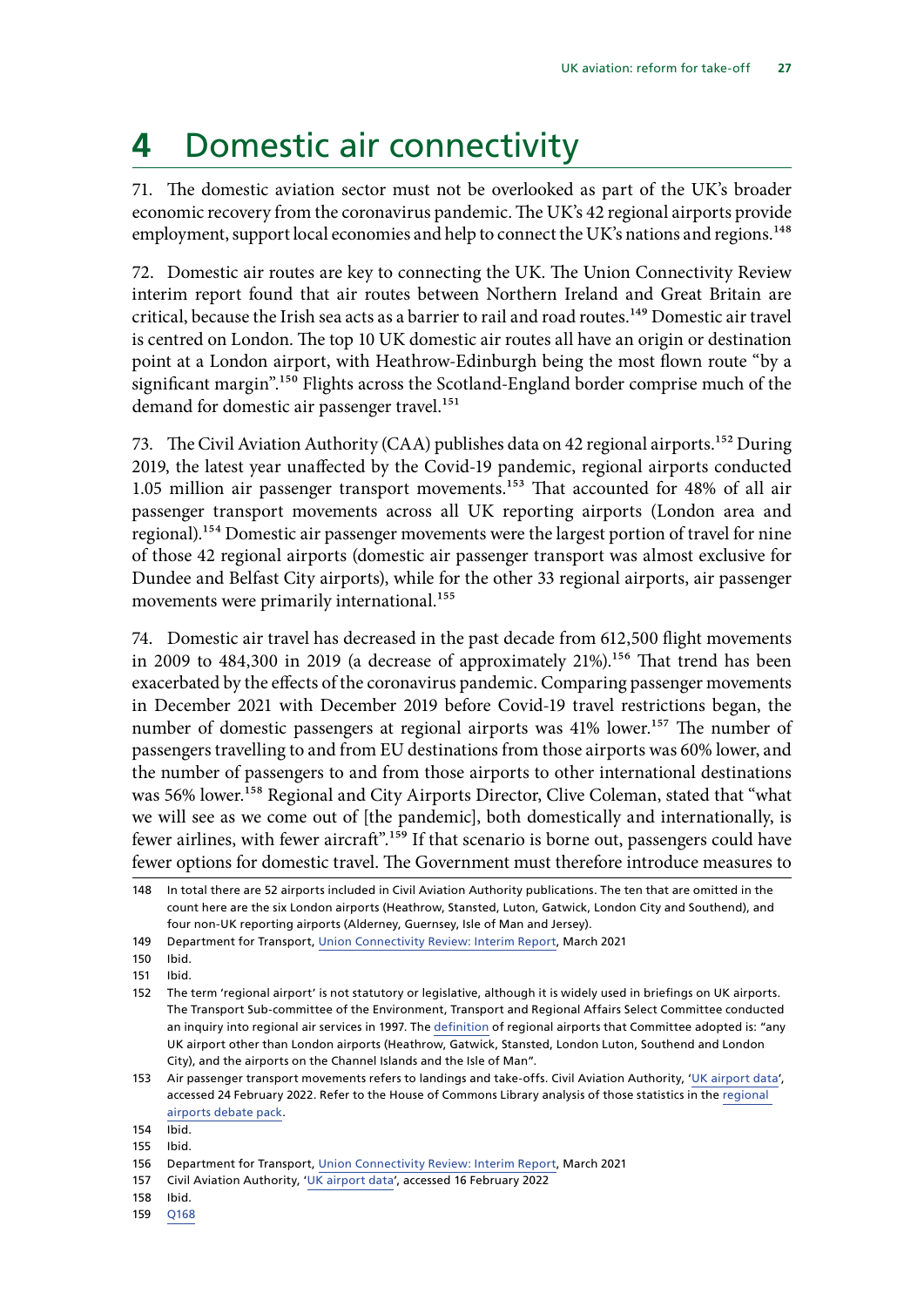### <span id="page-28-0"></span>**4** Domestic air connectivity

71. The domestic aviation sector must not be overlooked as part of the UK's broader economic recovery from the coronavirus pandemic. The UK's 42 regional airports provide employment, support local economies and help to connect the UK's nations and regions.<sup>148</sup>

72. Domestic air routes are key to connecting the UK. The Union Connectivity Review interim report found that air routes between Northern Ireland and Great Britain are critical, because the Irish sea acts as a barrier to rail and road routes.<sup>149</sup> Domestic air travel is centred on London. The top 10 UK domestic air routes all have an origin or destination point at a London airport, with Heathrow-Edinburgh being the most flown route "by a significant margin".<sup>150</sup> Flights across the Scotland-England border comprise much of the demand for domestic air passenger travel.<sup>151</sup>

73. The Civil Aviation Authority (CAA) publishes data on 42 regional airports.<sup>152</sup> During 2019, the latest year unaffected by the Covid-19 pandemic, regional airports conducted 1.05 million air passenger transport movements.153 That accounted for 48% of all air passenger transport movements across all UK reporting airports (London area and regional).154 Domestic air passenger movements were the largest portion of travel for nine of those 42 regional airports (domestic air passenger transport was almost exclusive for Dundee and Belfast City airports), while for the other 33 regional airports, air passenger movements were primarily international.<sup>155</sup>

74. Domestic air travel has decreased in the past decade from 612,500 flight movements in 2009 to  $484,300$  in 2019 (a decrease of approximately  $21\%$ ).<sup>156</sup> That trend has been exacerbated by the effects of the coronavirus pandemic. Comparing passenger movements in December 2021 with December 2019 before Covid-19 travel restrictions began, the number of domestic passengers at regional airports was 41% lower.<sup>157</sup> The number of passengers travelling to and from EU destinations from those airports was 60% lower, and the number of passengers to and from those airports to other international destinations was 56% lower.<sup>158</sup> Regional and City Airports Director, Clive Coleman, stated that "what we will see as we come out of [the pandemic], both domestically and internationally, is fewer airlines, with fewer aircraft".<sup>159</sup> If that scenario is borne out, passengers could have fewer options for domestic travel. The Government must therefore introduce measures to

159 [Q168](https://committees.parliament.uk/oralevidence/3115/pdf/)

<sup>148</sup> In total there are 52 airports included in Civil Aviation Authority publications. The ten that are omitted in the count here are the six London airports (Heathrow, Stansted, Luton, Gatwick, London City and Southend), and four non-UK reporting airports (Alderney, Guernsey, Isle of Man and Jersey).

<sup>149</sup> Department for Transport, [Union Connectivity Review: Interim Report,](https://assets.publishing.service.gov.uk/government/uploads/system/uploads/attachment_data/file/970476/Union-Connectivity-Review-Interim-Report-March-2021-accessible.pdf) March 2021

<sup>150</sup> Ibid.

<sup>151</sup> Ibid.

<sup>152</sup> The term 'regional airport' is not statutory or legislative, although it is widely used in briefings on UK airports. The Transport Sub-committee of the Environment, Transport and Regional Affairs Select Committee conducted an inquiry into regional air services in 1997. The [definition](https://researchbriefings.files.parliament.uk/documents/CDP-2021-0118/CDP-2021-0118.pdf) of regional airports that Committee adopted is: "any UK airport other than London airports (Heathrow, Gatwick, Stansted, London Luton, Southend and London City), and the airports on the Channel Islands and the Isle of Man".

<sup>153</sup> Air passenger transport movements refers to landings and take-offs. Civil Aviation Authority, '[UK airport data'](https://www.caa.co.uk/data-and-analysis/uk-aviation-market/airports/uk-airport-data/), accessed 24 February 2022. Refer to the House of Commons Library analysis of those statistics in the [regional](https://researchbriefings.files.parliament.uk/documents/CDP-2021-0118/CDP-2021-0118.pdf)  [airports debate pack.](https://researchbriefings.files.parliament.uk/documents/CDP-2021-0118/CDP-2021-0118.pdf)

<sup>154</sup> Ibid.

<sup>155</sup> Ibid.

<sup>156</sup> Department for Transport, [Union Connectivity Review: Interim Report,](https://assets.publishing.service.gov.uk/government/uploads/system/uploads/attachment_data/file/970476/Union-Connectivity-Review-Interim-Report-March-2021-accessible.pdf) March 2021

<sup>157</sup> Civil Aviation Authority, '[UK airport data'](https://www.caa.co.uk/data-and-analysis/uk-aviation-market/airports/uk-airport-data/), accessed 16 February 2022

<sup>158</sup> Ibid.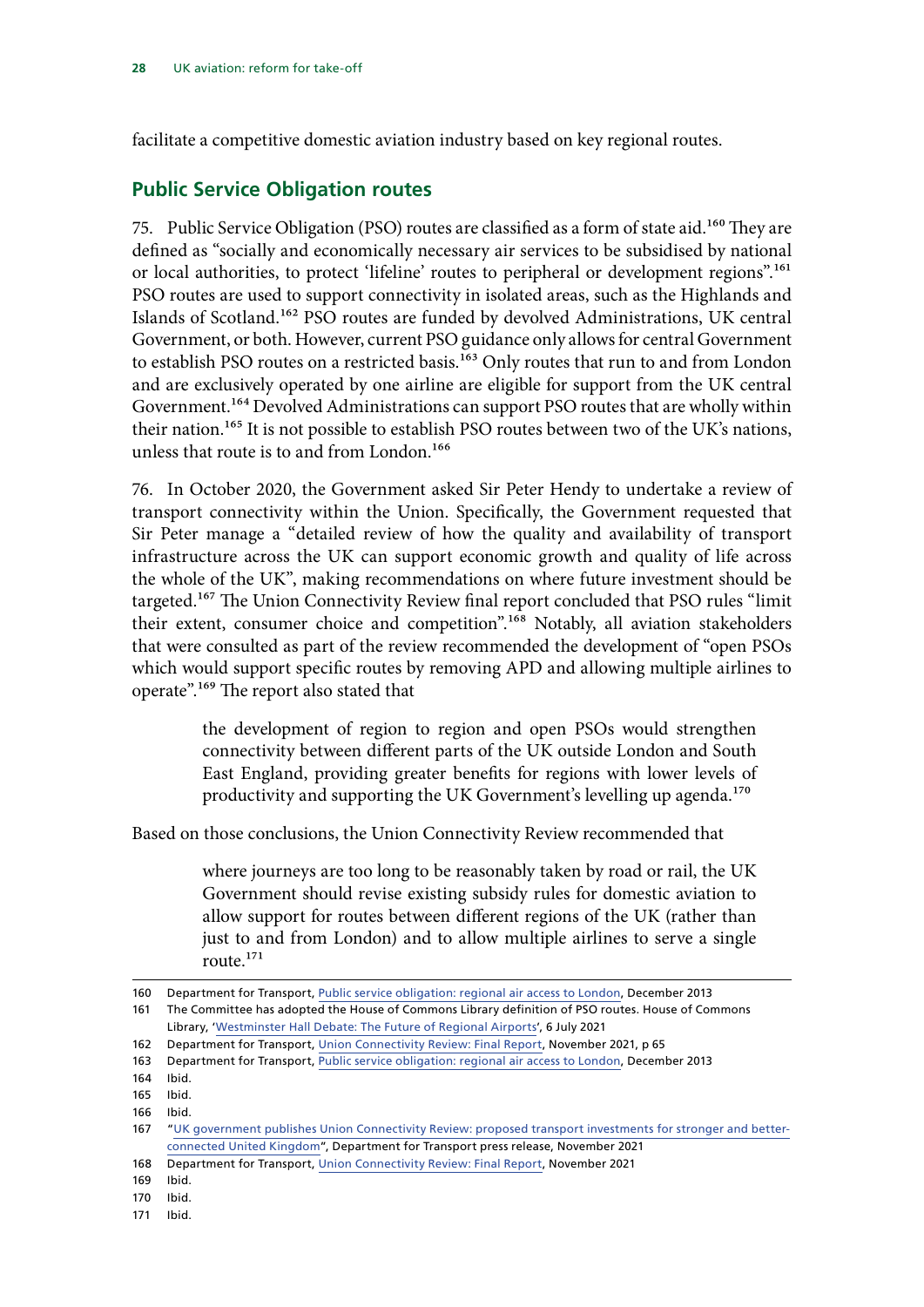<span id="page-29-0"></span>facilitate a competitive domestic aviation industry based on key regional routes.

### **Public Service Obligation routes**

75. Public Service Obligation (PSO) routes are classified as a form of state aid.<sup>160</sup> They are defined as "socially and economically necessary air services to be subsidised by national or local authorities, to protect 'lifeline' routes to peripheral or development regions".<sup>161</sup> PSO routes are used to support connectivity in isolated areas, such as the Highlands and Islands of Scotland.162 PSO routes are funded by devolved Administrations, UK central Government, or both. However, current PSO guidance only allows for central Government to establish PSO routes on a restricted basis.<sup>163</sup> Only routes that run to and from London and are exclusively operated by one airline are eligible for support from the UK central Government.<sup>164</sup> Devolved Administrations can support PSO routes that are wholly within their nation.165 It is not possible to establish PSO routes between two of the UK's nations, unless that route is to and from London.<sup>166</sup>

76. In October 2020, the Government asked Sir Peter Hendy to undertake a review of transport connectivity within the Union. Specifically, the Government requested that Sir Peter manage a "detailed review of how the quality and availability of transport infrastructure across the UK can support economic growth and quality of life across the whole of the UK", making recommendations on where future investment should be targeted.<sup>167</sup> The Union Connectivity Review final report concluded that PSO rules "limit their extent, consumer choice and competition".<sup>168</sup> Notably, all aviation stakeholders that were consulted as part of the review recommended the development of "open PSOs which would support specific routes by removing APD and allowing multiple airlines to operate".169 The report also stated that

> the development of region to region and open PSOs would strengthen connectivity between different parts of the UK outside London and South East England, providing greater benefits for regions with lower levels of productivity and supporting the UK Government's levelling up agenda.170

Based on those conclusions, the Union Connectivity Review recommended that

where journeys are too long to be reasonably taken by road or rail, the UK Government should revise existing subsidy rules for domestic aviation to allow support for routes between different regions of the UK (rather than just to and from London) and to allow multiple airlines to serve a single route.171

171 Ibid.

<sup>160</sup> Department for Transport, [Public service obligation: regional air access to London](https://assets.publishing.service.gov.uk/government/uploads/system/uploads/attachment_data/file/918791/pso-policy-guidance-optimized-version.pdf), December 2013

<sup>161</sup> The Committee has adopted the House of Commons Library definition of PSO routes. House of Commons Library, '[Westminster Hall Debate: The Future of Regional Airports'](https://researchbriefings.files.parliament.uk/documents/CDP-2021-0118/CDP-2021-0118.pdf), 6 July 2021

<sup>162</sup> Department for Transport, [Union Connectivity Review: Final Report,](https://assets.publishing.service.gov.uk/government/uploads/system/uploads/attachment_data/file/1036027/union-connectivity-review-final-report.pdf) November 2021, p 65

<sup>163</sup> Department for Transport, [Public service obligation: regional air access to London](https://assets.publishing.service.gov.uk/government/uploads/system/uploads/attachment_data/file/918791/pso-policy-guidance-optimized-version.pdf), December 2013

<sup>164</sup> Ibid.

<sup>165</sup> Ibid.

<sup>166</sup> Ibid.

<sup>167</sup> "[UK government publishes Union Connectivity Review: proposed transport investments for stronger and better](https://www.gov.uk/government/news/uk-government-publishes-union-connectivity-review-proposed-transport-investments-for-stronger-and-better-connected-united-kingdom)[connected United Kingdom](https://www.gov.uk/government/news/uk-government-publishes-union-connectivity-review-proposed-transport-investments-for-stronger-and-better-connected-united-kingdom)", Department for Transport press release, November 2021

<sup>168</sup> Department for Transport, [Union Connectivity Review: Final Report,](https://assets.publishing.service.gov.uk/government/uploads/system/uploads/attachment_data/file/1036027/union-connectivity-review-final-report.pdf) November 2021

<sup>169</sup> Ibid.

<sup>170</sup> Ibid.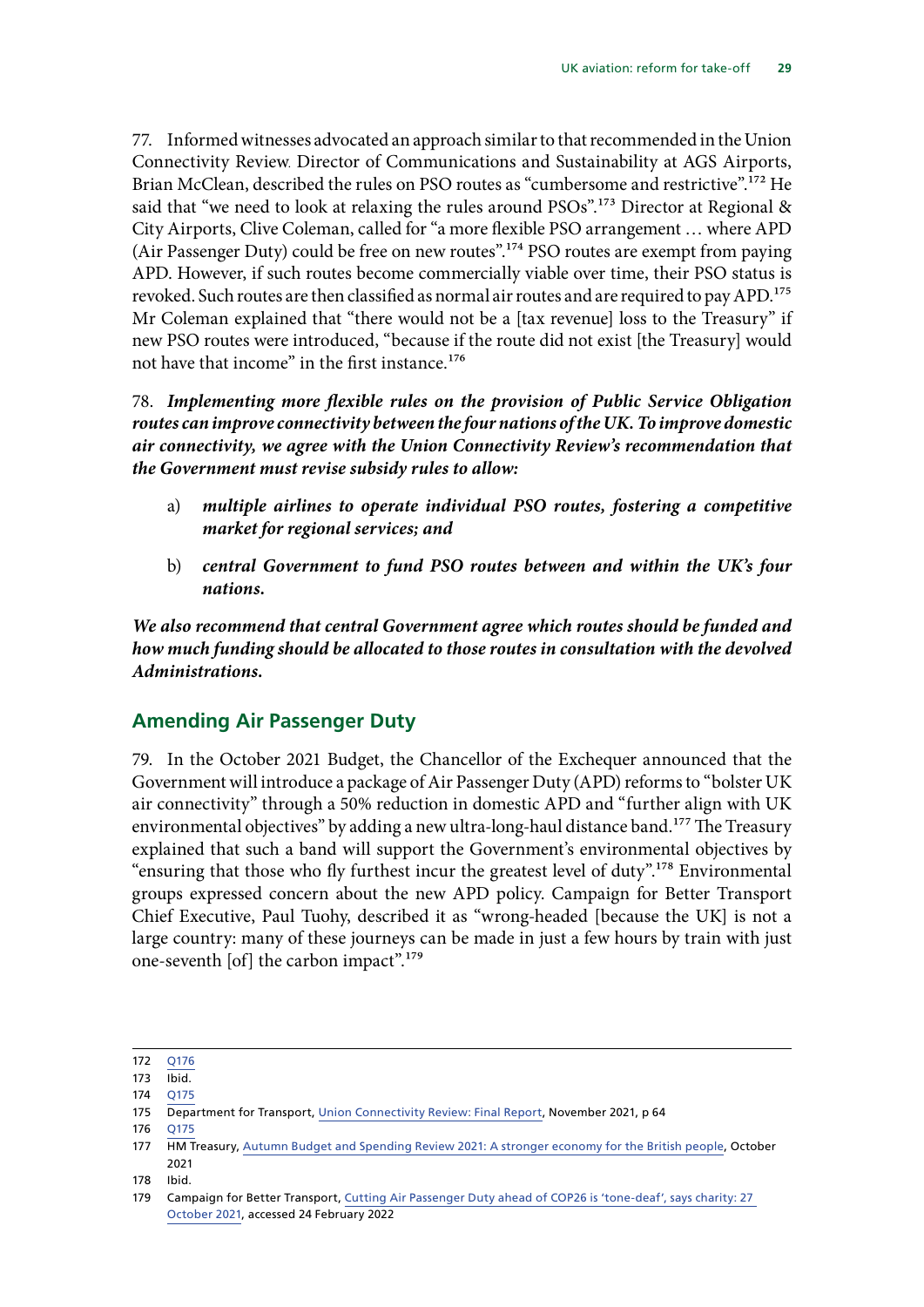<span id="page-30-0"></span>77. Informed witnesses advocated an approach similar to that recommended in the Union Connectivity Review. Director of Communications and Sustainability at AGS Airports, Brian McClean, described the rules on PSO routes as "cumbersome and restrictive".<sup>172</sup> He said that "we need to look at relaxing the rules around PSOs".<sup>173</sup> Director at Regional & City Airports, Clive Coleman, called for "a more flexible PSO arrangement … where APD (Air Passenger Duty) could be free on new routes".174 PSO routes are exempt from paying APD. However, if such routes become commercially viable over time, their PSO status is revoked. Such routes are then classified as normal air routes and are required to pay APD.<sup>175</sup> Mr Coleman explained that "there would not be a [tax revenue] loss to the Treasury" if new PSO routes were introduced, "because if the route did not exist [the Treasury] would not have that income" in the first instance.<sup>176</sup>

78. *Implementing more flexible rules on the provision of Public Service Obligation routes can improve connectivity between the four nations of the UK. To improve domestic air connectivity, we agree with the Union Connectivity Review's recommendation that the Government must revise subsidy rules to allow:*

- a) *multiple airlines to operate individual PSO routes, fostering a competitive market for regional services; and*
- b) *central Government to fund PSO routes between and within the UK's four nations.*

*We also recommend that central Government agree which routes should be funded and how much funding should be allocated to those routes in consultation with the devolved Administrations.*

### **Amending Air Passenger Duty**

79. In the October 2021 Budget, the Chancellor of the Exchequer announced that the Government will introduce a package of Air Passenger Duty (APD) reforms to "bolster UK air connectivity" through a 50% reduction in domestic APD and "further align with UK environmental objectives" by adding a new ultra-long-haul distance band.<sup>177</sup> The Treasury explained that such a band will support the Government's environmental objectives by "ensuring that those who fly furthest incur the greatest level of duty".178 Environmental groups expressed concern about the new APD policy. Campaign for Better Transport Chief Executive, Paul Tuohy, described it as "wrong-headed [because the UK] is not a large country: many of these journeys can be made in just a few hours by train with just one-seventh [of] the carbon impact".179

176 [Q175](https://committees.parliament.uk/oralevidence/3115/pdf/)

<sup>172</sup> [Q176](https://committees.parliament.uk/oralevidence/3115/pdf/)

<sup>173</sup> Ibid.

<sup>174</sup> [Q175](https://committees.parliament.uk/oralevidence/3115/pdf/)

<sup>175</sup> Department for Transport, [Union Connectivity Review: Final Report,](https://assets.publishing.service.gov.uk/government/uploads/system/uploads/attachment_data/file/1036027/union-connectivity-review-final-report.pdf) November 2021, p 64

<sup>177</sup> HM Treasury, [Autumn Budget and Spending Review 2021: A stronger economy for the British people,](https://assets.publishing.service.gov.uk/government/uploads/system/uploads/attachment_data/file/1043689/Budget_AB2021_Web_Accessible.pdf) October 2021

<sup>178</sup> Ibid.

<sup>179</sup> Campaign for Better Transport, [Cutting Air Passenger Duty ahead of COP26 is 'tone-deaf', says charity: 27](https://bettertransport.org.uk/cutting-air-passenger-duty-ahead-cop26-tone-deaf-says-charity)  [October 2021,](https://bettertransport.org.uk/cutting-air-passenger-duty-ahead-cop26-tone-deaf-says-charity) accessed 24 February 2022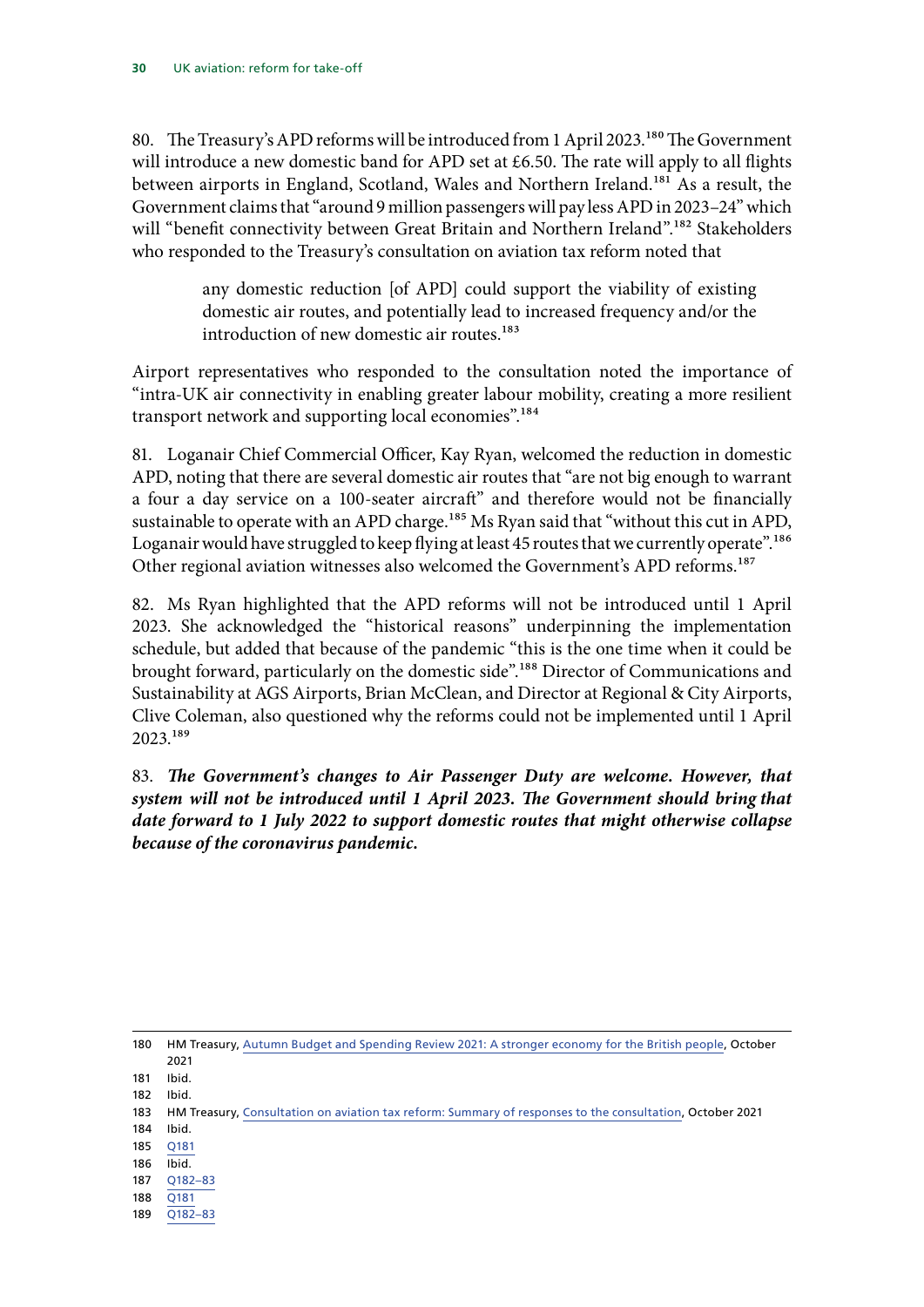80. The Treasury's APD reforms will be introduced from 1 April 2023.<sup>180</sup> The Government will introduce a new domestic band for APD set at £6.50. The rate will apply to all flights between airports in England, Scotland, Wales and Northern Ireland.<sup>181</sup> As a result, the Government claims that "around 9 million passengers will pay less APD in 2023–24" which will "benefit connectivity between Great Britain and Northern Ireland".<sup>182</sup> Stakeholders who responded to the Treasury's consultation on aviation tax reform noted that

> any domestic reduction [of APD] could support the viability of existing domestic air routes, and potentially lead to increased frequency and/or the introduction of new domestic air routes.<sup>183</sup>

Airport representatives who responded to the consultation noted the importance of "intra-UK air connectivity in enabling greater labour mobility, creating a more resilient transport network and supporting local economies".<sup>184</sup>

81. Loganair Chief Commercial Officer, Kay Ryan, welcomed the reduction in domestic APD, noting that there are several domestic air routes that "are not big enough to warrant a four a day service on a 100-seater aircraft" and therefore would not be financially sustainable to operate with an APD charge.<sup>185</sup> Ms Ryan said that "without this cut in APD, Loganair would have struggled to keep flying at least 45 routes that we currently operate".<sup>186</sup> Other regional aviation witnesses also welcomed the Government's APD reforms.<sup>187</sup>

82. Ms Ryan highlighted that the APD reforms will not be introduced until 1 April 2023. She acknowledged the "historical reasons" underpinning the implementation schedule, but added that because of the pandemic "this is the one time when it could be brought forward, particularly on the domestic side".<sup>188</sup> Director of Communications and Sustainability at AGS Airports, Brian McClean, and Director at Regional & City Airports, Clive Coleman, also questioned why the reforms could not be implemented until 1 April 2023.189

83. *The Government's changes to Air Passenger Duty are welcome. However, that system will not be introduced until 1 April 2023. The Government should bring that date forward to 1 July 2022 to support domestic routes that might otherwise collapse because of the coronavirus pandemic.*

180 HM Treasury, [Autumn Budget and Spending Review 2021: A stronger economy for the British people,](https://assets.publishing.service.gov.uk/government/uploads/system/uploads/attachment_data/file/1043689/Budget_AB2021_Web_Accessible.pdf) October 2021

181 Ibid.

182 Ibid.

183 HM Treasury, [Consultation on aviation tax reform: Summary of responses to the consultation](https://assets.publishing.service.gov.uk/government/uploads/system/uploads/attachment_data/file/1028662/APD_Summary_of_Responses_IN_TEMPLATE__002_.pdf), October 2021

- 184 Ibid.
- 185 [Q181](https://committees.parliament.uk/oralevidence/3115/pdf/) 186 Ibid.
- 187 [Q182](https://committees.parliament.uk/oralevidence/3115/pdf/)–83
- 188 [Q181](https://committees.parliament.uk/oralevidence/3115/pdf/)
- 189 [Q182–83](https://committees.parliament.uk/oralevidence/3115/pdf/)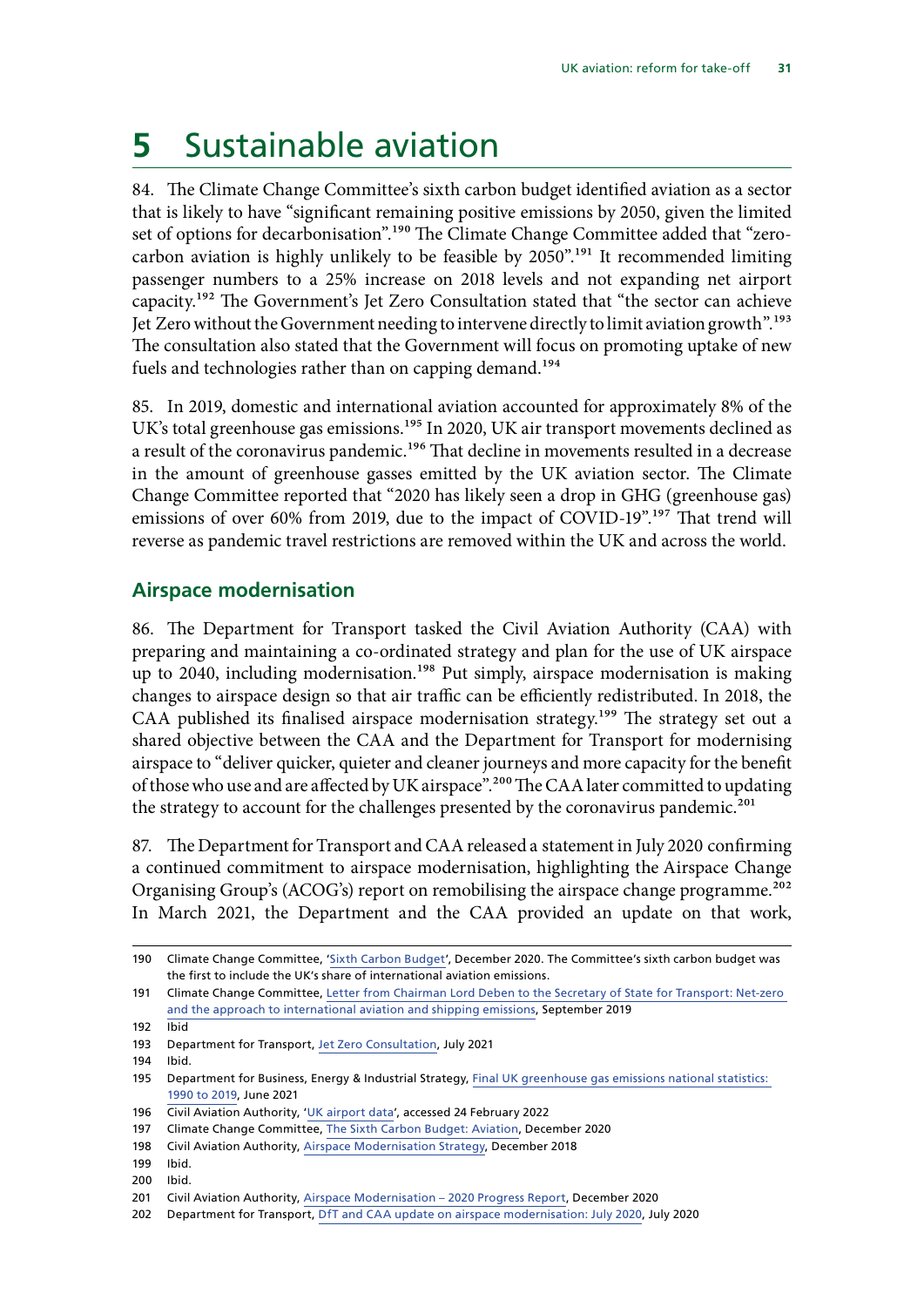## <span id="page-32-0"></span>**5** Sustainable aviation

84. The Climate Change Committee's sixth carbon budget identified aviation as a sector that is likely to have "significant remaining positive emissions by 2050, given the limited set of options for decarbonisation".<sup>190</sup> The Climate Change Committee added that "zerocarbon aviation is highly unlikely to be feasible by  $2050$ ".<sup>191</sup> It recommended limiting passenger numbers to a 25% increase on 2018 levels and not expanding net airport capacity.192 The Government's Jet Zero Consultation stated that "the sector can achieve Jet Zero without the Government needing to intervene directly to limit aviation growth".<sup>193</sup> The consultation also stated that the Government will focus on promoting uptake of new fuels and technologies rather than on capping demand.<sup>194</sup>

85. In 2019, domestic and international aviation accounted for approximately 8% of the UK's total greenhouse gas emissions.<sup>195</sup> In 2020, UK air transport movements declined as a result of the coronavirus pandemic.<sup>196</sup> That decline in movements resulted in a decrease in the amount of greenhouse gasses emitted by the UK aviation sector. The Climate Change Committee reported that "2020 has likely seen a drop in GHG (greenhouse gas) emissions of over 60% from 2019, due to the impact of COVID-19".<sup>197</sup> That trend will reverse as pandemic travel restrictions are removed within the UK and across the world.

### **Airspace modernisation**

86. The Department for Transport tasked the Civil Aviation Authority (CAA) with preparing and maintaining a co-ordinated strategy and plan for the use of UK airspace up to 2040, including modernisation.<sup>198</sup> Put simply, airspace modernisation is making changes to airspace design so that air traffic can be efficiently redistributed. In 2018, the CAA published its finalised airspace modernisation strategy.<sup>199</sup> The strategy set out a shared objective between the CAA and the Department for Transport for modernising airspace to "deliver quicker, quieter and cleaner journeys and more capacity for the benefit of those who use and are affected by UK airspace".<sup>200</sup> The CAA later committed to updating the strategy to account for the challenges presented by the coronavirus pandemic.<sup>201</sup>

87. The Department for Transport and CAA released a [statement in July 2020](https://www.gov.uk/government/publications/update-on-airspace-modernisation/update-on-airspace-modernisation) confirming a continued commitment to airspace modernisation, highlighting the [Airspace Change](https://www.ourfutureskies.uk/latest-news/2020/acog-remobilising-airspace-change-report/) [Organising Group's \(ACOG's\) report on remobilising the airspace change programme](https://www.ourfutureskies.uk/latest-news/2020/acog-remobilising-airspace-change-report/).<sup>202</sup> In March 2021, the Department and the CAA provided an update on that work,

- 196 Civil Aviation Authority, '[UK airport data'](https://www.caa.co.uk/data-and-analysis/uk-aviation-market/airports/uk-airport-data/uk-airport-data-2020/), accessed 24 February 2022
- 197 Climate Change Committee, [The Sixth Carbon Budget: Aviation](https://www.theccc.org.uk/wp-content/uploads/2020/12/Sector-summary-Aviation.pdf), December 2020

200 Ibid.

<sup>190</sup> Climate Change Committee, '[Sixth Carbon Budget](https://www.theccc.org.uk/publication/sixth-carbon-budget/)', December 2020. The Committee's sixth carbon budget was the first to include the UK's share of international aviation emissions.

<sup>191</sup> Climate Change Committee, [Letter from Chairman Lord Deben to the Secretary of State for Transport: Net-zero](https://www.theccc.org.uk/wp-content/uploads/2019/09/Letter-from-Lord-Deben-to-Grant-Shapps-IAS.pdf)  [and the approach to international aviation and shipping emissions](https://www.theccc.org.uk/wp-content/uploads/2019/09/Letter-from-Lord-Deben-to-Grant-Shapps-IAS.pdf), September 2019

<sup>192</sup> Ibid

<sup>193</sup> Department for Transport, [Jet Zero Consultation,](https://assets.publishing.service.gov.uk/government/uploads/system/uploads/attachment_data/file/1002716/jet-zero-consultation-a-consultation-on-our-strategy-for-net-zero-aviation.pdf) July 2021

<sup>194</sup> Ibid.

<sup>195</sup> Department for Business, Energy & Industrial Strategy, [Final UK greenhouse gas emissions national statistics:](https://www.gov.uk/government/statistics/final-uk-greenhouse-gas-emissions-national-statistics-1990-to-2019)  [1990 to 2019,](https://www.gov.uk/government/statistics/final-uk-greenhouse-gas-emissions-national-statistics-1990-to-2019) June 2021

<sup>198</sup> Civil Aviation Authority, [Airspace Modernisation Strategy,](https://publicapps.caa.co.uk/docs/33/CAP%201711%20Airspace%20Modernisation%20Strategy.pdf) December 2018

<sup>199</sup> Ibid.

<sup>201</sup> Civil Aviation Authority, [Airspace Modernisation – 2020 Progress Report,](https://publicapps.caa.co.uk/docs/33/Airspace%20Modernisation%20Progress%20Report%202020%20(p).pdf) December 2020

<sup>202</sup> Department for Transport, [DfT and CAA update on airspace modernisation: July 2020,](https://www.gov.uk/government/publications/update-on-airspace-modernisation/update-on-airspace-modernisation) July 2020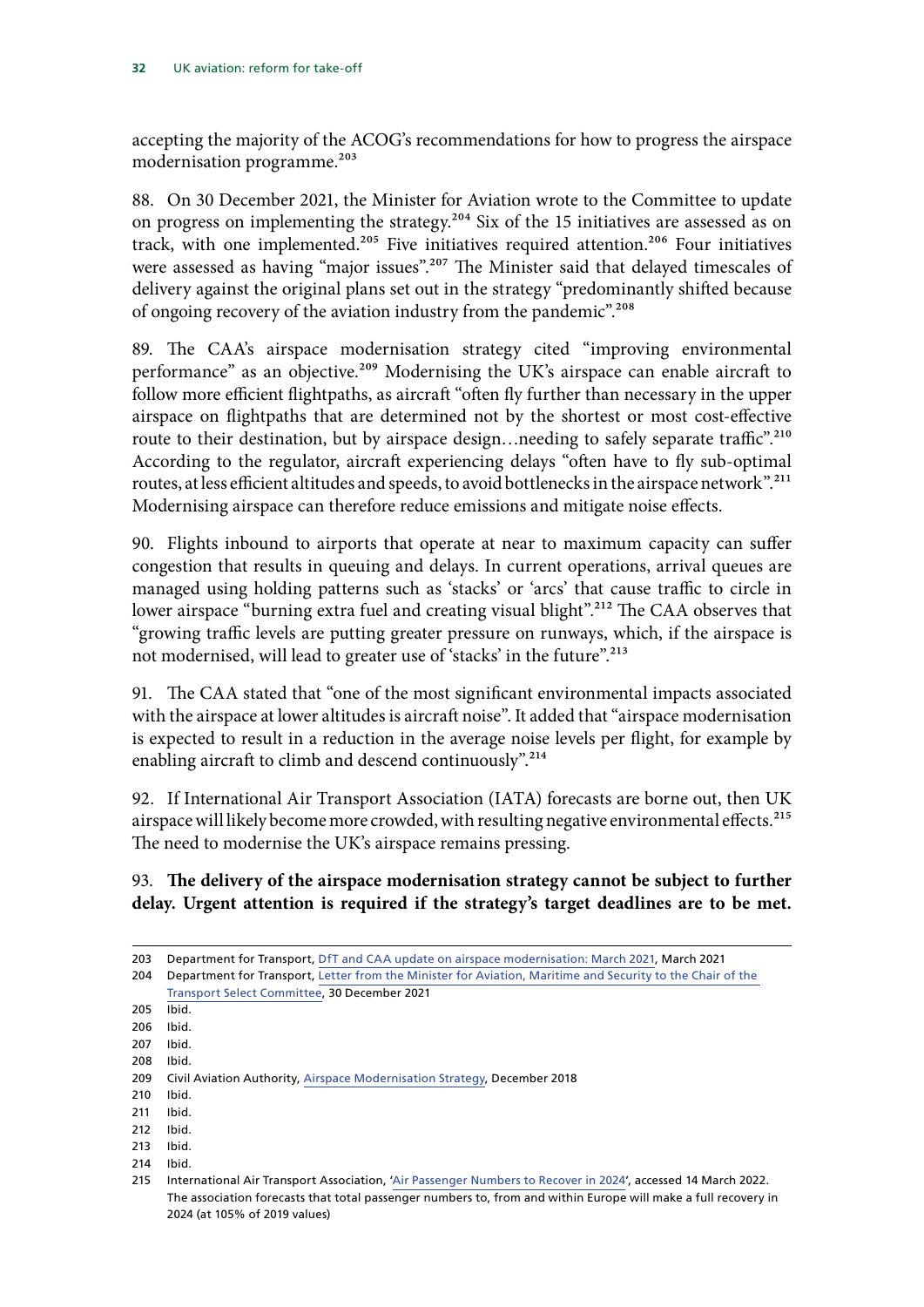accepting the majority of the ACOG's recommendations for how to progress the airspace modernisation programme.<sup>203</sup>

88. On 30 December 2021, the Minister for Aviation wrote to the Committee to update on progress on implementing the strategy.<sup>204</sup> Six of the 15 initiatives are assessed as on track, with one implemented.<sup>205</sup> Five initiatives required attention.<sup>206</sup> Four initiatives were assessed as having "major issues".<sup>207</sup> The Minister said that delayed timescales of delivery against the original plans set out in the strategy "predominantly shifted because of ongoing recovery of the aviation industry from the pandemic".<sup>208</sup>

89. The CAA's airspace modernisation strategy cited "improving environmental performance" as an objective.<sup>209</sup> Modernising the UK's airspace can enable aircraft to follow more efficient flightpaths, as aircraft "often fly further than necessary in the upper airspace on flightpaths that are determined not by the shortest or most cost-effective route to their destination, but by airspace design...needing to safely separate traffic".<sup>210</sup> According to the regulator, aircraft experiencing delays "often have to fly sub-optimal routes, at less efficient altitudes and speeds, to avoid bottlenecks in the airspace network".211 Modernising airspace can therefore reduce emissions and mitigate noise effects.

90. Flights inbound to airports that operate at near to maximum capacity can suffer congestion that results in queuing and delays. In current operations, arrival queues are managed using holding patterns such as 'stacks' or 'arcs' that cause traffic to circle in lower airspace "burning extra fuel and creating visual blight".<sup>212</sup> The CAA observes that "growing traffic levels are putting greater pressure on runways, which, if the airspace is not modernised, will lead to greater use of 'stacks' in the future".<sup>213</sup>

91. The CAA stated that "one of the most significant environmental impacts associated with the airspace at lower altitudes is aircraft noise". It added that "airspace modernisation is expected to result in a reduction in the average noise levels per flight, for example by enabling aircraft to climb and descend continuously".<sup>214</sup>

92. If International Air Transport Association (IATA) forecasts are borne out, then UK airspace will likely become more crowded, with resulting negative environmental effects.<sup>215</sup> The need to modernise the UK's airspace remains pressing.

### 93. **The delivery of the airspace modernisation strategy cannot be subject to further delay. Urgent attention is required if the strategy's target deadlines are to be met.**

- 212 Ibid.
- 213 Ibid.
- 214 Ibid.

<sup>203</sup> Department for Transport, [DfT and CAA update on airspace modernisation: March 2021](https://www.gov.uk/government/publications/update-on-airspace-modernisation/dft-and-caa-update-on-airspace-modernisation-march-2021), March 2021

<sup>204</sup> Department for Transport, [Letter from the Minister for Aviation, Maritime and Security to the Chair of the](https://committees.parliament.uk/publications/9476/documents/161612/default/)  [Transport Select Committee,](https://committees.parliament.uk/publications/9476/documents/161612/default/) 30 December 2021

<sup>205</sup> Ibid.

<sup>206</sup> Ibid.

<sup>207</sup> Ibid.

<sup>208</sup> Ibid.

<sup>209</sup> Civil Aviation Authority, [Airspace Modernisation Strategy,](https://publicapps.caa.co.uk/docs/33/CAP%201711%20Airspace%20Modernisation%20Strategy.pdf) December 2018

<sup>210</sup> Ibid.

<sup>211</sup> Ibid.

<sup>215</sup> International Air Transport Association, ['Air Passenger Numbers to Recover in 2024](https://www.iata.org/en/pressroom/2022-releases/2022-03-01-01/)', accessed 14 March 2022. The association forecasts that total passenger numbers to, from and within Europe will make a full recovery in 2024 (at 105% of 2019 values)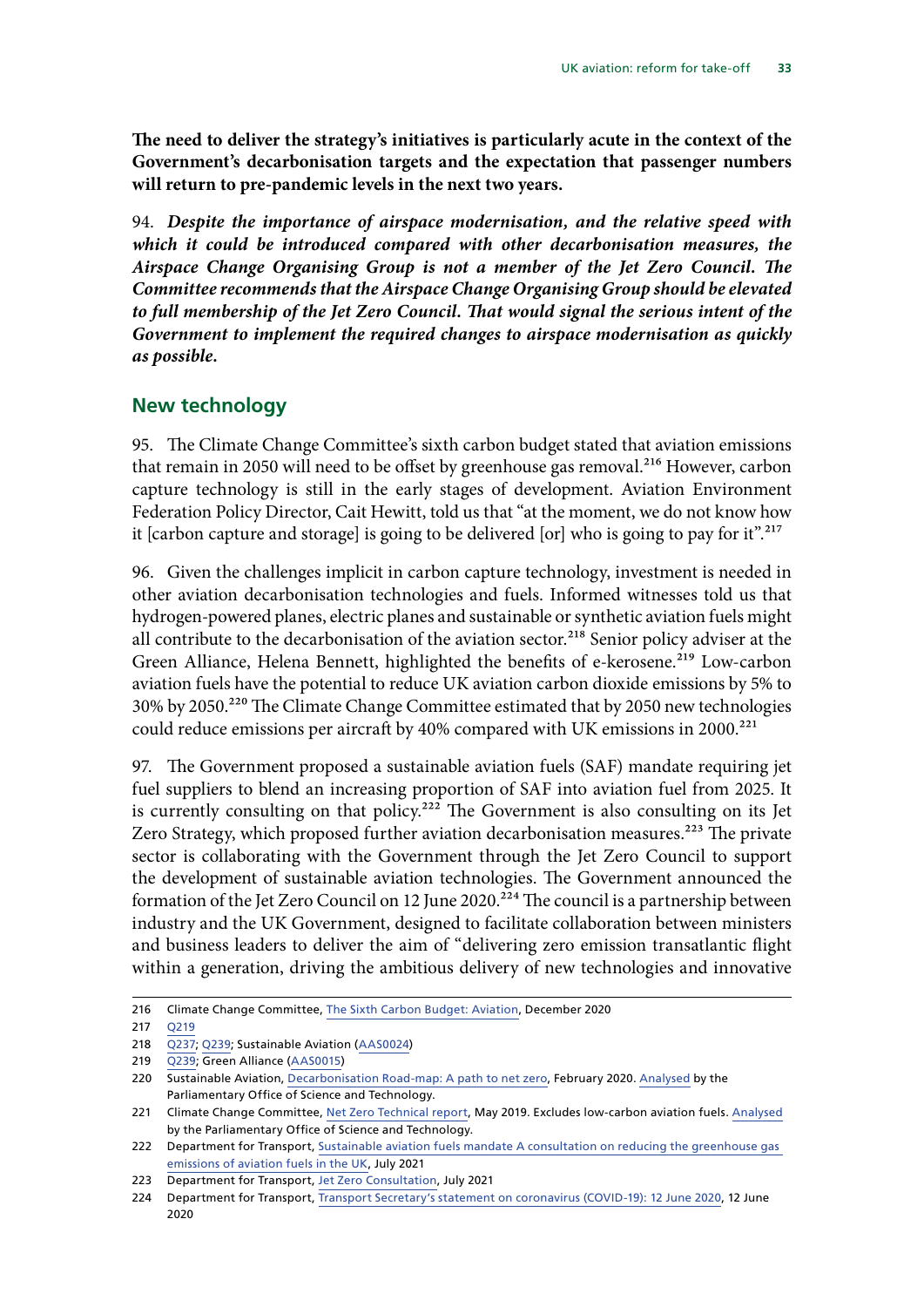<span id="page-34-0"></span>**The need to deliver the strategy's initiatives is particularly acute in the context of the Government's decarbonisation targets and the expectation that passenger numbers will return to pre-pandemic levels in the next two years.**

94. *Despite the importance of airspace modernisation, and the relative speed with which it could be introduced compared with other decarbonisation measures, the Airspace Change Organising Group is not a member of the Jet Zero Council. The Committee recommends that the Airspace Change Organising Group should be elevated to full membership of the Jet Zero Council. That would signal the serious intent of the Government to implement the required changes to airspace modernisation as quickly as possible.*

### **New technology**

95. The Climate Change Committee's sixth carbon budget stated that aviation emissions that remain in 2050 will need to be offset by greenhouse gas removal.<sup>216</sup> However, carbon capture technology is still in the early stages of development. Aviation Environment Federation Policy Director, Cait Hewitt, told us that "at the moment, we do not know how it [carbon capture and storage] is going to be delivered [or] who is going to pay for it".<sup>217</sup>

96. Given the challenges implicit in carbon capture technology, investment is needed in other aviation decarbonisation technologies and fuels. Informed witnesses told us that hydrogen-powered planes, electric planes and sustainable or synthetic aviation fuels might all contribute to the decarbonisation of the aviation sector.<sup>218</sup> Senior policy adviser at the Green Alliance, Helena Bennett, highlighted the benefits of e-kerosene.<sup>219</sup> Low-carbon aviation fuels have the potential to reduce UK aviation carbon dioxide emissions by 5% to 30% by 2050.220 The Climate Change Committee estimated that by 2050 new technologies could reduce emissions per aircraft by 40% compared with UK emissions in 2000.<sup>221</sup>

97. The Government proposed a sustainable aviation fuels (SAF) mandate requiring jet fuel suppliers to blend an increasing proportion of SAF into aviation fuel from 2025. It is currently consulting on that policy.<sup>222</sup> The Government is also consulting on its Jet Zero Strategy, which proposed further aviation decarbonisation measures.<sup>223</sup> The private sector is collaborating with the Government through the Jet Zero Council to support the development of sustainable aviation technologies. The Government announced the formation of the Jet Zero Council on 12 June 2020.<sup>224</sup> The council is a partnership between industry and the UK Government, designed to facilitate collaboration between ministers and business leaders to deliver the aim of "delivering zero emission transatlantic flight within a generation, driving the ambitious delivery of new technologies and innovative

<sup>216</sup> Climate Change Committee, [The Sixth Carbon Budget: Aviation](https://www.theccc.org.uk/wp-content/uploads/2020/12/Sector-summary-Aviation.pdf), December 2020

<sup>217</sup> [Q219](https://committees.parliament.uk/oralevidence/3116/pdf/)

<sup>218</sup> [Q237](https://committees.parliament.uk/oralevidence/3116/pdf/); [Q239;](https://committees.parliament.uk/oralevidence/3116/pdf/) Sustainable Aviation ([AAS0024\)](https://committees.parliament.uk/writtenevidence/39965/pdf/)

<sup>219</sup> [Q239](https://committees.parliament.uk/oralevidence/3116/pdf/); Green Alliance ([AAS0015\)](https://committees.parliament.uk/writtenevidence/39942/pdf/)

<sup>220</sup> Sustainable Aviation, [Decarbonisation Road-map: A path to net zero,](https://www.sustainableaviation.co.uk/wp-content/uploads/2020/02/SustainableAviation_CarbonReport_20200203.pdf) February 2020. [Analysed](https://researchbriefings.files.parliament.uk/documents/POST-PN-0616/POST-PN-0616.pdf) by the Parliamentary Office of Science and Technology.

<sup>221</sup> Climate Change Committee, [Net Zero Technical report,](https://www.theccc.org.uk/wp-content/uploads/2019/05/Net-Zero-Technical-report-CCC.pdf) May 2019. Excludes low-carbon aviation fuels. [Analysed](https://researchbriefings.files.parliament.uk/documents/POST-PN-0615/POST-PN-0615.pdf) by the Parliamentary Office of Science and Technology.

<sup>222</sup> Department for Transport, [Sustainable aviation fuels mandate A consultation on reducing the greenhouse gas](https://assets.publishing.service.gov.uk/government/uploads/system/uploads/attachment_data/file/1005382/sustainable-aviation-fuels-mandate-consultation-on-reducing-the-greenhouse-gas-emissions-of-aviation-fuels-in-the-uk.pdf)  [emissions of aviation fuels in the UK](https://assets.publishing.service.gov.uk/government/uploads/system/uploads/attachment_data/file/1005382/sustainable-aviation-fuels-mandate-consultation-on-reducing-the-greenhouse-gas-emissions-of-aviation-fuels-in-the-uk.pdf), July 2021

<sup>223</sup> Department for Transport, [Jet Zero Consultation,](https://assets.publishing.service.gov.uk/government/uploads/system/uploads/attachment_data/file/1002716/jet-zero-consultation-a-consultation-on-our-strategy-for-net-zero-aviation.pdf) July 2021

<sup>224</sup> Department for Transport, [Transport Secretary's statement on coronavirus \(COVID-19\): 12 June 2020,](https://www.gov.uk/government/speeches/transport-secretarys-statement-on-coronavirus-covid-19-12-june-2020) 12 June 2020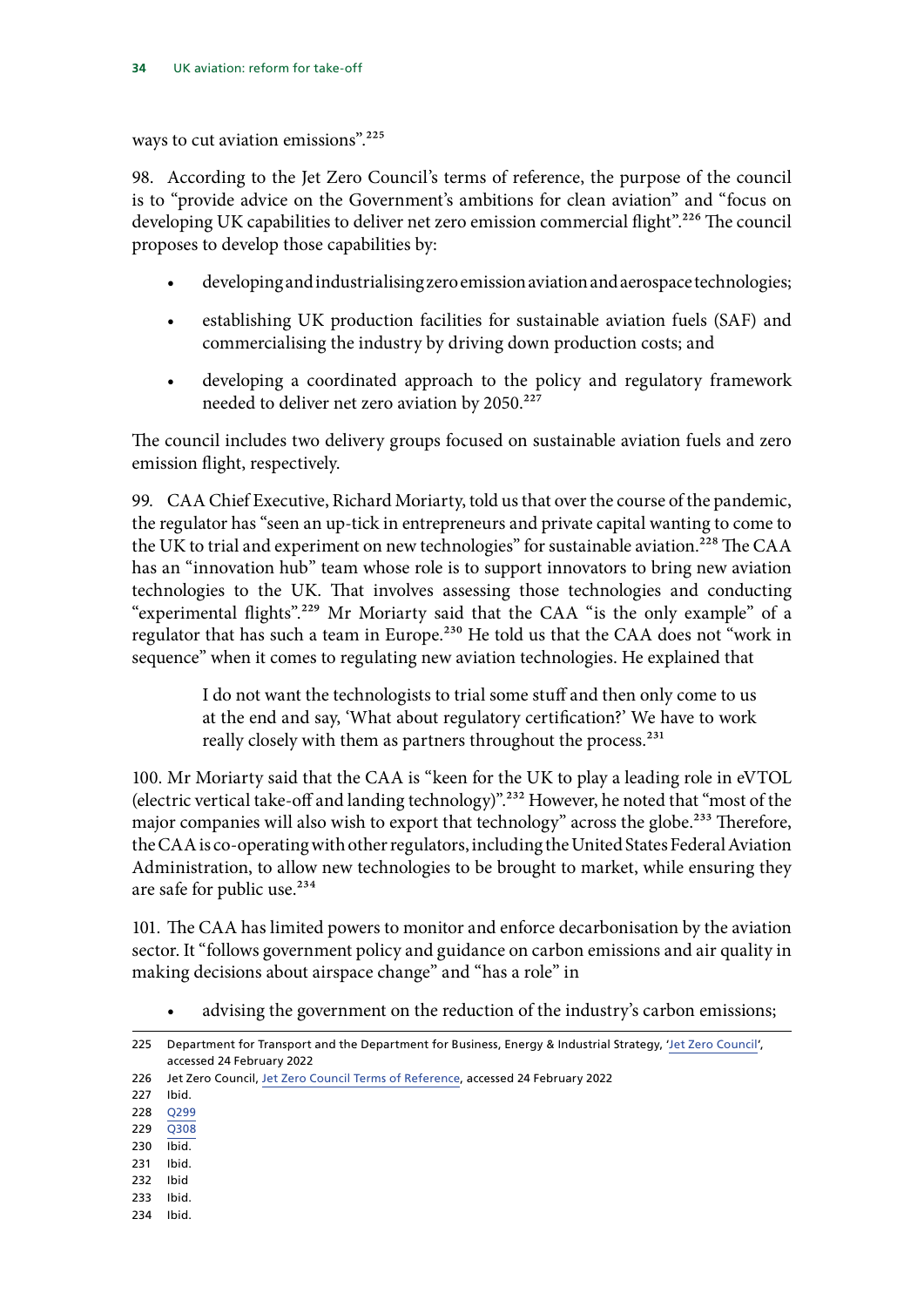ways to cut aviation emissions".<sup>225</sup>

98. According to the Jet Zero Council's terms of reference, the purpose of the council is to "provide advice on the Government's ambitions for clean aviation" and "focus on developing UK capabilities to deliver net zero emission commercial flight".<sup>226</sup> The council proposes to develop those capabilities by:

- developing and industrialising zero emission aviation and aerospace technologies;
- establishing UK production facilities for sustainable aviation fuels (SAF) and commercialising the industry by driving down production costs; and
- developing a coordinated approach to the policy and regulatory framework needed to deliver net zero aviation by 2050.<sup>227</sup>

The council includes two delivery groups focused on sustainable aviation fuels and zero emission flight, respectively.

99. CAA Chief Executive, Richard Moriarty, told us that over the course of the pandemic, the regulator has "seen an up-tick in entrepreneurs and private capital wanting to come to the UK to trial and experiment on new technologies" for sustainable aviation.<sup>228</sup> The CAA has an "innovation hub" team whose role is to support innovators to bring new aviation technologies to the UK. That involves assessing those technologies and conducting "experimental flights".<sup>229</sup> Mr Moriarty said that the CAA "is the only example" of a regulator that has such a team in Europe.<sup>230</sup> He told us that the CAA does not "work in sequence" when it comes to regulating new aviation technologies. He explained that

> I do not want the technologists to trial some stuff and then only come to us at the end and say, 'What about regulatory certification?' We have to work really closely with them as partners throughout the process.<sup>231</sup>

100. Mr Moriarty said that the CAA is "keen for the UK to play a leading role in eVTOL (electric vertical take-off and landing technology)".232 However, he noted that "most of the major companies will also wish to export that technology" across the globe.<sup>233</sup> Therefore, the CAA is co-operating with other regulators, including the United States Federal Aviation Administration, to allow new technologies to be brought to market, while ensuring they are safe for public use.<sup>234</sup>

101. The CAA has limited powers to monitor and enforce decarbonisation by the aviation sector. It "follows government policy and guidance on carbon emissions and air quality in making decisions about airspace change" and "has a role" in

advising the government on the reduction of the industry's carbon emissions;

- 229 [Q308](https://committees.parliament.uk/oralevidence/3213/pdf/)
- 230 Ibid.
- 231 Ibid.
- 232 Ibid
- 233 Ibid.
- 234 Ibid.

<sup>225</sup> Department for Transport and the Department for Business, Energy & Industrial Strategy, 'Jet Zero Council', accessed 24 February 2022

<sup>226</sup> Jet Zero Council, [Jet Zero Council Terms of Reference,](https://assets.publishing.service.gov.uk/government/uploads/system/uploads/attachment_data/file/921493/jet-zero-council-terms-of-reference.pdf) accessed 24 February 2022

<sup>227</sup> Ibid.

<sup>228</sup> [Q299](https://committees.parliament.uk/oralevidence/3213/pdf/)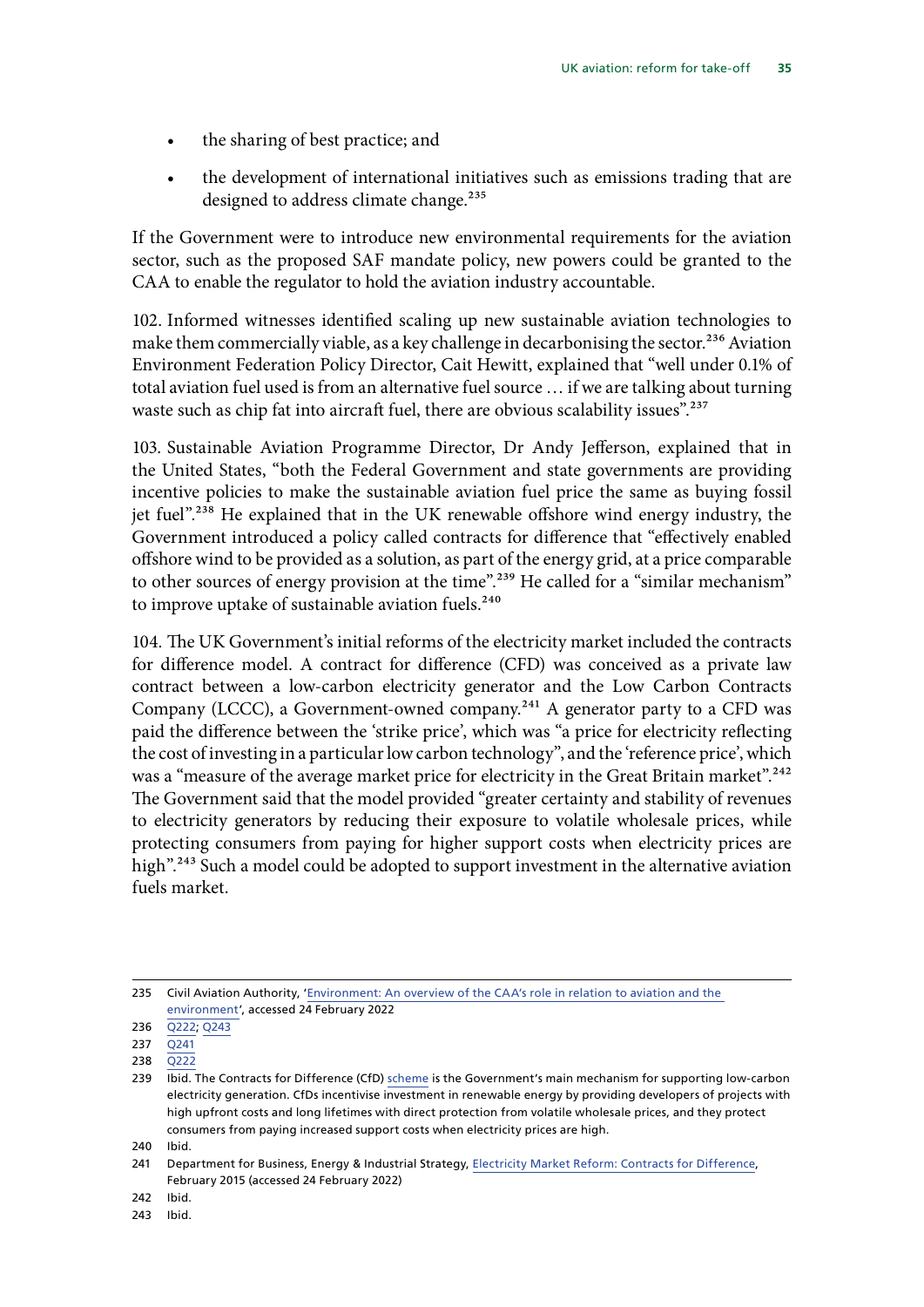- the sharing of best practice; and
- the development of international initiatives such as emissions trading that are designed to address climate change.<sup>235</sup>

If the Government were to introduce new environmental requirements for the aviation sector, such as the proposed SAF mandate policy, new powers could be granted to the CAA to enable the regulator to hold the aviation industry accountable.

102. Informed witnesses identified scaling up new sustainable aviation technologies to make them commercially viable, as a key challenge in decarbonising the sector.<sup>236</sup> Aviation Environment Federation Policy Director, Cait Hewitt, explained that "well under 0.1% of total aviation fuel used is from an alternative fuel source … if we are talking about turning waste such as chip fat into aircraft fuel, there are obvious scalability issues".<sup>237</sup>

103. Sustainable Aviation Programme Director, Dr Andy Jefferson, explained that in the United States, "both the Federal Government and state governments are providing incentive policies to make the sustainable aviation fuel price the same as buying fossil jet fuel".238 He explained that in the UK renewable offshore wind energy industry, the Government introduced a policy called contracts for difference that "effectively enabled offshore wind to be provided as a solution, as part of the energy grid, at a price comparable to other sources of energy provision at the time".<sup>239</sup> He called for a "similar mechanism" to improve uptake of sustainable aviation fuels. $240$ 

104. The UK Government's initial reforms of the electricity market included the contracts for difference model. A contract for difference (CFD) was conceived as a private law contract between a low-carbon electricity generator and the Low Carbon Contracts Company (LCCC), a Government-owned company.241 A generator party to a CFD was paid the difference between the 'strike price', which was "a price for electricity reflecting the cost of investing in a particular low carbon technology", and the 'reference price', which was a "measure of the average market price for electricity in the Great Britain market".<sup>242</sup> The Government said that the model provided "greater certainty and stability of revenues to electricity generators by reducing their exposure to volatile wholesale prices, while protecting consumers from paying for higher support costs when electricity prices are high".<sup>243</sup> Such a model could be adopted to support investment in the alternative aviation fuels market.

<sup>235</sup> Civil Aviation Authority, '[Environment: An overview of the CAA's role in relation to aviation and the](https://www.caa.co.uk/Consumers/Environment/Environment/)  [environment](https://www.caa.co.uk/Consumers/Environment/Environment/)', accessed 24 February 2022

<sup>236</sup> [Q222](https://committees.parliament.uk/oralevidence/3116/pdf/); [Q243](https://committees.parliament.uk/oralevidence/3116/pdf/)

<sup>237</sup> [Q241](https://committees.parliament.uk/oralevidence/3116/pdf/)

<sup>238</sup> [Q222](https://committees.parliament.uk/oralevidence/3116/pdf/)

<sup>239</sup> Ibid. The Contracts for Difference (CfD) [scheme](https://www.gov.uk/government/publications/contracts-for-difference/contract-for-difference) is the Government's main mechanism for supporting low-carbon electricity generation. CfDs incentivise investment in renewable energy by providing developers of projects with high upfront costs and long lifetimes with direct protection from volatile wholesale prices, and they protect consumers from paying increased support costs when electricity prices are high.

<sup>240</sup> Ibid.

<sup>241</sup> Department for Business, Energy & Industrial Strategy, Electricity Market Reform: Contracts for Difference, February 2015 (accessed 24 February 2022)

<sup>242</sup> Ibid.

<sup>243</sup> Ibid.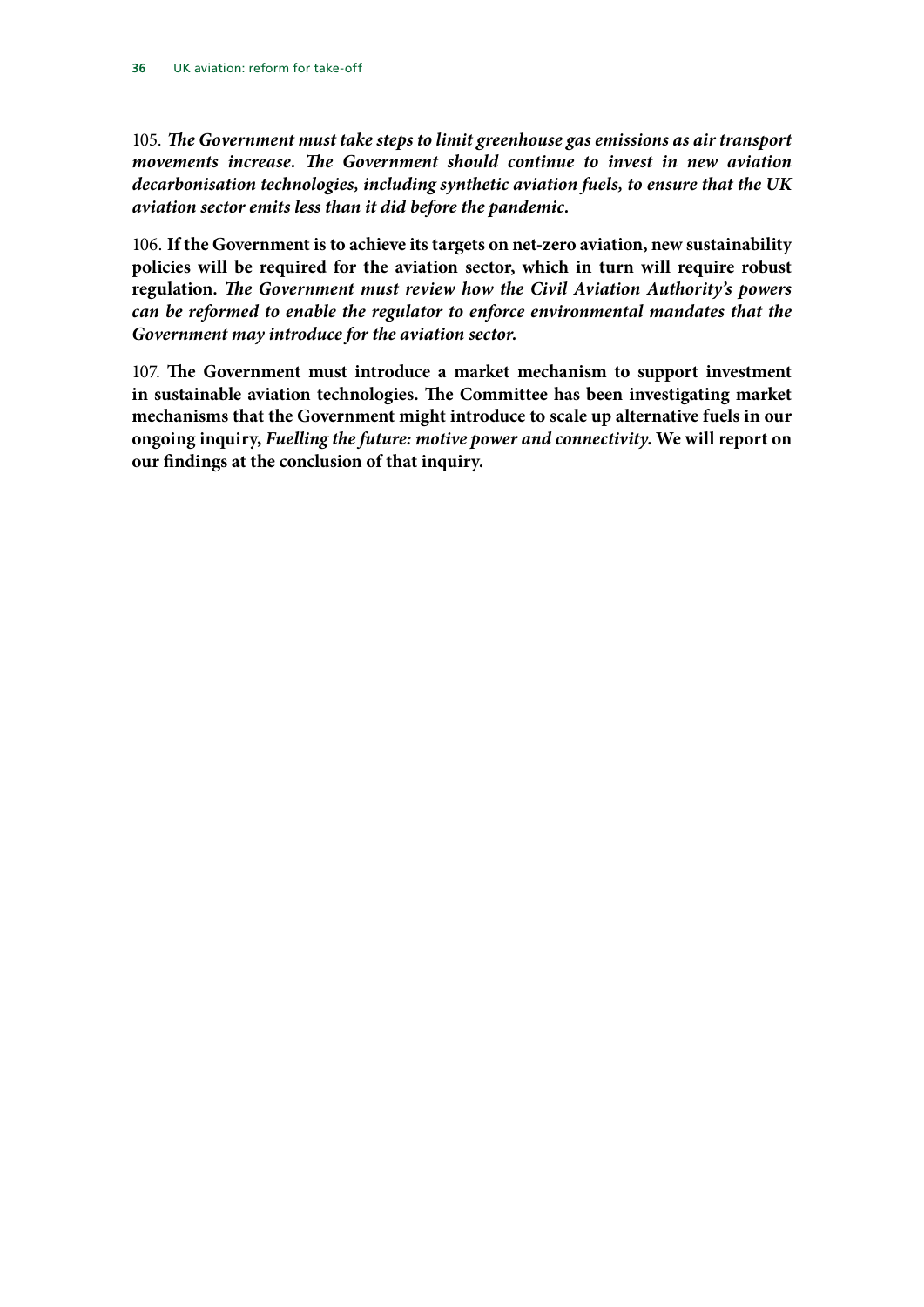105. *The Government must take steps to limit greenhouse gas emissions as air transport movements increase. The Government should continue to invest in new aviation decarbonisation technologies, including synthetic aviation fuels, to ensure that the UK aviation sector emits less than it did before the pandemic.*

106. **If the Government is to achieve its targets on net-zero aviation, new sustainability policies will be required for the aviation sector, which in turn will require robust regulation.** *The Government must review how the Civil Aviation Authority's powers can be reformed to enable the regulator to enforce environmental mandates that the Government may introduce for the aviation sector.*

107. **The Government must introduce a market mechanism to support investment in sustainable aviation technologies. The Committee has been investigating market mechanisms that the Government might introduce to scale up alternative fuels in our ongoing inquiry,** *Fuelling the future: motive power and connectivity***. We will report on our findings at the conclusion of that inquiry.**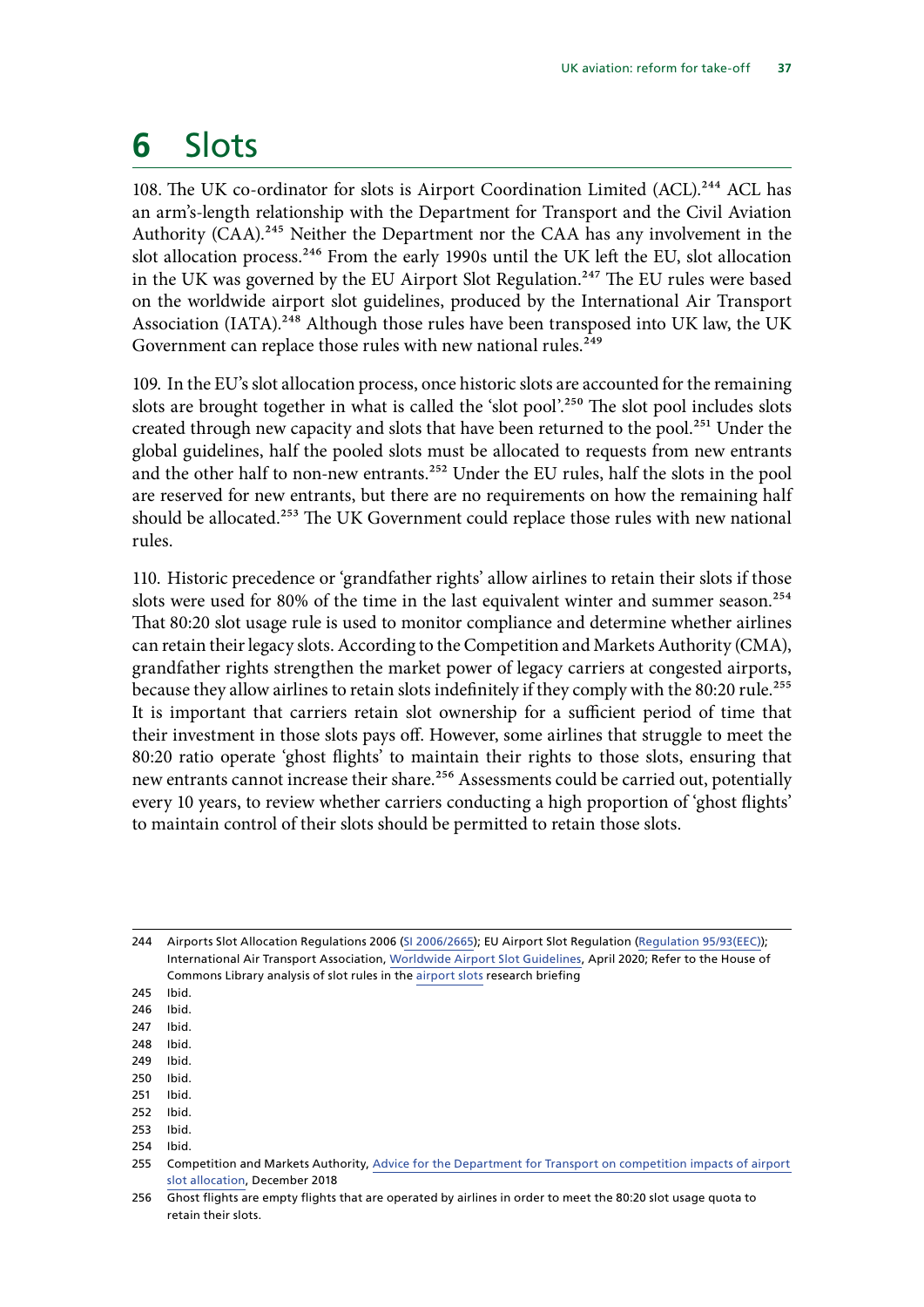## <span id="page-38-0"></span>**6** Slots

108. The UK co-ordinator for slots is Airport Coordination Limited (ACL).<sup>244</sup> ACL has an arm's-length relationship with the Department for Transport and the Civil Aviation Authority (CAA).<sup>245</sup> Neither the Department nor the CAA has any involvement in the slot allocation process.<sup>246</sup> From the early 1990s until the UK left the EU, slot allocation in the UK was governed by the EU Airport Slot Regulation.<sup>247</sup> The EU rules were based on the worldwide airport slot guidelines, produced by the International Air Transport Association (IATA).<sup>248</sup> Although those rules have been transposed into UK law, the UK Government can replace those rules with new national rules.<sup>249</sup>

109. In the EU's slot allocation process, once historic slots are accounted for the remaining slots are brought together in what is called the 'slot pool'.<sup>250</sup> The slot pool includes slots created through new capacity and slots that have been returned to the pool.<sup>251</sup> Under the global guidelines, half the pooled slots must be allocated to requests from new entrants and the other half to non-new entrants.<sup>252</sup> Under the EU rules, half the slots in the pool are reserved for new entrants, but there are no requirements on how the remaining half should be allocated.<sup>253</sup> The UK Government could replace those rules with new national rules.

110. Historic precedence or 'grandfather rights' allow airlines to retain their slots if those slots were used for 80% of the time in the last equivalent winter and summer season.<sup>254</sup> That 80:20 slot usage rule is used to monitor compliance and determine whether airlines can retain their legacy slots. According to the Competition and Markets Authority (CMA), grandfather rights strengthen the market power of legacy carriers at congested airports, because they allow airlines to retain slots indefinitely if they comply with the 80:20 rule.<sup>255</sup> It is important that carriers retain slot ownership for a sufficient period of time that their investment in those slots pays off. However, some airlines that struggle to meet the 80:20 ratio operate 'ghost flights' to maintain their rights to those slots, ensuring that new entrants cannot increase their share.<sup>256</sup> Assessments could be carried out, potentially every 10 years, to review whether carriers conducting a high proportion of 'ghost flights' to maintain control of their slots should be permitted to retain those slots.

244 Airports Slot Allocation Regulations 2006 [\(SI 2006/2665](http://www.legislation.gov.uk/uksi/2006/2665/made)); EU Airport Slot Regulation ([Regulation 95/93\(EEC\)](https://eur-lex.europa.eu/legal-content/EN/TXT/PDF/?uri=CELEX:01993R0095-20200401&from=EN)); International Air Transport Association, [Worldwide Airport Slot Guidelines,](https://www.iata.org/contentassets/4ede2aabfcc14a55919e468054d714fe/wasg-edition-1-english-version.pdf) April 2020; Refer to the House of Commons Library analysis of slot rules in the [airport slots](https://commonslibrary.parliament.uk/research-briefings/cbp-9062/) research briefing

247 Ibid.

- 249 Ibid.
- 250 Ibid.
- 251 Ibid. 252 Ibid.
- 253 Ibid.
- 254 Ibid.

<sup>245</sup> Ibid.

<sup>246</sup> Ibid.

<sup>248</sup> Ibid.

<sup>255</sup> Competition and Markets Authority, Advice for the Department for Transport on competition impacts of airport slot allocation, December 2018

<sup>256</sup> Ghost flights are empty flights that are operated by airlines in order to meet the 80:20 slot usage quota to retain their slots.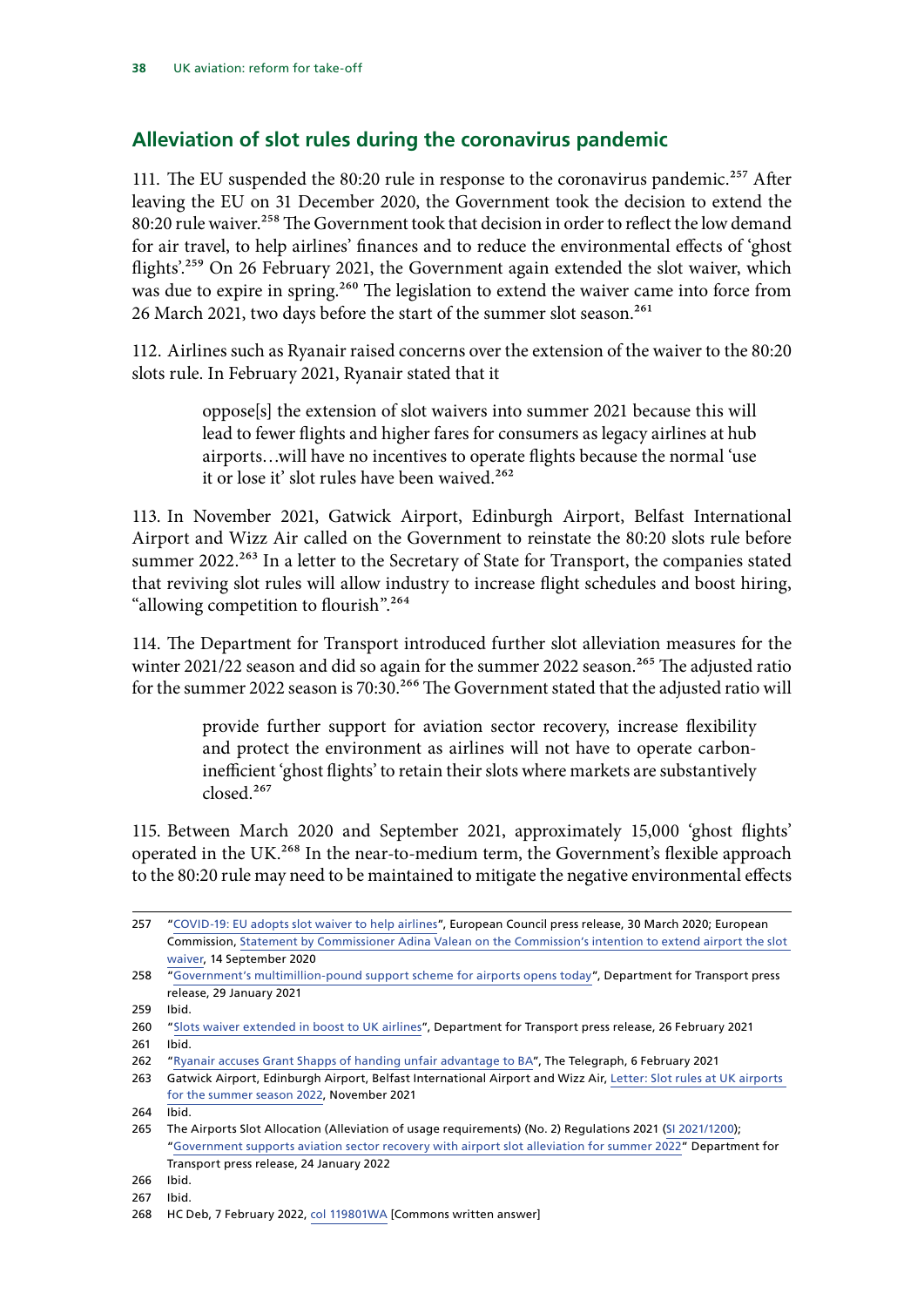### <span id="page-39-0"></span>**Alleviation of slot rules during the coronavirus pandemic**

111. The EU suspended the 80:20 rule in response to the coronavirus pandemic.<sup>257</sup> After leaving the EU on 31 December 2020, the Government took the decision to extend the 80:20 rule waiver.<sup>258</sup> The Government took that decision in order to reflect the low demand for air travel, to help airlines' finances and to reduce the environmental effects of 'ghost flights'.<sup>259</sup> On 26 February 2021, the Government again extended the slot waiver, which was due to expire in spring.<sup>260</sup> The legislation to extend the waiver came into force from 26 March 2021, two days before the start of the summer slot season.<sup>261</sup>

112. Airlines such as Ryanair raised concerns over the extension of the waiver to the 80:20 slots rule. In February 2021, Ryanair stated that it

> oppose[s] the extension of slot waivers into summer 2021 because this will lead to fewer flights and higher fares for consumers as legacy airlines at hub airports…will have no incentives to operate flights because the normal 'use it or lose it' slot rules have been waived.<sup>262</sup>

113. In November 2021, Gatwick Airport, Edinburgh Airport, Belfast International Airport and Wizz Air called on the Government to reinstate the 80:20 slots rule before summer 2022.<sup>263</sup> In a letter to the Secretary of State for Transport, the companies stated that reviving slot rules will allow industry to increase flight schedules and boost hiring, "allowing competition to flourish".<sup>264</sup>

114. The Department for Transport introduced further slot alleviation measures for the winter  $2021/22$  season and did so again for the summer 2022 season.<sup>265</sup> The adjusted ratio for the summer 2022 season is 70:30.<sup>266</sup> The Government stated that the adjusted ratio will

> provide further support for aviation sector recovery, increase flexibility and protect the environment as airlines will not have to operate carboninefficient 'ghost flights' to retain their slots where markets are substantively closed.267

115. Between March 2020 and September 2021, approximately 15,000 'ghost flights' operated in the UK.<sup>268</sup> In the near-to-medium term, the Government's flexible approach to the 80:20 rule may need to be maintained to mitigate the negative environmental effects

<sup>257</sup> "[COVID-19: EU adopts slot waiver to help airlines"](https://www.consilium.europa.eu/en/press/press-releases/2020/03/30/covid-19-eu-adopts-slot-waiver-to-help-airlines/), European Council press release, 30 March 2020; European Commission, [Statement by Commissioner Adina Valean on the Commission's intention to extend airport the slot](https://ec.europa.eu/transport/modes/air/news/2020-09-14-common-rules-allocation-slots-community-airports_en)  [waiver](https://ec.europa.eu/transport/modes/air/news/2020-09-14-common-rules-allocation-slots-community-airports_en), 14 September 2020

<sup>258 &</sup>quot;[Government's multimillion-pound support scheme for airports opens today](https://www.gov.uk/government/news/governments-multimillion-pound-support-scheme-for-airports-opens-today?utm_medium=email&utm_campaign=govuk-notifications&utm_source=1dd45120-734e-47bc-b4f6-a486e2123dd0&utm_content=immediately)", Department for Transport press release, 29 January 2021

<sup>259</sup> Ibid.

<sup>260</sup> "[Slots waiver extended in boost to UK airlines"](https://www.gov.uk/government/news/slots-waiver-extended-in-boost-to-uk-airlines?utm_medium=email&utm_campaign=govuk-notifications&utm_source=63d21b94-89da-4ed9-92ff-ab0f987feadf&utm_content=immediately), Department for Transport press release, 26 February 2021 261 Ibid.

<sup>262</sup> "[Ryanair accuses Grant Shapps of handing unfair advantage to BA](https://www.telegraph.co.uk/business/2021/02/06/ryanair-accuses-grant-shapps-handing-unfair-advantage-ba/)", The Telegraph, 6 February 2021

<sup>263</sup> Gatwick Airport, Edinburgh Airport, Belfast International Airport and Wizz Air, [Letter: Slot rules at UK airports](https://www.gatwickairport.com/globalassets/company/public-affairs/2021/transport-secretary-letter-9-nov-2021.pdf)  [for the summer season 2022](https://www.gatwickairport.com/globalassets/company/public-affairs/2021/transport-secretary-letter-9-nov-2021.pdf), November 2021

<sup>264</sup>  $\overline{I}$  Ibid.

<sup>265</sup> The Airports Slot Allocation (Alleviation of usage requirements) (No. 2) Regulations 2021 [\(SI 2021/1200](https://www.legislation.gov.uk/uksi/2021/1200/contents/made)); "[Government supports aviation sector recovery with airport slot alleviation for summer 2022](https://www.gov.uk/government/news/government-supports-aviation-sector-recovery-with-airport-slot-alleviation-for-summer-2022)" Department for Transport press release, 24 January 2022

<sup>266</sup> Ibid.

<sup>267</sup> Ibid.

<sup>268</sup> HC Deb, 7 February 2022, [col 119801WA](https://questions-statements.parliament.uk/written-questions/detail/2022-02-07/119801) [Commons written answer]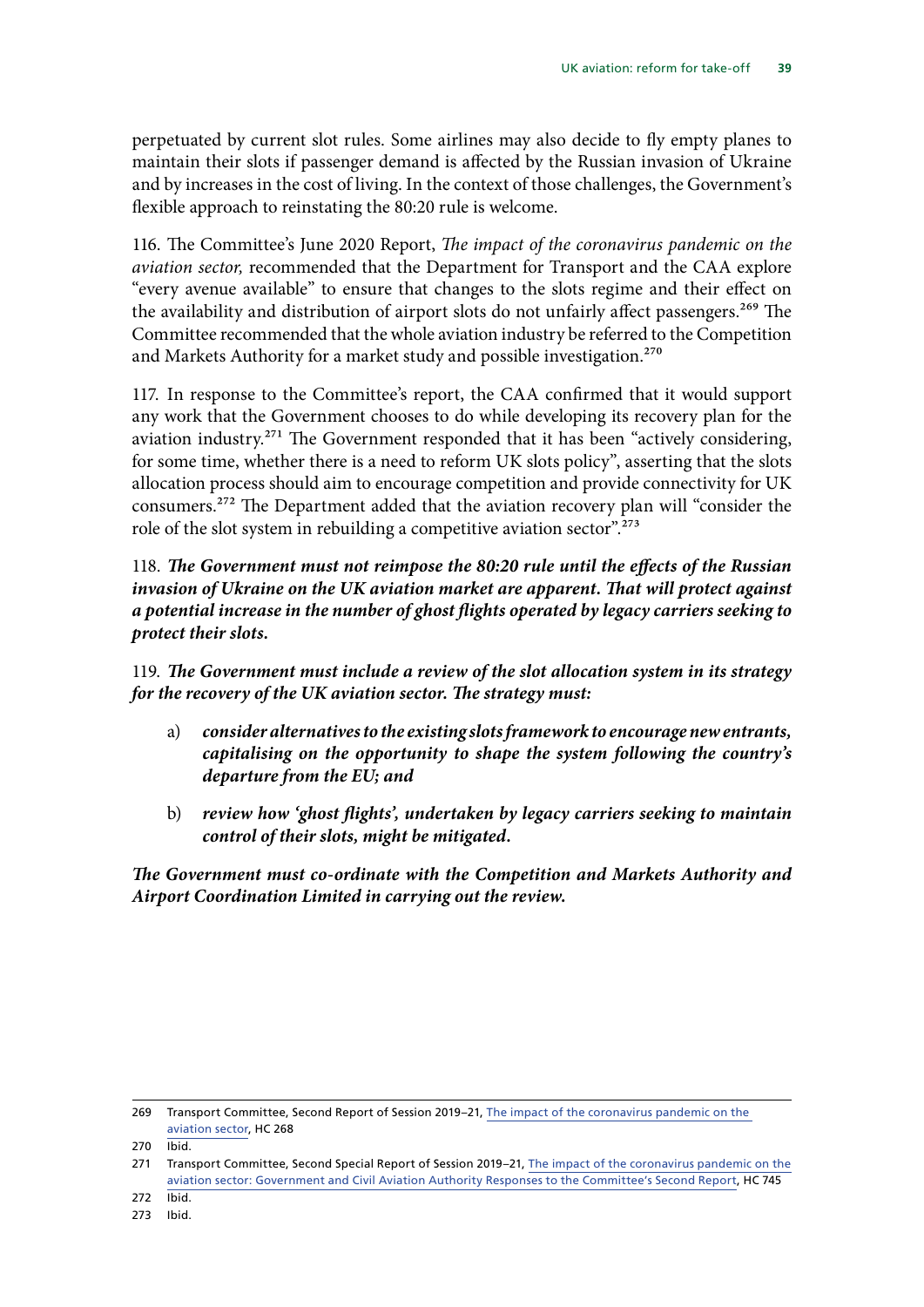perpetuated by current slot rules. Some airlines may also decide to fly empty planes to maintain their slots if passenger demand is affected by the Russian invasion of Ukraine and by increases in the cost of living. In the context of those challenges, the Government's flexible approach to reinstating the 80:20 rule is welcome.

116. The Committee's June 2020 Report, *The impact of the coronavirus pandemic on the aviation sector,* recommended that the Department for Transport and the CAA explore "every avenue available" to ensure that changes to the slots regime and their effect on the availability and distribution of airport slots do not unfairly affect passengers.<sup>269</sup> The Committee recommended that the whole aviation industry be referred to the Competition and Markets Authority for a market study and possible investigation.<sup>270</sup>

117. In response to the Committee's report, the CAA confirmed that it would support any work that the Government chooses to do while developing its recovery plan for the aviation industry.<sup>271</sup> The Government responded that it has been "actively considering, for some time, whether there is a need to reform UK slots policy", asserting that the slots allocation process should aim to encourage competition and provide connectivity for UK consumers.272 The Department added that the aviation recovery plan will "consider the role of the slot system in rebuilding a competitive aviation sector".<sup>273</sup>

118. *The Government must not reimpose the 80:20 rule until the effects of the Russian invasion of Ukraine on the UK aviation market are apparent. That will protect against a potential increase in the number of ghost flights operated by legacy carriers seeking to protect their slots.*

119. *The Government must include a review of the slot allocation system in its strategy for the recovery of the UK aviation sector. The strategy must:*

- a) *consider alternatives to the existing slots framework to encourage new entrants, capitalising on the opportunity to shape the system following the country's departure from the EU; and*
- b) *review how 'ghost flights', undertaken by legacy carriers seeking to maintain control of their slots, might be mitigated.*

*The Government must co-ordinate with the Competition and Markets Authority and Airport Coordination Limited in carrying out the review.*

<sup>269</sup> Transport Committee, Second Report of Session 2019–21, [The impact of the coronavirus pandemic on the](https://committees.parliament.uk/publications/1452/documents/13275/default/)  [aviation sector](https://committees.parliament.uk/publications/1452/documents/13275/default/), HC 268

<sup>270</sup> Ibid.

<sup>271</sup> Transport Committee, Second Special Report of Session 2019–21, [The impact of the coronavirus pandemic on the](https://committees.parliament.uk/publications/2338/documents/23026/default/)  [aviation sector: Government and Civil Aviation Authority Responses to the Committee's Second Report,](https://committees.parliament.uk/publications/2338/documents/23026/default/) HC 745

<sup>272</sup> Ibid.

<sup>273</sup> Ibid.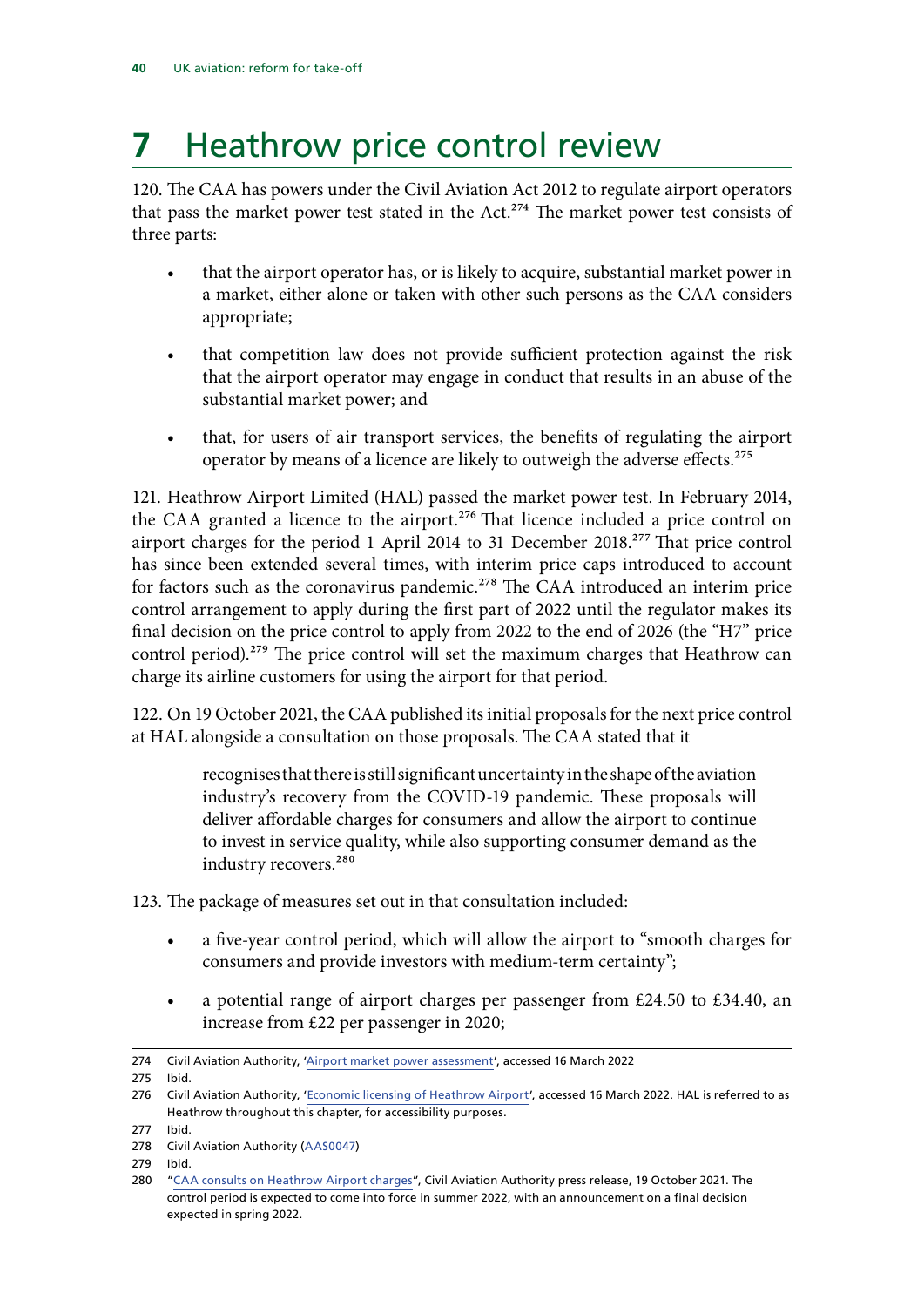## <span id="page-41-0"></span>**7** Heathrow price control review

120. The CAA has powers under the Civil Aviation Act 2012 to regulate airport operators that pass the market power test stated in the Act.<sup>274</sup> The market power test consists of three parts:

- that the airport operator has, or is likely to acquire, substantial market power in a market, either alone or taken with other such persons as the CAA considers appropriate;
- that competition law does not provide sufficient protection against the risk that the airport operator may engage in conduct that results in an abuse of the substantial market power; and
- that, for users of air transport services, the benefits of regulating the airport operator by means of a licence are likely to outweigh the adverse effects.<sup>275</sup>

121. Heathrow Airport Limited (HAL) passed the market power test. In February 2014, the CAA granted a licence to the airport.<sup>276</sup> That licence included a price control on airport charges for the period 1 April 2014 to 31 December 2018.<sup>277</sup> That price control has since been extended several times, with interim price caps introduced to account for factors such as the coronavirus pandemic.<sup>278</sup> The CAA introduced an interim price control arrangement to apply during the first part of 2022 until the regulator makes its final decision on the price control to apply from 2022 to the end of 2026 (the "H7" price control period).<sup>279</sup> The price control will set the maximum charges that Heathrow can charge its airline customers for using the airport for that period.

122. On 19 October 2021, the CAA published its initial proposals for the next price control at HAL alongside a consultation on those proposals. The CAA stated that it

> recognises that there is still significant uncertainty in the shape of the aviation industry's recovery from the COVID-19 pandemic. These proposals will deliver affordable charges for consumers and allow the airport to continue to invest in service quality, while also supporting consumer demand as the industry recovers.<sup>280</sup>

123. The package of measures set out in that consultation included:

- a five-year control period, which will allow the airport to "smooth charges for consumers and provide investors with medium-term certainty";
- a potential range of airport charges per passenger from £24.50 to £34.40, an increase from £22 per passenger in 2020;

<sup>274</sup> Civil Aviation Authority, ['Airport market power assessment](https://www.caa.co.uk/commercial-industry/airports/economic-regulation/licensing-and-price-control/airport-market-power-assessment/)', accessed 16 March 2022

<sup>275</sup> Ibid.

<sup>276</sup> Civil Aviation Authority, '[Economic licensing of Heathrow Airport](https://www.caa.co.uk/Commercial-industry/Airports/Economic-regulation/Licensing-and-price-control/Economic-licensing-of-Heathrow-Airport/)', accessed 16 March 2022. HAL is referred to as Heathrow throughout this chapter, for accessibility purposes.

<sup>277</sup> Ibid.

<sup>278</sup> Civil Aviation Authority [\(AAS0047](https://committees.parliament.uk/writtenevidence/41586/pdf/))

<sup>279</sup> Ibid.

<sup>280</sup> "[CAA consults on Heathrow Airport charges"](https://www.caa.co.uk/news/caa-consults-on-heathrow-airport-charges/), Civil Aviation Authority press release, 19 October 2021. The control period is expected to come into force in summer 2022, with an announcement on a final decision expected in spring 2022.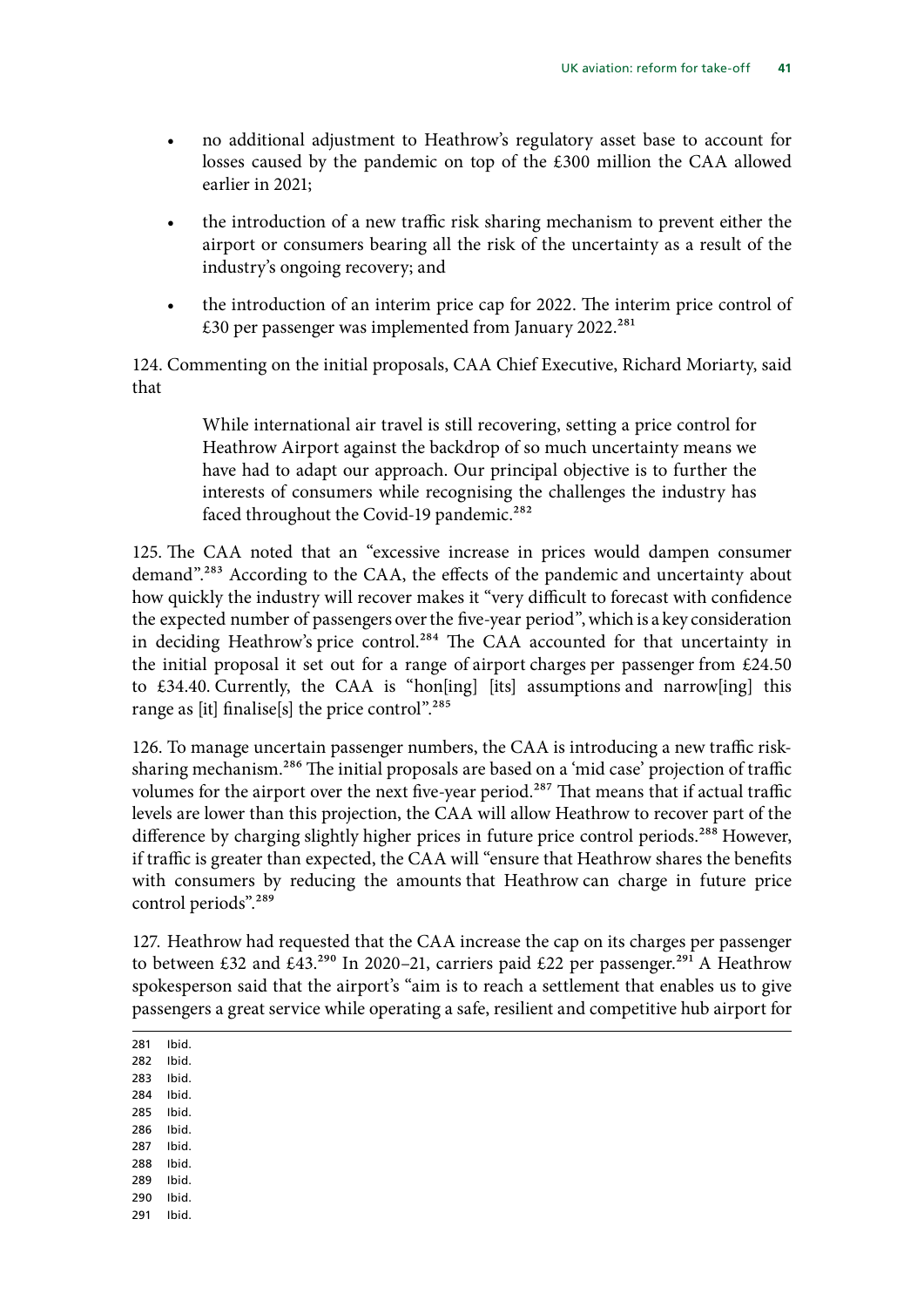- no additional adjustment to Heathrow's regulatory asset base to account for losses caused by the pandemic on top of the £300 million the CAA allowed earlier in 2021;
- the introduction of a new traffic risk sharing mechanism to prevent either the airport or consumers bearing all the risk of the uncertainty as a result of the industry's ongoing recovery; and
- the introduction of an interim price cap for 2022. The interim price control of £30 per passenger was implemented from January 2022.281

124. Commenting on the initial proposals, CAA Chief Executive, Richard Moriarty, said that

> While international air travel is still recovering, setting a price control for Heathrow Airport against the backdrop of so much uncertainty means we have had to adapt our approach. Our principal objective is to further the interests of consumers while recognising the challenges the industry has faced throughout the Covid-19 pandemic.<sup>282</sup>

125. The CAA noted that an "excessive increase in prices would dampen consumer demand".<sup>283</sup> According to the CAA, the effects of the pandemic and uncertainty about how quickly the industry will recover makes it "very difficult to forecast with confidence the expected number of passengers over the five-year period", which is a key consideration in deciding Heathrow's price control.<sup>284</sup> The CAA accounted for that uncertainty in the initial proposal it set out for a range of airport charges per passenger from  $£24.50$ to £34.40. Currently, the CAA is "hon[ing] [its] assumptions and narrow[ing] this range as [it] finalise[s] the price control".<sup>285</sup>

126. To manage uncertain passenger numbers, the CAA is introducing a new traffic risksharing mechanism.<sup>286</sup> The initial proposals are based on a 'mid case' projection of traffic volumes for the airport over the next five-year period.<sup>287</sup> That means that if actual traffic levels are lower than this projection, the CAA will allow Heathrow to recover part of the difference by charging slightly higher prices in future price control periods.<sup>288</sup> However, if traffic is greater than expected, the CAA will "ensure that Heathrow shares the benefits with consumers by reducing the amounts that Heathrow can charge in future price control periods".<sup>289</sup>

127. Heathrow had requested that the CAA increase the cap on its charges per passenger to between £32 and £43.<sup>290</sup> In 2020–21, carriers paid £22 per passenger.<sup>291</sup> A Heathrow spokesperson said that the airport's "aim is to reach a settlement that enables us to give passengers a great service while operating a safe, resilient and competitive hub airport for

281 Ibid.

282 Ibid.

- 283 Ibid.
- 284 Ibid. 285 Ibid.
- 286 Ibid.
- 287 Ibid.
- 288 Ibid.
- 289 Ibid.
- 290 Ibid.
- 291 Ibid.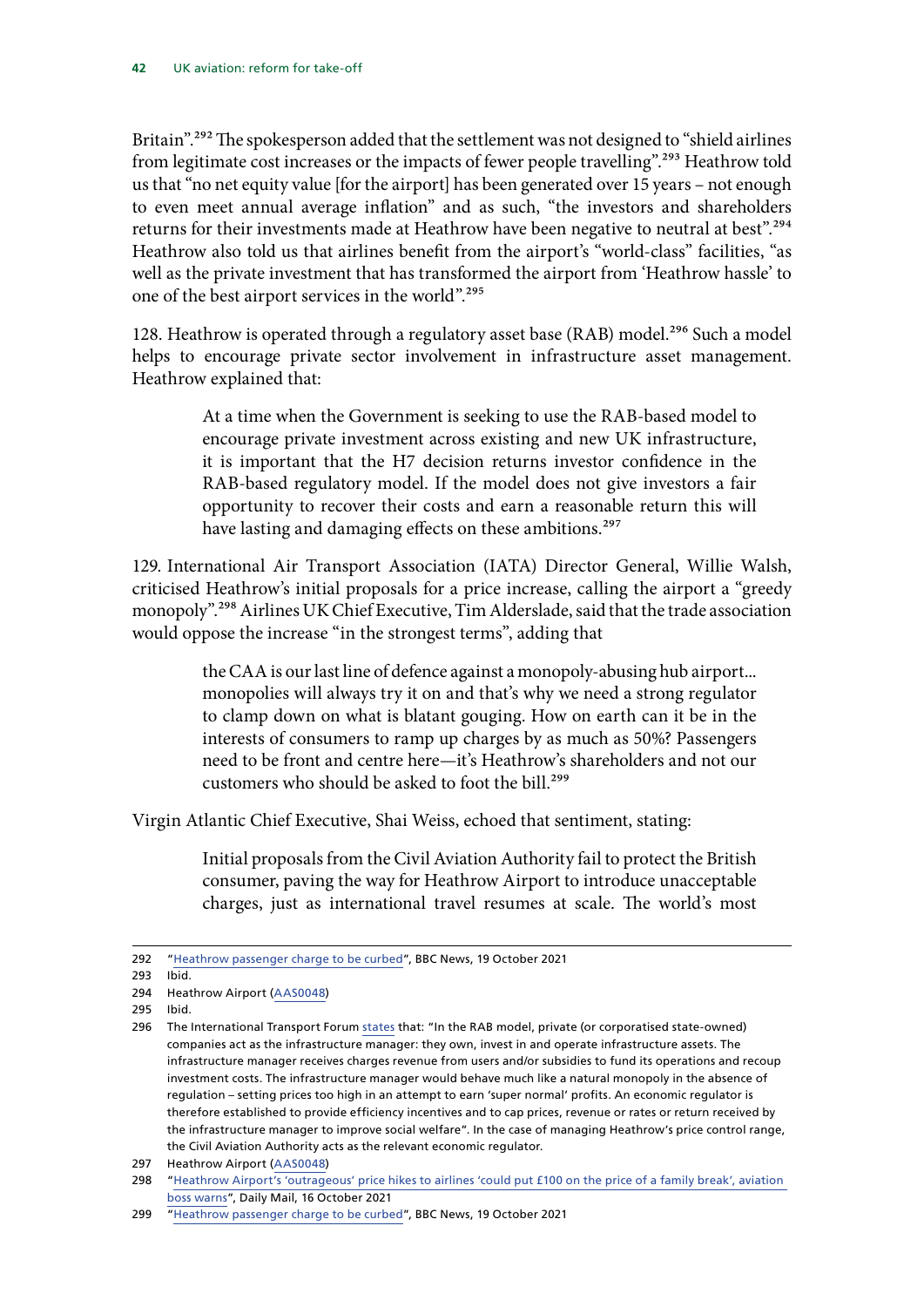Britain".<sup>292</sup> The spokesperson added that the settlement was not designed to "shield airlines" from legitimate cost increases or the impacts of fewer people travelling".293 Heathrow told us that "no net equity value [for the airport] has been generated over 15 years – not enough to even meet annual average inflation" and as such, "the investors and shareholders returns for their investments made at Heathrow have been negative to neutral at best".<sup>294</sup> Heathrow also told us that airlines benefit from the airport's "world-class" facilities, "as well as the private investment that has transformed the airport from 'Heathrow hassle' to one of the best airport services in the world".<sup>295</sup>

128. Heathrow is operated through a regulatory asset base (RAB) model.<sup>296</sup> Such a model helps to encourage private sector involvement in infrastructure asset management. Heathrow explained that:

> At a time when the Government is seeking to use the RAB-based model to encourage private investment across existing and new UK infrastructure, it is important that the H7 decision returns investor confidence in the RAB-based regulatory model. If the model does not give investors a fair opportunity to recover their costs and earn a reasonable return this will have lasting and damaging effects on these ambitions.<sup>297</sup>

129. International Air Transport Association (IATA) Director General, Willie Walsh, criticised Heathrow's initial proposals for a price increase, calling the airport a "greedy monopoly".298 Airlines UK Chief Executive, Tim Alderslade, said that the trade association would oppose the increase "in the strongest terms", adding that

> the CAA is our last line of defence against a monopoly-abusing hub airport... monopolies will always try it on and that's why we need a strong regulator to clamp down on what is blatant gouging. How on earth can it be in the interests of consumers to ramp up charges by as much as 50%? Passengers need to be front and centre here—it's Heathrow's shareholders and not our customers who should be asked to foot the bill.<sup>299</sup>

Virgin Atlantic Chief Executive, Shai Weiss, echoed that sentiment, stating:

Initial proposals from the Civil Aviation Authority fail to protect the British consumer, paving the way for Heathrow Airport to introduce unacceptable charges, just as international travel resumes at scale. The world's most

295 Ibid.

<sup>292</sup> "[Heathrow passenger charge to be curbed"](https://www.bbc.co.uk/news/business-58964793), BBC News, 19 October 2021

<sup>293</sup> Ibid.

<sup>294</sup> Heathrow Airport ([AAS0048\)](https://committees.parliament.uk/writtenevidence/42430/pdf/)

<sup>296</sup> The International Transport Forum [states](https://www.itf-oecd.org/sites/default/files/dp_2016-01_makovsek_and_veryard.pdf) that: "In the RAB model, private (or corporatised state-owned) companies act as the infrastructure manager: they own, invest in and operate infrastructure assets. The infrastructure manager receives charges revenue from users and/or subsidies to fund its operations and recoup investment costs. The infrastructure manager would behave much like a natural monopoly in the absence of regulation – setting prices too high in an attempt to earn 'super normal' profits. An economic regulator is therefore established to provide efficiency incentives and to cap prices, revenue or rates or return received by the infrastructure manager to improve social welfare". In the case of managing Heathrow's price control range, the Civil Aviation Authority acts as the relevant economic regulator.

<sup>297</sup> Heathrow Airport ([AAS0048\)](https://committees.parliament.uk/writtenevidence/42430/pdf/)

<sup>298</sup> "[Heathrow Airport's 'outrageous' price hikes to airlines 'could put £100 on the price of a family break', aviation](https://www.dailymail.co.uk/news/article-10099499/Heathrow-Airports-price-hikes-airlines-100-price-family-break.html)  [boss warns](https://www.dailymail.co.uk/news/article-10099499/Heathrow-Airports-price-hikes-airlines-100-price-family-break.html)", Daily Mail, 16 October 2021

<sup>299</sup> "[Heathrow passenger charge to be curbed"](https://www.bbc.co.uk/news/business-58964793), BBC News, 19 October 2021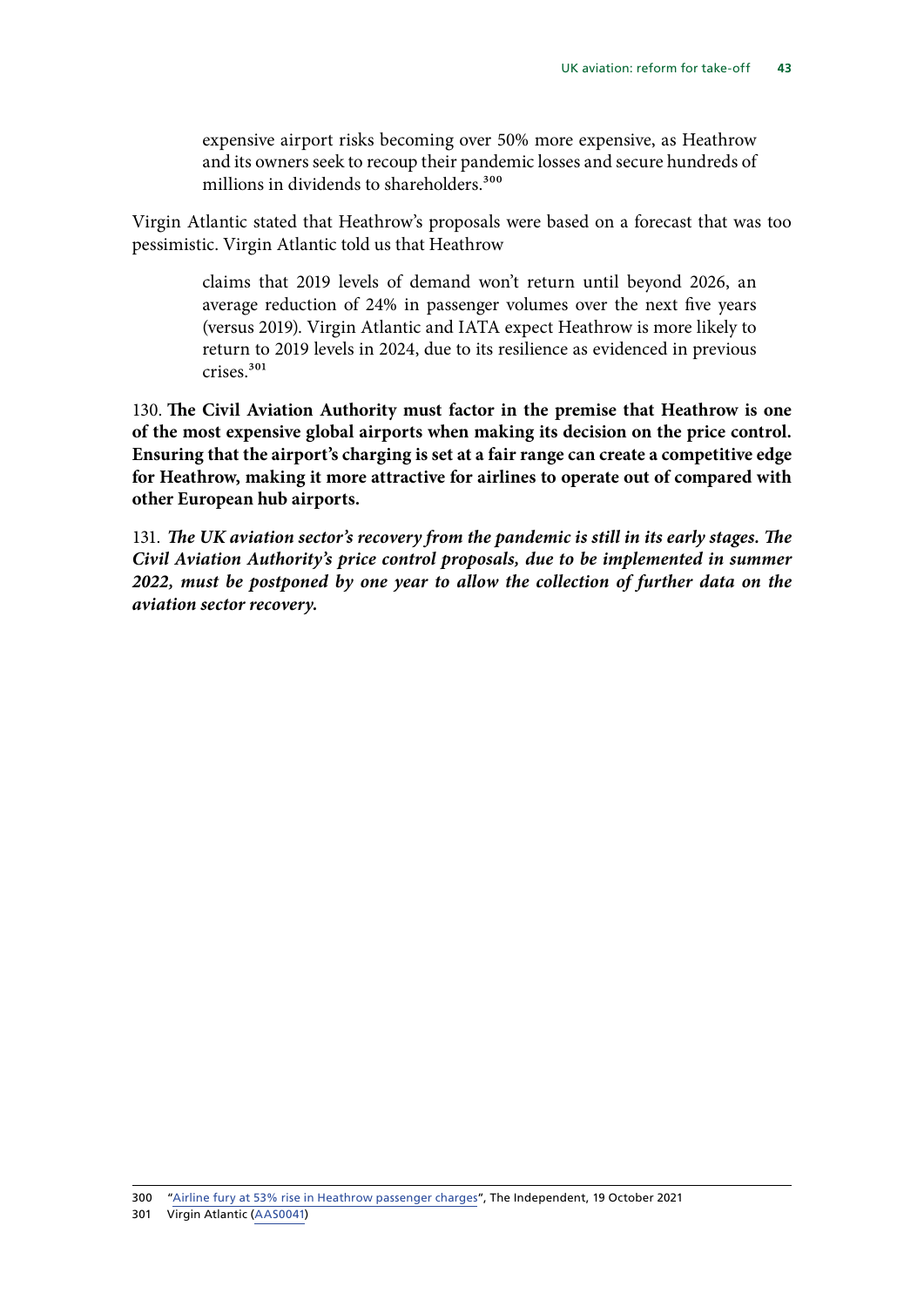expensive airport risks becoming over 50% more expensive, as Heathrow and its owners seek to recoup their pandemic losses and secure hundreds of millions in dividends to shareholders.<sup>300</sup>

Virgin Atlantic stated that Heathrow's proposals were based on a forecast that was too pessimistic. Virgin Atlantic told us that Heathrow

> claims that 2019 levels of demand won't return until beyond 2026, an average reduction of 24% in passenger volumes over the next five years (versus 2019). Virgin Atlantic and IATA expect Heathrow is more likely to return to 2019 levels in 2024, due to its resilience as evidenced in previous crises.301

130. **The Civil Aviation Authority must factor in the premise that Heathrow is one of the most expensive global airports when making its decision on the price control. Ensuring that the airport's charging is set at a fair range can create a competitive edge for Heathrow, making it more attractive for airlines to operate out of compared with other European hub airports.**

131. *The UK aviation sector's recovery from the pandemic is still in its early stages. The Civil Aviation Authority's price control proposals, due to be implemented in summer 2022, must be postponed by one year to allow the collection of further data on the aviation sector recovery.*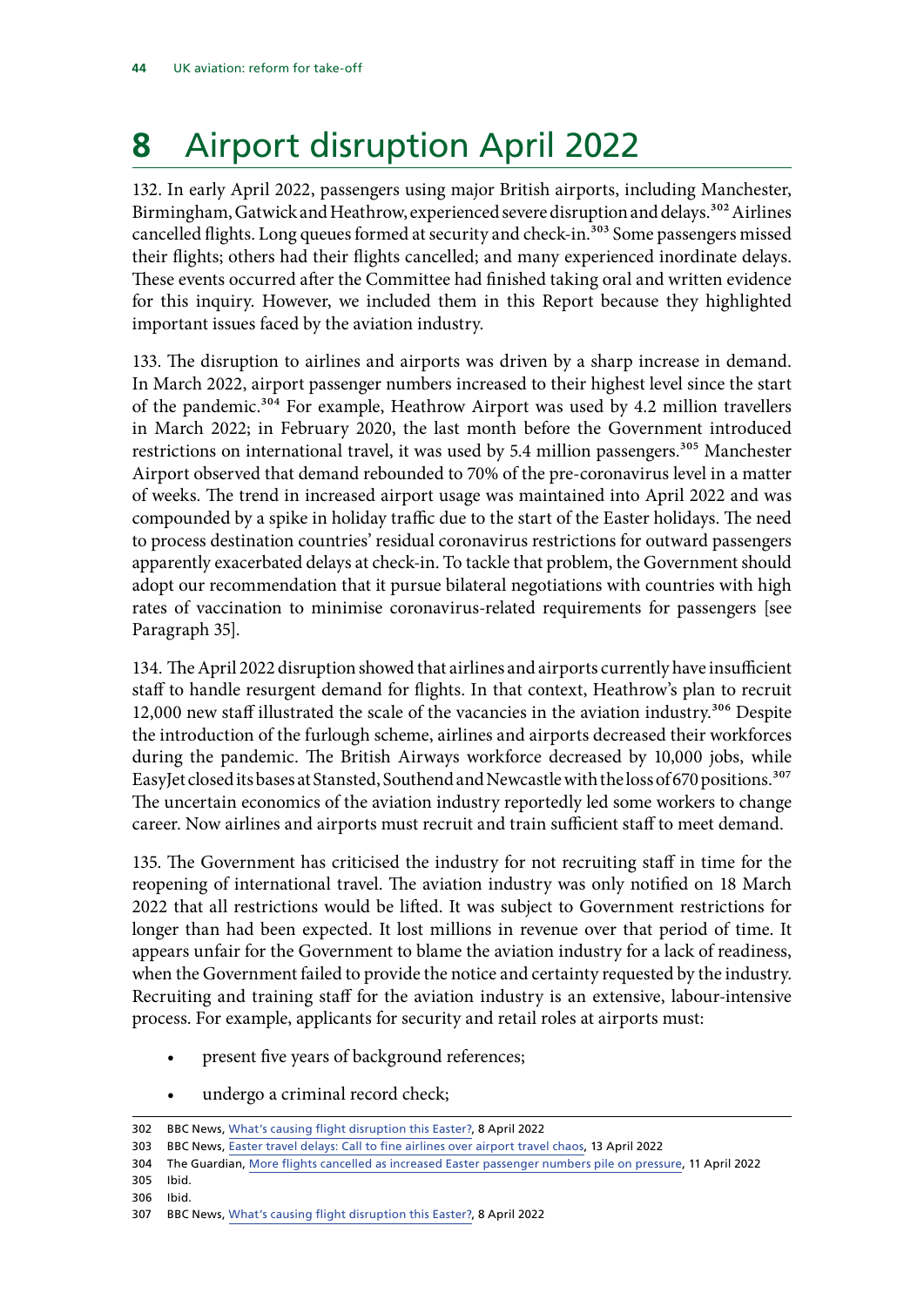## <span id="page-45-0"></span>**8** Airport disruption April 2022

132. In early April 2022, passengers using major British airports, including Manchester, Birmingham, Gatwick and Heathrow, experienced severe disruption and delays.<sup>302</sup> Airlines cancelled flights. Long queues formed at security and check-in.<sup>303</sup> Some passengers missed their flights; others had their flights cancelled; and many experienced inordinate delays. These events occurred after the Committee had finished taking oral and written evidence for this inquiry. However, we included them in this Report because they highlighted important issues faced by the aviation industry.

133. The disruption to airlines and airports was driven by a sharp increase in demand. In March 2022, airport passenger numbers increased to their highest level since the start of the pandemic.<sup>304</sup> For example, Heathrow Airport was used by 4.2 million travellers in March 2022; in February 2020, the last month before the Government introduced restrictions on international travel, it was used by 5.4 million passengers.<sup>305</sup> Manchester Airport observed that demand rebounded to 70% of the pre-coronavirus level in a matter of weeks. The trend in increased airport usage was maintained into April 2022 and was compounded by a spike in holiday traffic due to the start of the Easter holidays. The need to process destination countries' residual coronavirus restrictions for outward passengers apparently exacerbated delays at check-in. To tackle that problem, the Government should adopt our recommendation that it pursue bilateral negotiations with countries with high rates of vaccination to minimise coronavirus-related requirements for passengers [see Paragraph 35].

134. The April 2022 disruption showed that airlines and airports currently have insufficient staff to handle resurgent demand for flights. In that context, Heathrow's plan to recruit 12,000 new staff illustrated the scale of the vacancies in the aviation industry.<sup>306</sup> Despite the introduction of the furlough scheme, airlines and airports decreased their workforces during the pandemic. The British Airways workforce decreased by 10,000 jobs, while EasyJet closed its bases at Stansted, Southend and Newcastle with the loss of 670 positions.<sup>307</sup> The uncertain economics of the aviation industry reportedly led some workers to change career. Now airlines and airports must recruit and train sufficient staff to meet demand.

135. The Government has criticised the industry for not recruiting staff in time for the reopening of international travel. The aviation industry was only notified on 18 March 2022 that all restrictions would be lifted. It was subject to Government restrictions for longer than had been expected. It lost millions in revenue over that period of time. It appears unfair for the Government to blame the aviation industry for a lack of readiness, when the Government failed to provide the notice and certainty requested by the industry. Recruiting and training staff for the aviation industry is an extensive, labour-intensive process. For example, applicants for security and retail roles at airports must:

- present five years of background references;
- undergo a criminal record check;

304 The Guardian, [More flights cancelled as increased Easter passenger numbers pile on pressure,](https://www.theguardian.com/uk-news/2022/apr/11/heathrow-airport-stretched-amid-busiest-period-since-pandemic-started) 11 April 2022 305 Ibid.

- 
- 306 Ibid.

<sup>302</sup> BBC News, [What's causing flight disruption this Easter?,](https://www.bbc.co.uk/news/business-61007176) 8 April 2022

<sup>303</sup> BBC News, [Easter travel delays: Call to fine airlines over airport travel chaos](https://www.bbc.co.uk/news/uk-61094387), 13 April 2022

<sup>307</sup> BBC News, [What's causing flight disruption this Easter?,](https://www.bbc.co.uk/news/business-61007176) 8 April 2022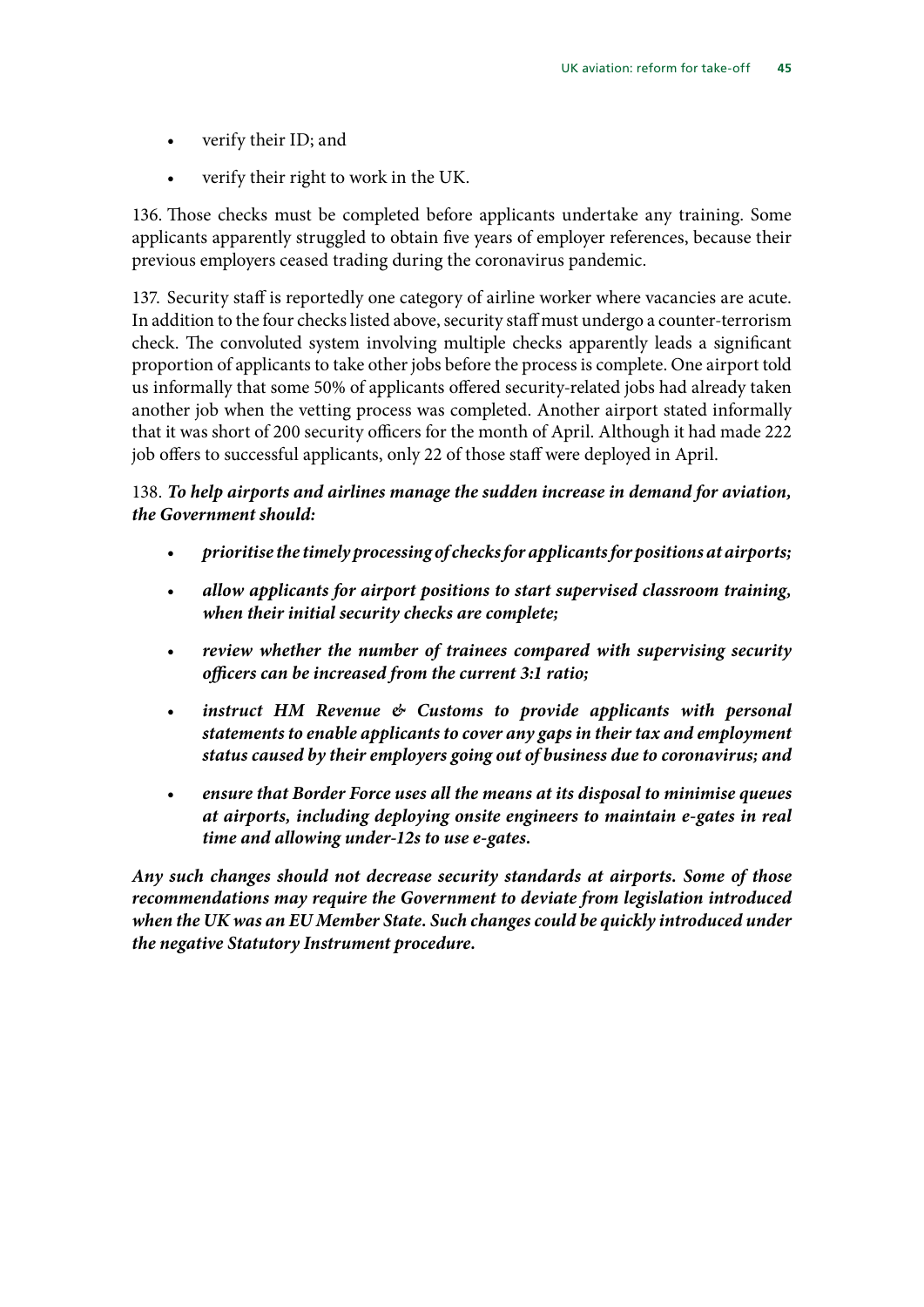- verify their ID; and
- verify their right to work in the UK.

136. Those checks must be completed before applicants undertake any training. Some applicants apparently struggled to obtain five years of employer references, because their previous employers ceased trading during the coronavirus pandemic.

137. Security staff is reportedly one category of airline worker where vacancies are acute. In addition to the four checks listed above, security staff must undergo a counter-terrorism check. The convoluted system involving multiple checks apparently leads a significant proportion of applicants to take other jobs before the process is complete. One airport told us informally that some 50% of applicants offered security-related jobs had already taken another job when the vetting process was completed. Another airport stated informally that it was short of 200 security officers for the month of April. Although it had made 222 job offers to successful applicants, only 22 of those staff were deployed in April.

### 138. *To help airports and airlines manage the sudden increase in demand for aviation, the Government should:*

- *prioritise the timely processing of checks for applicants for positions at airports;*
- *allow applicants for airport positions to start supervised classroom training, when their initial security checks are complete;*
- *review whether the number of trainees compared with supervising security officers can be increased from the current 3:1 ratio;*
- *instruct HM Revenue & Customs to provide applicants with personal statements to enable applicants to cover any gaps in their tax and employment status caused by their employers going out of business due to coronavirus; and*
- *ensure that Border Force uses all the means at its disposal to minimise queues at airports, including deploying onsite engineers to maintain e-gates in real time and allowing under-12s to use e-gates.*

*Any such changes should not decrease security standards at airports. Some of those recommendations may require the Government to deviate from legislation introduced when the UK was an EU Member State. Such changes could be quickly introduced under the negative Statutory Instrument procedure.*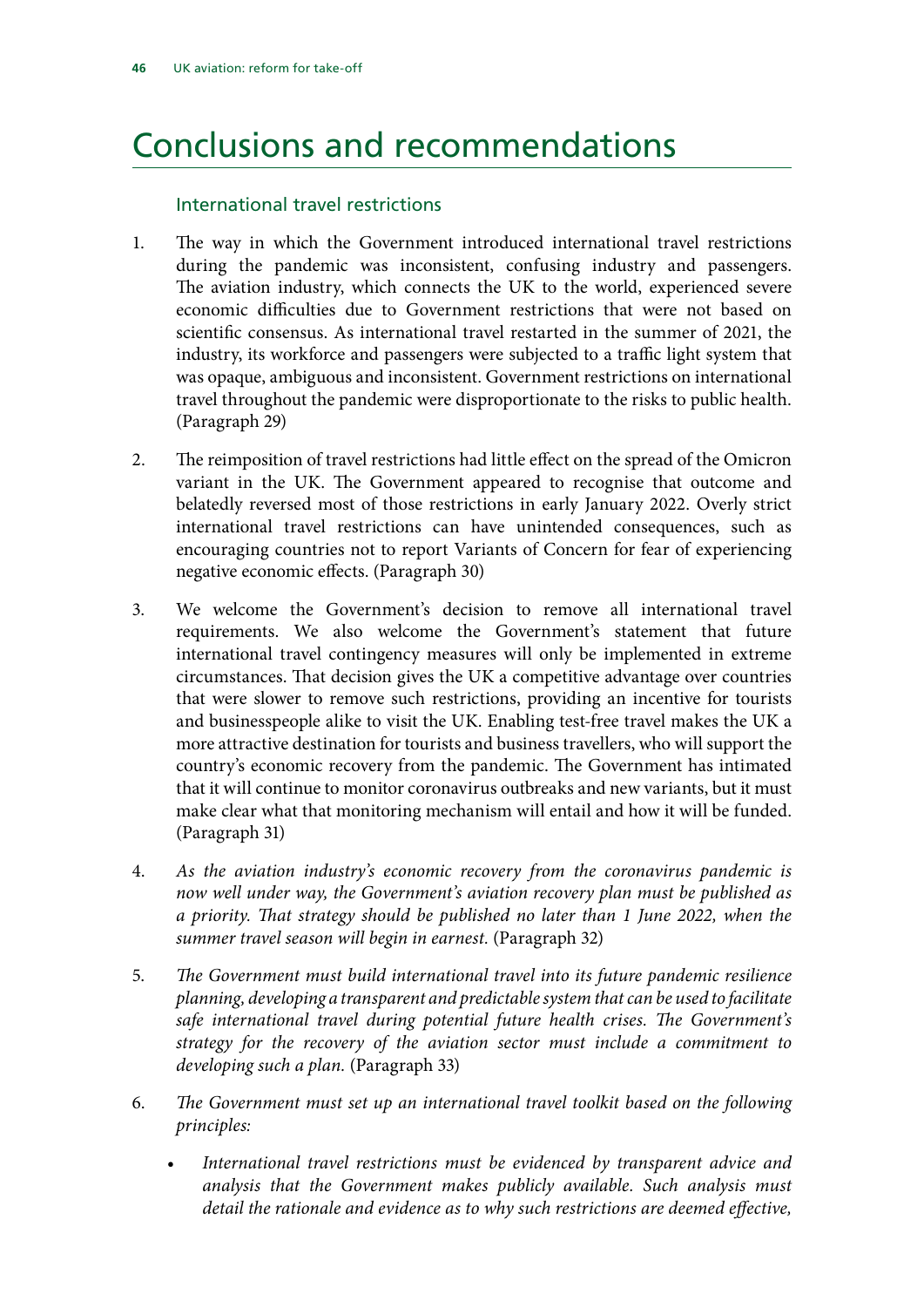### <span id="page-47-0"></span>Conclusions and recommendations

### International travel restrictions

- 1. The way in which the Government introduced international travel restrictions during the pandemic was inconsistent, confusing industry and passengers. The aviation industry, which connects the UK to the world, experienced severe economic difficulties due to Government restrictions that were not based on scientific consensus. As international travel restarted in the summer of 2021, the industry, its workforce and passengers were subjected to a traffic light system that was opaque, ambiguous and inconsistent. Government restrictions on international travel throughout the pandemic were disproportionate to the risks to public health. (Paragraph 29)
- 2. The reimposition of travel restrictions had little effect on the spread of the Omicron variant in the UK. The Government appeared to recognise that outcome and belatedly reversed most of those restrictions in early January 2022. Overly strict international travel restrictions can have unintended consequences, such as encouraging countries not to report Variants of Concern for fear of experiencing negative economic effects. (Paragraph 30)
- 3. We welcome the Government's decision to remove all international travel requirements. We also welcome the Government's statement that future international travel contingency measures will only be implemented in extreme circumstances. That decision gives the UK a competitive advantage over countries that were slower to remove such restrictions, providing an incentive for tourists and businesspeople alike to visit the UK. Enabling test-free travel makes the UK a more attractive destination for tourists and business travellers, who will support the country's economic recovery from the pandemic. The Government has intimated that it will continue to monitor coronavirus outbreaks and new variants, but it must make clear what that monitoring mechanism will entail and how it will be funded. (Paragraph 31)
- 4. *As the aviation industry's economic recovery from the coronavirus pandemic is now well under way, the Government's aviation recovery plan must be published as a priority. That strategy should be published no later than 1 June 2022, when the summer travel season will begin in earnest.* (Paragraph 32)
- 5. *The Government must build international travel into its future pandemic resilience planning, developing a transparent and predictable system that can be used to facilitate safe international travel during potential future health crises. The Government's strategy for the recovery of the aviation sector must include a commitment to developing such a plan.* (Paragraph 33)
- 6. *The Government must set up an international travel toolkit based on the following principles:*
	- *International travel restrictions must be evidenced by transparent advice and analysis that the Government makes publicly available. Such analysis must detail the rationale and evidence as to why such restrictions are deemed effective,*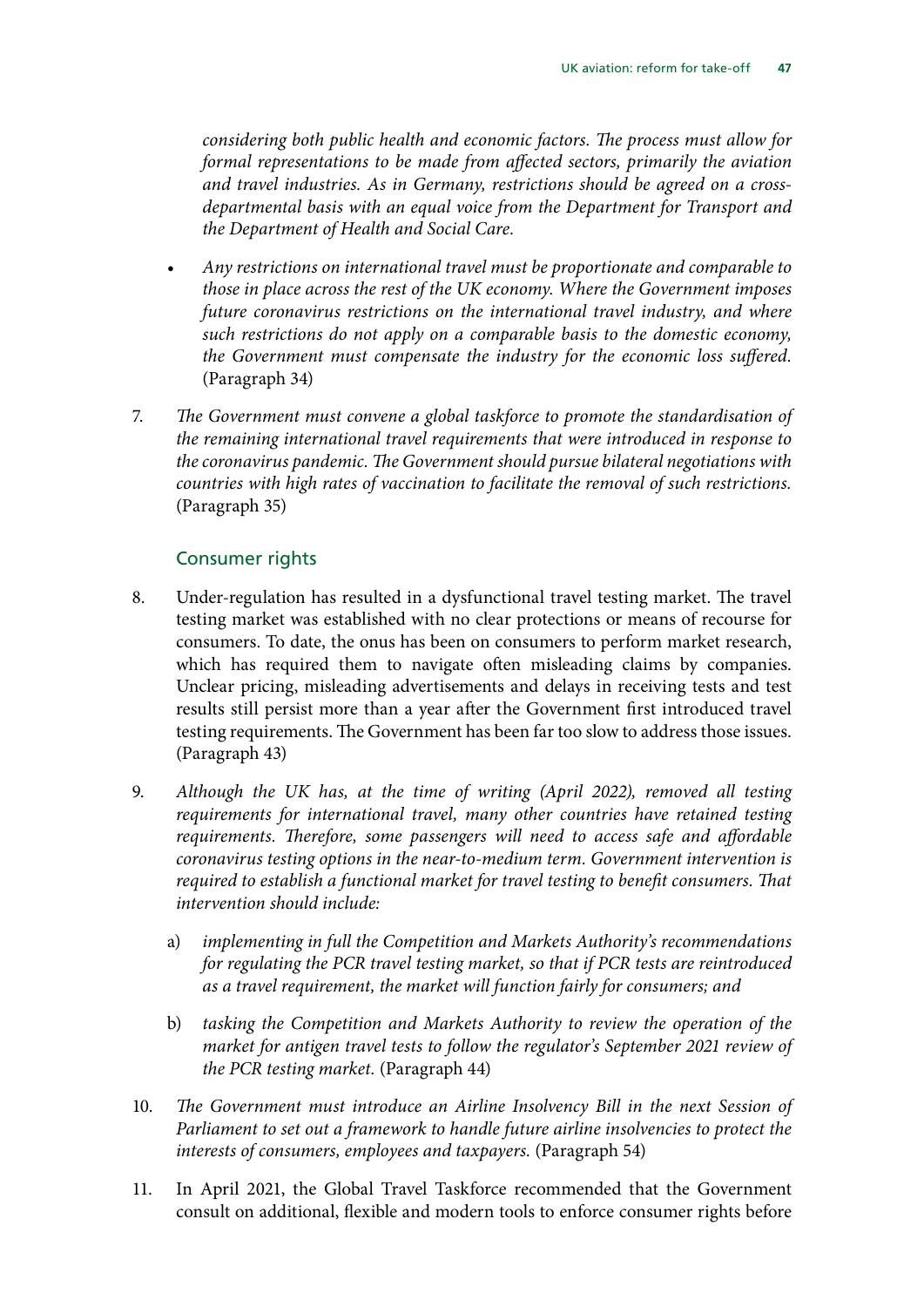*considering both public health and economic factors. The process must allow for formal representations to be made from affected sectors, primarily the aviation and travel industries. As in Germany, restrictions should be agreed on a crossdepartmental basis with an equal voice from the Department for Transport and the Department of Health and Social Care.*

- *Any restrictions on international travel must be proportionate and comparable to those in place across the rest of the UK economy. Where the Government imposes future coronavirus restrictions on the international travel industry, and where such restrictions do not apply on a comparable basis to the domestic economy, the Government must compensate the industry for the economic loss suffered.* (Paragraph 34)
- 7. *The Government must convene a global taskforce to promote the standardisation of the remaining international travel requirements that were introduced in response to the coronavirus pandemic. The Government should pursue bilateral negotiations with countries with high rates of vaccination to facilitate the removal of such restrictions.*  (Paragraph 35)

### Consumer rights

- 8. Under-regulation has resulted in a dysfunctional travel testing market. The travel testing market was established with no clear protections or means of recourse for consumers. To date, the onus has been on consumers to perform market research, which has required them to navigate often misleading claims by companies. Unclear pricing, misleading advertisements and delays in receiving tests and test results still persist more than a year after the Government first introduced travel testing requirements. The Government has been far too slow to address those issues. (Paragraph 43)
- 9. *Although the UK has, at the time of writing (April 2022), removed all testing requirements for international travel, many other countries have retained testing requirements. Therefore, some passengers will need to access safe and affordable coronavirus testing options in the near-to-medium term. Government intervention is required to establish a functional market for travel testing to benefit consumers. That intervention should include:*
	- a) *implementing in full the Competition and Markets Authority's recommendations for regulating the PCR travel testing market, so that if PCR tests are reintroduced as a travel requirement, the market will function fairly for consumers; and*
	- b) *tasking the Competition and Markets Authority to review the operation of the market for antigen travel tests to follow the regulator's September 2021 review of the PCR testing market.* (Paragraph 44)
- 10. *The Government must introduce an Airline Insolvency Bill in the next Session of Parliament to set out a framework to handle future airline insolvencies to protect the interests of consumers, employees and taxpayers.* (Paragraph 54)
- 11. In April 2021, the Global Travel Taskforce recommended that the Government consult on additional, flexible and modern tools to enforce consumer rights before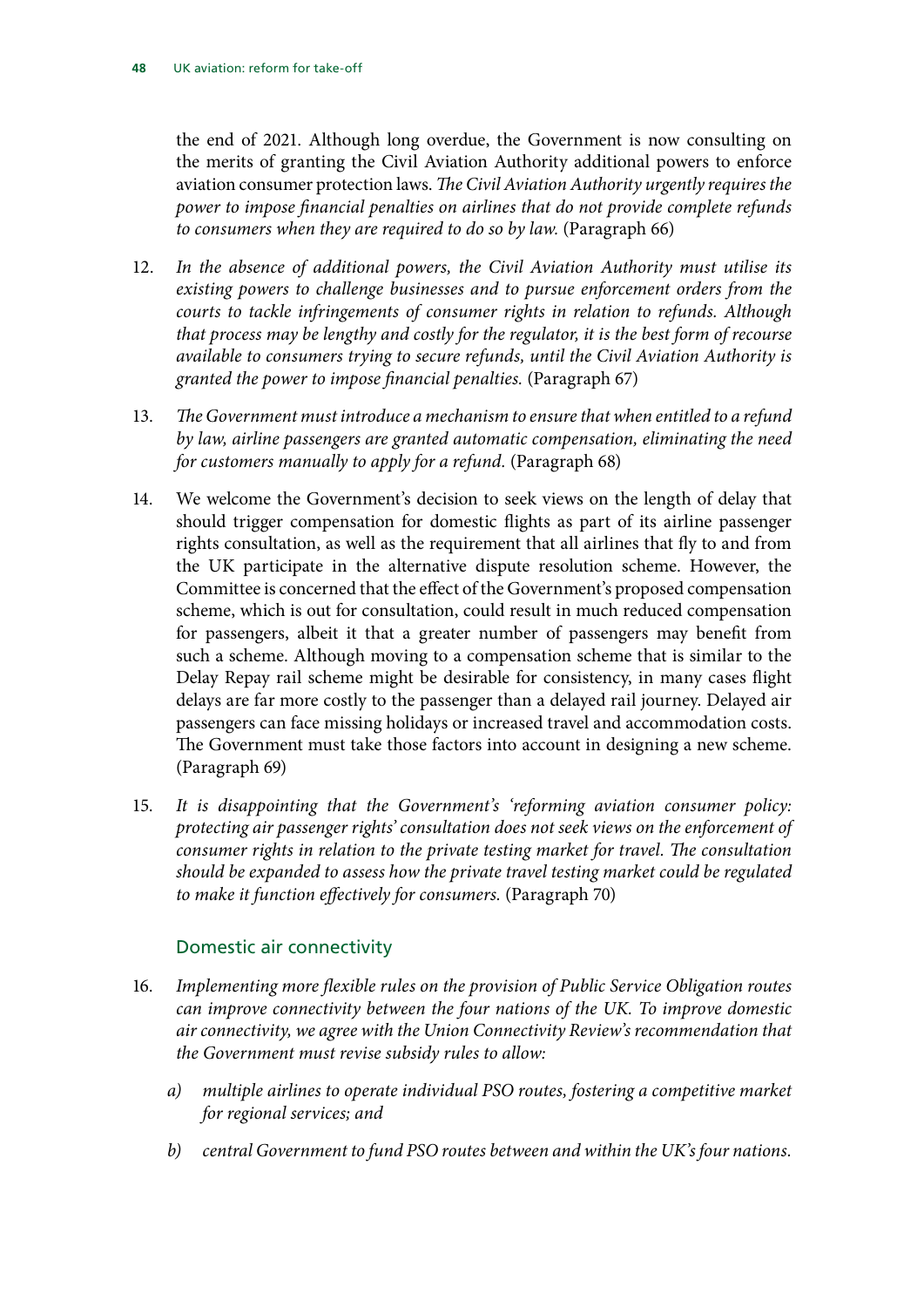the end of 2021. Although long overdue, the Government is now consulting on the merits of granting the Civil Aviation Authority additional powers to enforce aviation consumer protection laws. *The Civil Aviation Authority urgently requires the power to impose financial penalties on airlines that do not provide complete refunds to consumers when they are required to do so by law.* (Paragraph 66)

- 12. *In the absence of additional powers, the Civil Aviation Authority must utilise its existing powers to challenge businesses and to pursue enforcement orders from the courts to tackle infringements of consumer rights in relation to refunds. Although that process may be lengthy and costly for the regulator, it is the best form of recourse available to consumers trying to secure refunds, until the Civil Aviation Authority is granted the power to impose financial penalties.* (Paragraph 67)
- 13. *The Government must introduce a mechanism to ensure that when entitled to a refund by law, airline passengers are granted automatic compensation, eliminating the need for customers manually to apply for a refund.* (Paragraph 68)
- 14. We welcome the Government's decision to seek views on the length of delay that should trigger compensation for domestic flights as part of its airline passenger rights consultation, as well as the requirement that all airlines that fly to and from the UK participate in the alternative dispute resolution scheme. However, the Committee is concerned that the effect of the Government's proposed compensation scheme, which is out for consultation, could result in much reduced compensation for passengers, albeit it that a greater number of passengers may benefit from such a scheme. Although moving to a compensation scheme that is similar to the Delay Repay rail scheme might be desirable for consistency, in many cases flight delays are far more costly to the passenger than a delayed rail journey. Delayed air passengers can face missing holidays or increased travel and accommodation costs. The Government must take those factors into account in designing a new scheme. (Paragraph 69)
- 15. *It is disappointing that the Government's 'reforming aviation consumer policy: protecting air passenger rights' consultation does not seek views on the enforcement of consumer rights in relation to the private testing market for travel. The consultation should be expanded to assess how the private travel testing market could be regulated to make it function effectively for consumers.* (Paragraph 70)

### Domestic air connectivity

- 16. *Implementing more flexible rules on the provision of Public Service Obligation routes can improve connectivity between the four nations of the UK. To improve domestic air connectivity, we agree with the Union Connectivity Review's recommendation that the Government must revise subsidy rules to allow:*
	- *a) multiple airlines to operate individual PSO routes, fostering a competitive market for regional services; and*
	- *b) central Government to fund PSO routes between and within the UK's four nations.*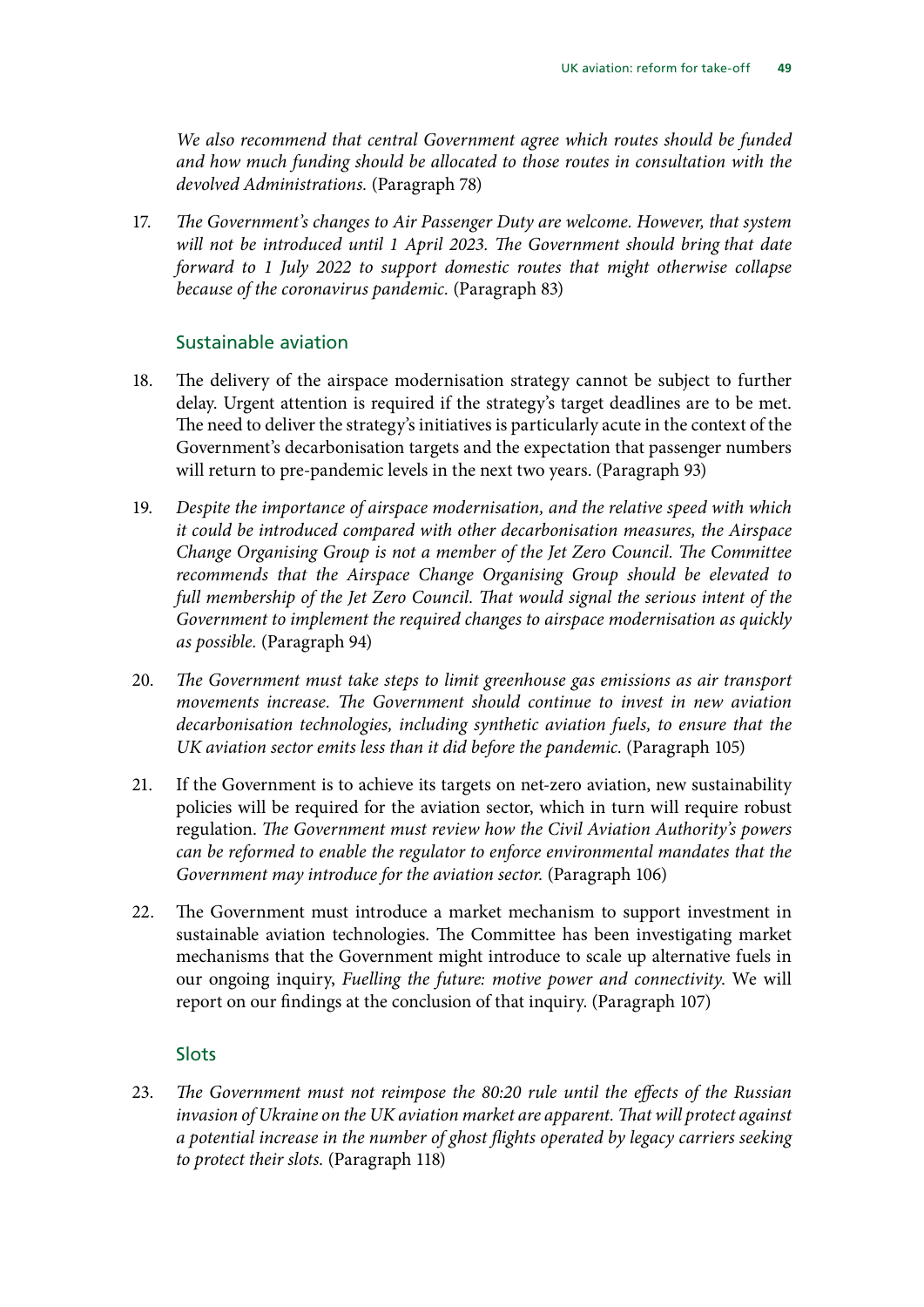*We also recommend that central Government agree which routes should be funded and how much funding should be allocated to those routes in consultation with the devolved Administrations.* (Paragraph 78)

17. *The Government's changes to Air Passenger Duty are welcome. However, that system will not be introduced until 1 April 2023. The Government should bring that date forward to 1 July 2022 to support domestic routes that might otherwise collapse because of the coronavirus pandemic.* (Paragraph 83)

### Sustainable aviation

- 18. The delivery of the airspace modernisation strategy cannot be subject to further delay. Urgent attention is required if the strategy's target deadlines are to be met. The need to deliver the strategy's initiatives is particularly acute in the context of the Government's decarbonisation targets and the expectation that passenger numbers will return to pre-pandemic levels in the next two years. (Paragraph 93)
- 19. *Despite the importance of airspace modernisation, and the relative speed with which it could be introduced compared with other decarbonisation measures, the Airspace Change Organising Group is not a member of the Jet Zero Council. The Committee recommends that the Airspace Change Organising Group should be elevated to full membership of the Jet Zero Council. That would signal the serious intent of the Government to implement the required changes to airspace modernisation as quickly as possible.* (Paragraph 94)
- 20. *The Government must take steps to limit greenhouse gas emissions as air transport movements increase. The Government should continue to invest in new aviation decarbonisation technologies, including synthetic aviation fuels, to ensure that the UK aviation sector emits less than it did before the pandemic.* (Paragraph 105)
- 21. If the Government is to achieve its targets on net-zero aviation, new sustainability policies will be required for the aviation sector, which in turn will require robust regulation. *The Government must review how the Civil Aviation Authority's powers can be reformed to enable the regulator to enforce environmental mandates that the Government may introduce for the aviation sector.* (Paragraph 106)
- 22. The Government must introduce a market mechanism to support investment in sustainable aviation technologies. The Committee has been investigating market mechanisms that the Government might introduce to scale up alternative fuels in our ongoing inquiry, *Fuelling the future: motive power and connectivity*. We will report on our findings at the conclusion of that inquiry. (Paragraph 107)

### Slots

23. *The Government must not reimpose the 80:20 rule until the effects of the Russian invasion of Ukraine on the UK aviation market are apparent. That will protect against a potential increase in the number of ghost flights operated by legacy carriers seeking to protect their slots.* (Paragraph 118)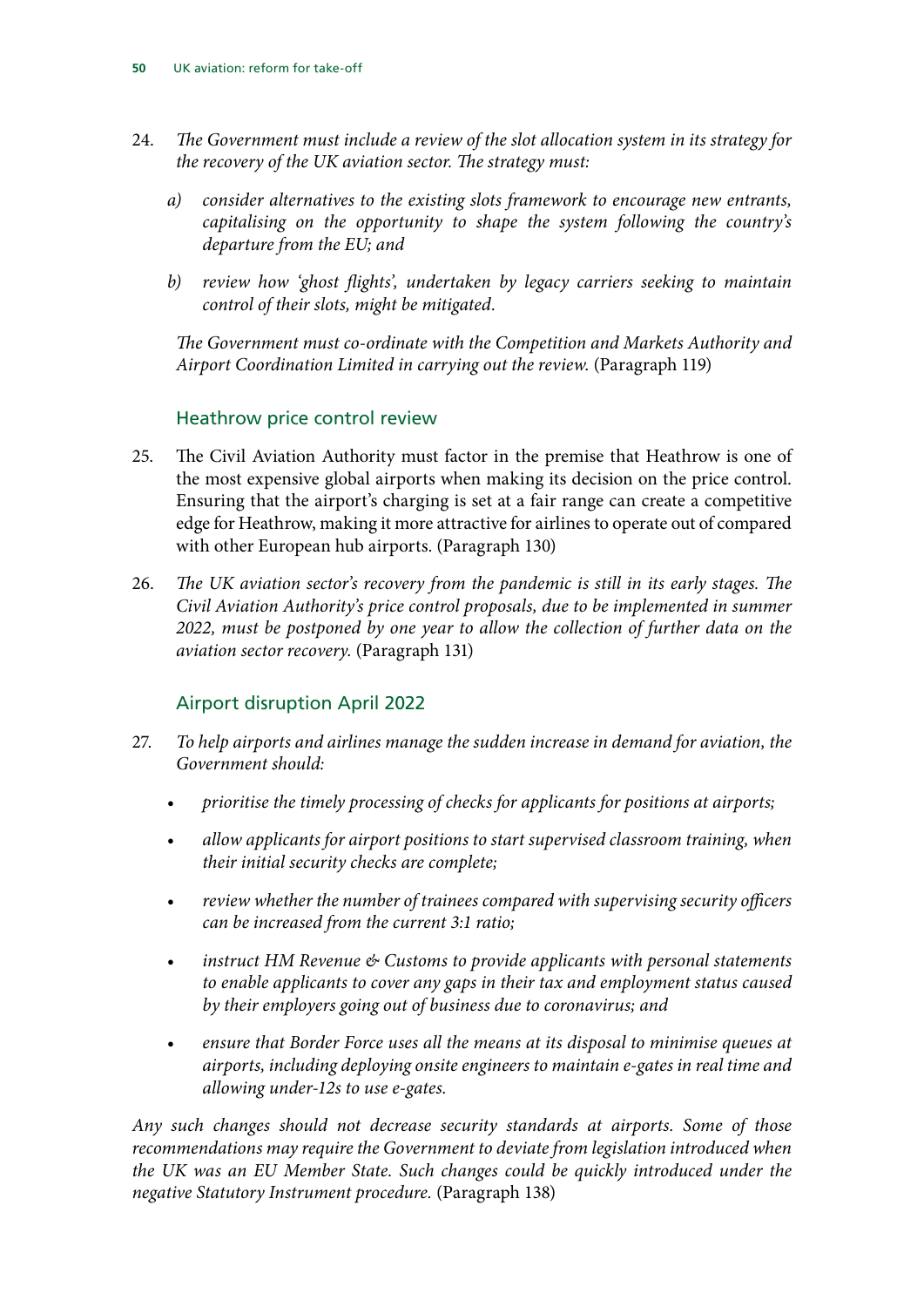- 24. *The Government must include a review of the slot allocation system in its strategy for the recovery of the UK aviation sector. The strategy must:*
	- *a) consider alternatives to the existing slots framework to encourage new entrants, capitalising on the opportunity to shape the system following the country's departure from the EU; and*
	- *b) review how 'ghost flights', undertaken by legacy carriers seeking to maintain control of their slots, might be mitigated.*

*The Government must co-ordinate with the Competition and Markets Authority and Airport Coordination Limited in carrying out the review.* (Paragraph 119)

### Heathrow price control review

- 25. The Civil Aviation Authority must factor in the premise that Heathrow is one of the most expensive global airports when making its decision on the price control. Ensuring that the airport's charging is set at a fair range can create a competitive edge for Heathrow, making it more attractive for airlines to operate out of compared with other European hub airports. (Paragraph 130)
- 26. *The UK aviation sector's recovery from the pandemic is still in its early stages. The Civil Aviation Authority's price control proposals, due to be implemented in summer 2022, must be postponed by one year to allow the collection of further data on the aviation sector recovery.* (Paragraph 131)

### Airport disruption April 2022

- 27. *To help airports and airlines manage the sudden increase in demand for aviation, the Government should:*
	- *prioritise the timely processing of checks for applicants for positions at airports;*
	- *allow applicants for airport positions to start supervised classroom training, when their initial security checks are complete;*
	- *review whether the number of trainees compared with supervising security officers can be increased from the current 3:1 ratio;*
	- *instruct HM Revenue & Customs to provide applicants with personal statements to enable applicants to cover any gaps in their tax and employment status caused by their employers going out of business due to coronavirus; and*
	- *ensure that Border Force uses all the means at its disposal to minimise queues at airports, including deploying onsite engineers to maintain e-gates in real time and allowing under-12s to use e-gates.*

*Any such changes should not decrease security standards at airports. Some of those recommendations may require the Government to deviate from legislation introduced when the UK was an EU Member State. Such changes could be quickly introduced under the negative Statutory Instrument procedure.* (Paragraph 138)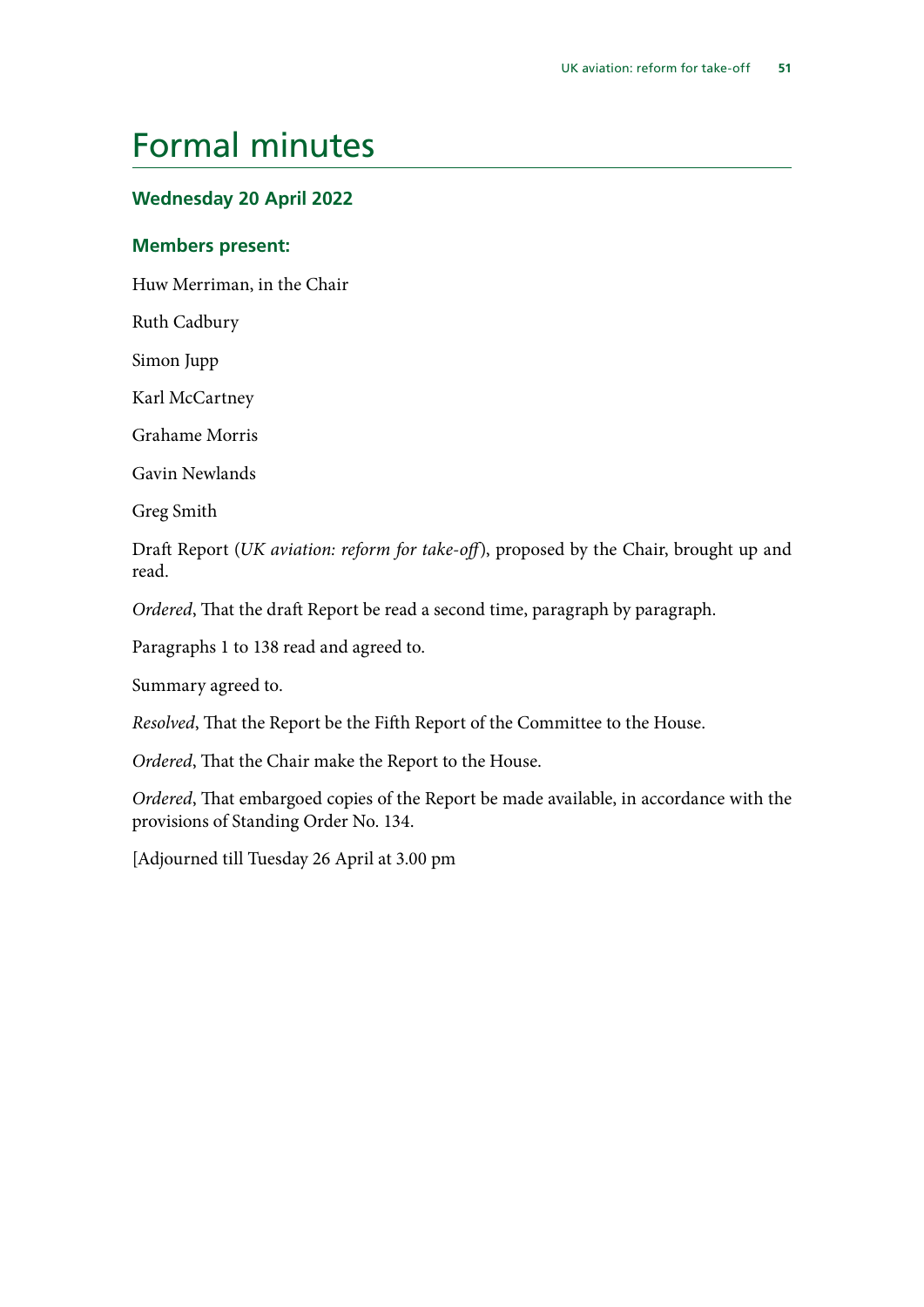### <span id="page-52-0"></span>Formal minutes

### **Wednesday 20 April 2022**

### **Members present:**

Huw Merriman, in the Chair

Ruth Cadbury

Simon Jupp

Karl McCartney

Grahame Morris

Gavin Newlands

Greg Smith

Draft Report (*UK aviation: reform for take-off*), proposed by the Chair, brought up and read.

*Ordered*, That the draft Report be read a second time, paragraph by paragraph.

Paragraphs 1 to 138 read and agreed to.

Summary agreed to.

*Resolved*, That the Report be the Fifth Report of the Committee to the House.

*Ordered*, That the Chair make the Report to the House.

*Ordered*, That embargoed copies of the Report be made available, in accordance with the provisions of Standing Order No. 134.

[Adjourned till Tuesday 26 April at 3.00 pm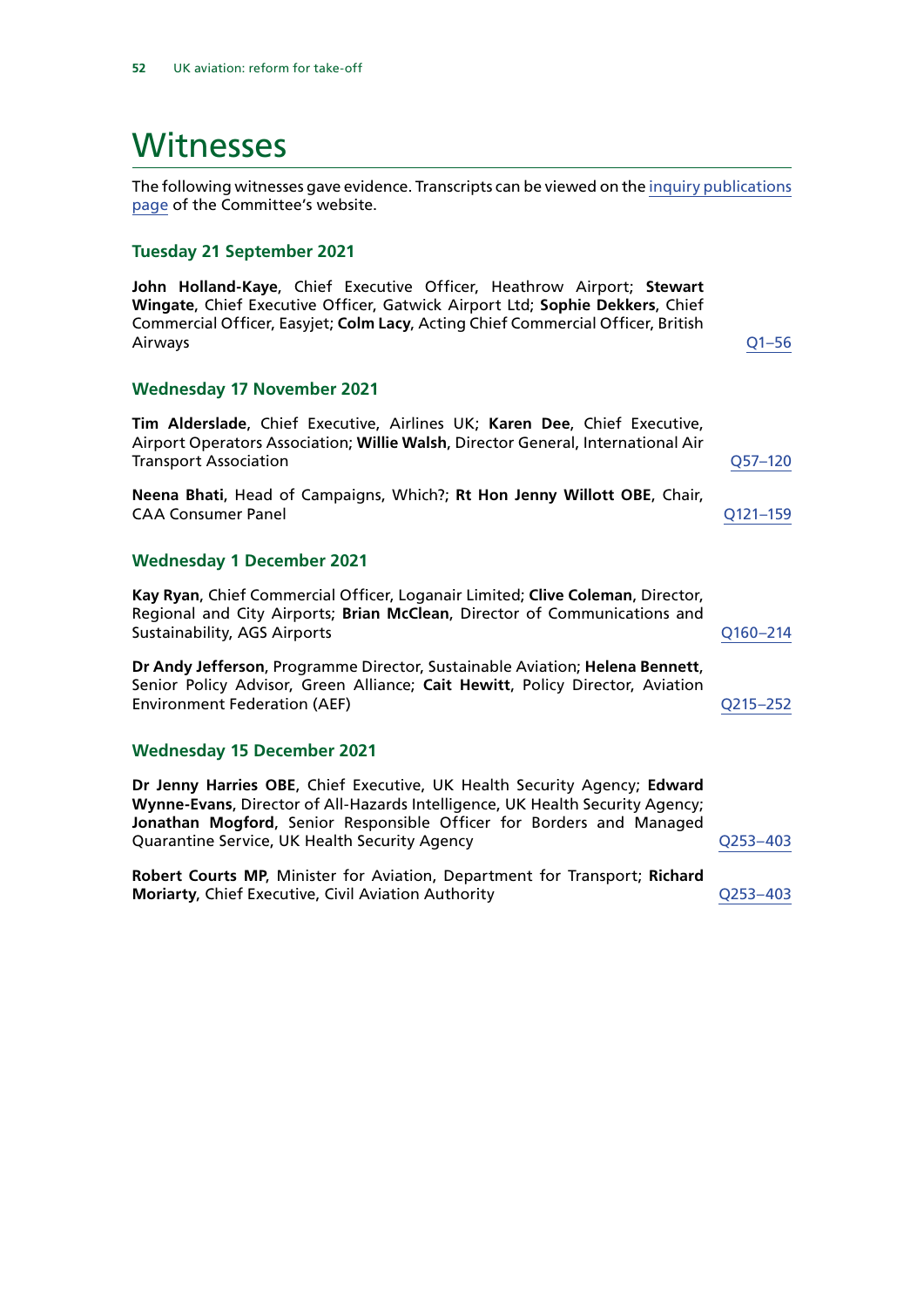### <span id="page-53-0"></span>**Witnesses**

The following witnesses gave evidence. Transcripts can be viewed on the [inquiry publications](https://committees.parliament.uk/work/1473/default/publications/oral-evidence/) [page](https://committees.parliament.uk/work/1473/default/publications/oral-evidence/) of the Committee's website.

### **Tuesday 21 September 2021**

**John Holland-Kaye**, Chief Executive Officer, Heathrow Airport; **Stewart Wingate**, Chief Executive Officer, Gatwick Airport Ltd; **Sophie Dekkers**, Chief Commercial Officer, Easyjet; **Colm Lacy**, Acting Chief Commercial Officer, British Airways [Q1–56](https://committees.parliament.uk/oralevidence/2776/html/)

#### **Wednesday 17 November 2021**

**Tim Alderslade**, Chief Executive, Airlines UK; **Karen Dee**, Chief Executive, Airport Operators Association; **Willie Walsh**, Director General, International Air Transport Association [Q57–120](https://committees.parliament.uk/oralevidence/3027/html/)

**Neena Bhati**, Head of Campaigns, Which?; **Rt Hon Jenny Willott OBE**, Chair, CAA Consumer Panel [Q121–159](https://committees.parliament.uk/oralevidence/3027/html/)

#### **Wednesday 1 December 2021**

**Kay Ryan**, Chief Commercial Officer, Loganair Limited; **Clive Coleman**, Director, Regional and City Airports; **Brian McClean**, Director of Communications and Sustainability, AGS Airports **[Q160–214](https://committees.parliament.uk/oralevidence/3115/html/)** 

**Dr Andy Jefferson**, Programme Director, Sustainable Aviation; **Helena Bennett**, Senior Policy Advisor, Green Alliance; **Cait Hewitt**, Policy Director, Aviation Environment Federation (AEF) [Q215–252](https://committees.parliament.uk/oralevidence/3115/html/)

#### **Wednesday 15 December 2021**

**Dr Jenny Harries OBE**, Chief Executive, UK Health Security Agency; **Edward Wynne-Evans**, Director of All-Hazards Intelligence, UK Health Security Agency; **Jonathan Mogford**, Senior Responsible Officer for Borders and Managed Quarantine Service, UK Health Security Agency Manuscription and Dunner Research Agency

**Robert Courts MP**, Minister for Aviation, Department for Transport; **Richard Moriarty**, Chief Executive, Civil Aviation Authority [Q253–403](https://committees.parliament.uk/oralevidence/3213/html/#Panel2)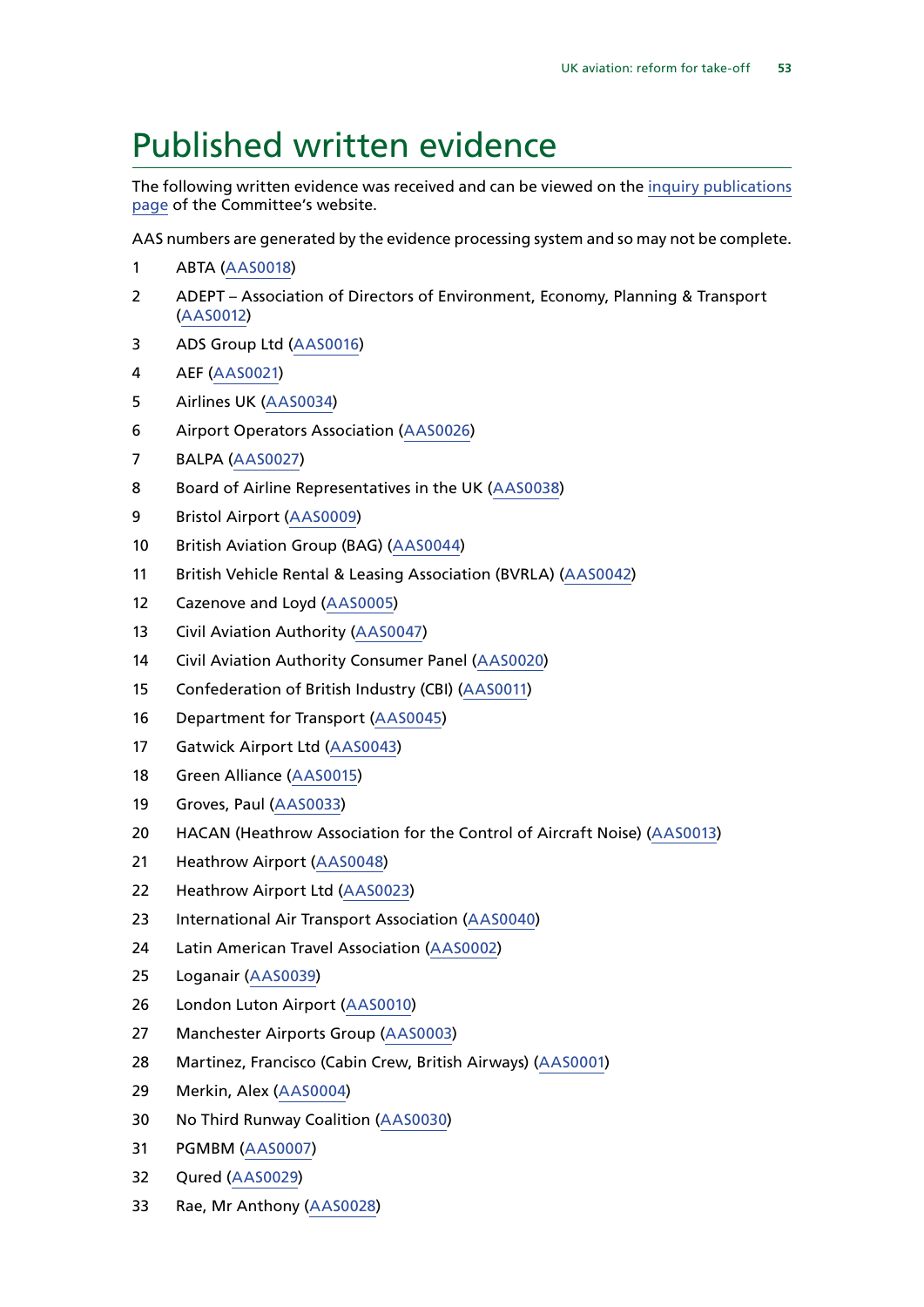### <span id="page-54-0"></span>Published written evidence

The following written evidence was received and can be viewed on the [inquiry publications](https://committees.parliament.uk/work/1473/default/publications/written-evidence/) [page](https://committees.parliament.uk/work/1473/default/publications/written-evidence/) of the Committee's website.

AAS numbers are generated by the evidence processing system and so may not be complete.

- ABTA [\(AAS0018\)](https://committees.parliament.uk/writtenevidence/39955/html/)
- ADEPT Association of Directors of Environment, Economy, Planning & Transport ([AAS0012\)](https://committees.parliament.uk/writtenevidence/39921/html/)
- ADS Group Ltd ([AAS0016](https://committees.parliament.uk/writtenevidence/39943/html/))
- AEF [\(AAS0021](https://committees.parliament.uk/writtenevidence/39959/html/))
- Airlines UK [\(AAS0034](https://committees.parliament.uk/writtenevidence/39981/html/))
- Airport Operators Association [\(AAS0026\)](https://committees.parliament.uk/writtenevidence/39968/html/)
- BALPA [\(AAS0027](https://committees.parliament.uk/writtenevidence/39969/html/))
- Board of Airline Representatives in the UK ([AAS0038\)](https://committees.parliament.uk/writtenevidence/40027/html/)
- Bristol Airport ([AAS0009\)](https://committees.parliament.uk/writtenevidence/39916/html/)
- British Aviation Group (BAG) ([AAS0044](https://committees.parliament.uk/writtenevidence/40265/html/))
- British Vehicle Rental & Leasing Association (BVRLA) ([AAS0042\)](https://committees.parliament.uk/writtenevidence/40031/html/)
- Cazenove and Loyd [\(AAS0005\)](https://committees.parliament.uk/writtenevidence/39629/html/)
- Civil Aviation Authority [\(AAS0047](https://committees.parliament.uk/writtenevidence/41586/html/))
- Civil Aviation Authority Consumer Panel [\(AAS0020](https://committees.parliament.uk/writtenevidence/39958/html/))
- Confederation of British Industry (CBI) [\(AAS0011\)](https://committees.parliament.uk/writtenevidence/39919/html/)
- Department for Transport ([AAS0045\)](https://committees.parliament.uk/writtenevidence/40795/html/)
- Gatwick Airport Ltd ([AAS0043\)](https://committees.parliament.uk/writtenevidence/40264/html/)
- Green Alliance ([AAS0015](https://committees.parliament.uk/writtenevidence/39942/html/))
- Groves, Paul ([AAS0033\)](https://committees.parliament.uk/writtenevidence/39980/html/)
- HACAN (Heathrow Association for the Control of Aircraft Noise) ([AAS0013\)](https://committees.parliament.uk/writtenevidence/39925/html/)
- Heathrow Airport ([AAS0048](https://committees.parliament.uk/writtenevidence/42430/html/))
- Heathrow Airport Ltd [\(AAS0023\)](https://committees.parliament.uk/writtenevidence/39964/html/)
- International Air Transport Association [\(AAS0040\)](https://committees.parliament.uk/writtenevidence/40029/html/)
- Latin American Travel Association [\(AAS0002](https://committees.parliament.uk/writtenevidence/39472/html/))
- Loganair ([AAS0039\)](https://committees.parliament.uk/writtenevidence/40028/html/)
- London Luton Airport ([AAS0010](https://committees.parliament.uk/writtenevidence/39918/html/))
- Manchester Airports Group [\(AAS0003](https://committees.parliament.uk/writtenevidence/39478/html/))
- Martinez, Francisco (Cabin Crew, British Airways) [\(AAS0001\)](https://committees.parliament.uk/writtenevidence/39424/html/)
- Merkin, Alex [\(AAS0004\)](https://committees.parliament.uk/writtenevidence/39531/html/)
- No Third Runway Coalition ([AAS0030](https://committees.parliament.uk/writtenevidence/39974/html/))
- PGMBM ([AAS0007\)](https://committees.parliament.uk/writtenevidence/39827/html/)
- Qured [\(AAS0029](https://committees.parliament.uk/writtenevidence/39972/html/))
- Rae, Mr Anthony [\(AAS0028](https://committees.parliament.uk/writtenevidence/39970/html/))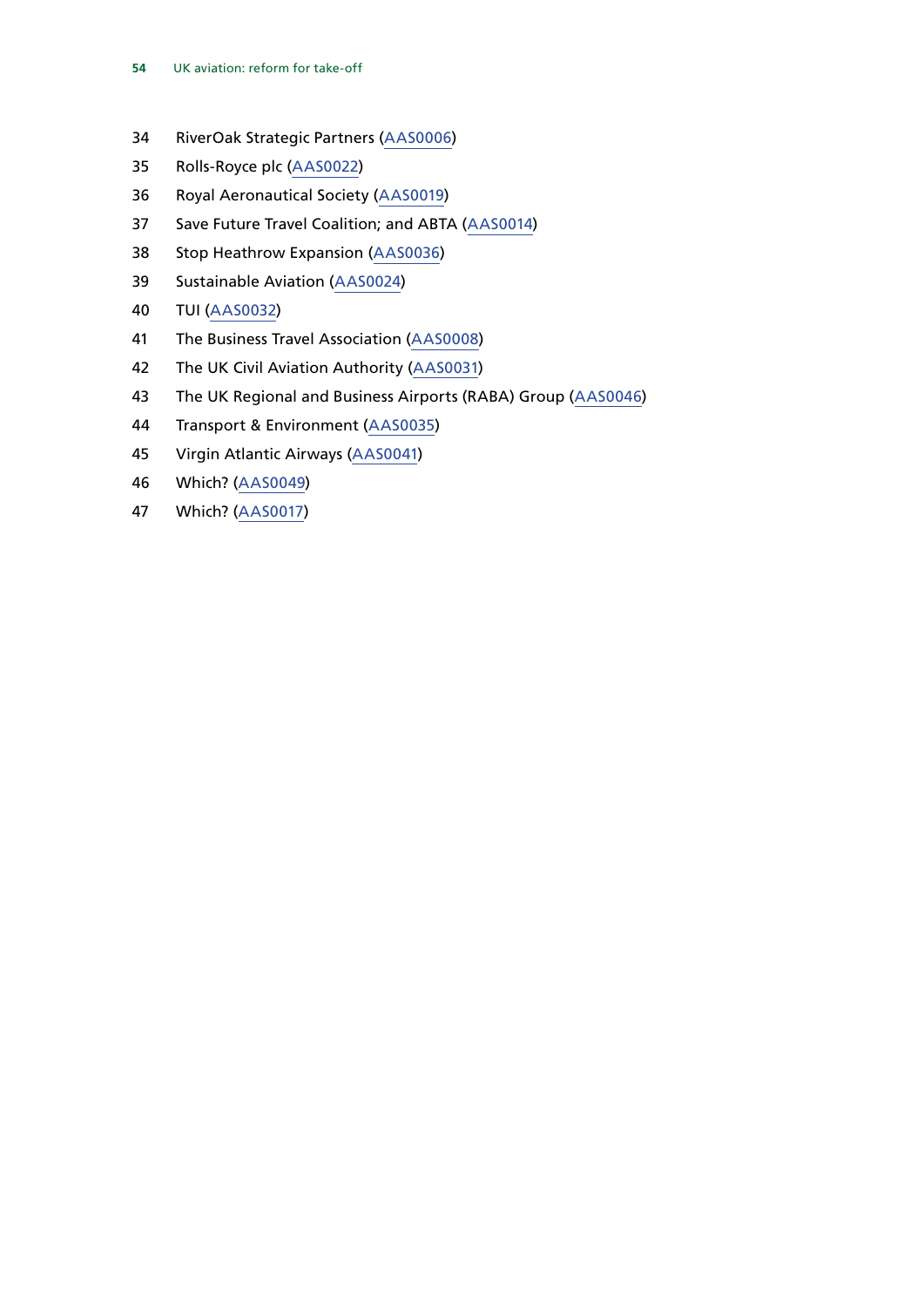- RiverOak Strategic Partners ([AAS0006](https://committees.parliament.uk/writtenevidence/39656/html/))
- Rolls-Royce plc [\(AAS0022](https://committees.parliament.uk/writtenevidence/39962/html/))
- Royal Aeronautical Society ([AAS0019](https://committees.parliament.uk/writtenevidence/39957/html/))
- Save Future Travel Coalition; and ABTA [\(AAS0014](https://committees.parliament.uk/writtenevidence/39937/html/))
- Stop Heathrow Expansion ([AAS0036](https://committees.parliament.uk/writtenevidence/39983/html/))
- Sustainable Aviation ([AAS0024](https://committees.parliament.uk/writtenevidence/39965/html/))
- TUI [\(AAS0032](https://committees.parliament.uk/writtenevidence/39979/html/))
- The Business Travel Association ([AAS0008](https://committees.parliament.uk/writtenevidence/39855/html/))
- The UK Civil Aviation Authority [\(AAS0031](https://committees.parliament.uk/writtenevidence/39976/html/))
- The UK Regional and Business Airports (RABA) Group [\(AAS0046\)](https://committees.parliament.uk/writtenevidence/40797/html/)
- Transport & Environment [\(AAS0035](https://committees.parliament.uk/writtenevidence/39982/html/))
- Virgin Atlantic Airways ([AAS0041](https://committees.parliament.uk/writtenevidence/40030/html/))
- Which? ([AAS0049\)](https://committees.parliament.uk/writtenevidence/106606/html/)
- Which? ([AAS0017\)](https://committees.parliament.uk/writtenevidence/39954/html/)